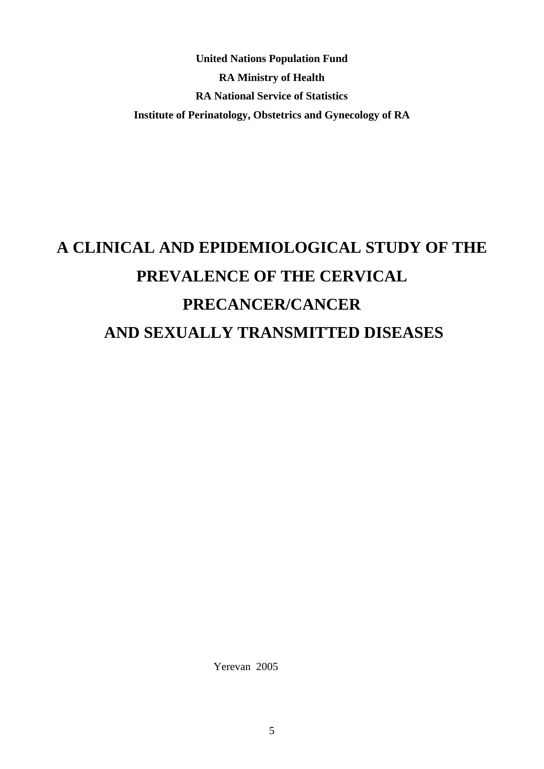**United Nations Population Fund RA Ministry of Health RA National Service of Statistics Institute of Perinatology, Obstetrics and Gynecology of RA** 

# **A CLINICAL AND EPIDEMIOLOGICAL STUDY OF THE PREVALENCE OF THE CERVICAL PRECANCER/CANCER AND SEXUALLY TRANSMITTED DISEASES**

Yerevan 2005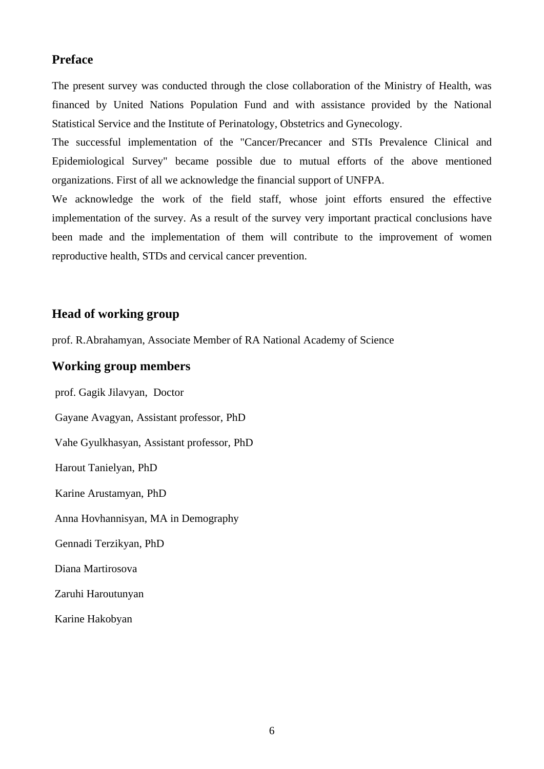### **Preface**

The present survey was conducted through the close collaboration of the Ministry of Health, was financed by United Nations Population Fund and with assistance provided by the National Statistical Service and the Institute of Perinatology, Obstetrics and Gynecology.

The successful implementation of the "Cancer/Precancer and STIs Prevalence Clinical and Epidemiological Survey" became possible due to mutual efforts of the above mentioned organizations. First of all we acknowledge the financial support of UNFPA.

We acknowledge the work of the field staff, whose joint efforts ensured the effective implementation of the survey. As a result of the survey very important practical conclusions have been made and the implementation of them will contribute to the improvement of women reproductive health, STDs and cervical cancer prevention.

### **Head of working group**

prof. R.Abrahamyan, Associate Member of RA National Academy of Science

### **Working group members**

prof. Gagik Jilavyan, Doctor Gayane Avagyan, Assistant professor, PhD Vahe Gyulkhasyan, Assistant professor, PhD Harout Tanielyan, PhD Karine Arustamyan, PhD Anna Hovhannisyan, MA in Demography Gennadi Terzikyan, PhD Diana Martirosova Zaruhi Haroutunyan Karine Hakobyan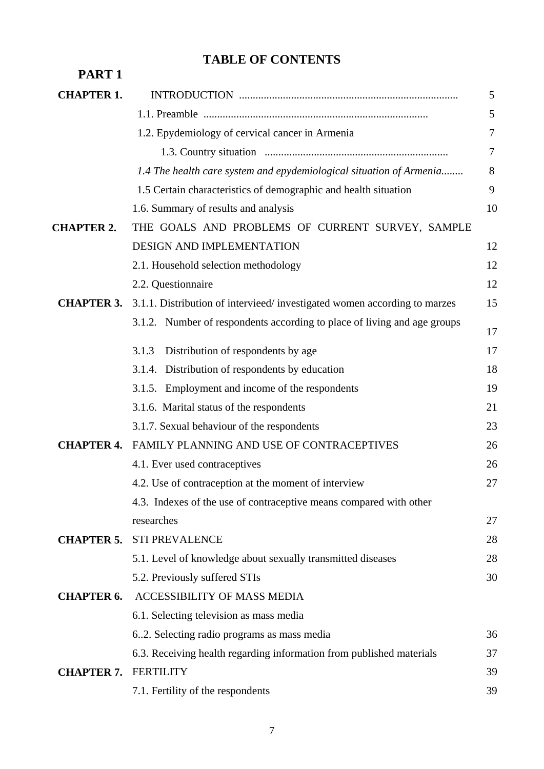### **TABLE OF CONTENTS**

| PART <sub>1</sub> |                                                                          |    |
|-------------------|--------------------------------------------------------------------------|----|
| <b>CHAPTER 1.</b> |                                                                          | 5  |
|                   |                                                                          | 5  |
|                   | 1.2. Epydemiology of cervical cancer in Armenia                          | 7  |
|                   |                                                                          | 7  |
|                   | 1.4 The health care system and epydemiological situation of Armenia      | 8  |
|                   | 1.5 Certain characteristics of demographic and health situation          | 9  |
|                   | 1.6. Summary of results and analysis                                     | 10 |
| <b>CHAPTER 2.</b> | THE GOALS AND PROBLEMS OF CURRENT SURVEY, SAMPLE                         |    |
|                   | DESIGN AND IMPLEMENTATION                                                | 12 |
|                   | 2.1. Household selection methodology                                     | 12 |
|                   | 2.2. Questionnaire                                                       | 12 |
| <b>CHAPTER 3.</b> | 3.1.1. Distribution of intervieed/investigated women according to marzes | 15 |
|                   | 3.1.2. Number of respondents according to place of living and age groups | 17 |
|                   | Distribution of respondents by age<br>3.1.3                              | 17 |
|                   | 3.1.4. Distribution of respondents by education                          | 18 |
|                   | 3.1.5. Employment and income of the respondents                          | 19 |
|                   | 3.1.6. Marital status of the respondents                                 | 21 |
|                   | 3.1.7. Sexual behaviour of the respondents                               | 23 |
| <b>CHAPTER 4.</b> | <b>FAMILY PLANNING AND USE OF CONTRACEPTIVES</b>                         | 26 |
|                   | 4.1. Ever used contraceptives                                            | 26 |
|                   | 4.2. Use of contraception at the moment of interview                     | 27 |
|                   | 4.3. Indexes of the use of contraceptive means compared with other       |    |
|                   | researches                                                               | 27 |
| <b>CHAPTER 5.</b> | <b>STI PREVALENCE</b>                                                    | 28 |
|                   | 5.1. Level of knowledge about sexually transmitted diseases              | 28 |
|                   | 5.2. Previously suffered STIs                                            | 30 |
| <b>CHAPTER 6.</b> | ACCESSIBILITY OF MASS MEDIA                                              |    |
|                   | 6.1. Selecting television as mass media                                  |    |
|                   | 62. Selecting radio programs as mass media                               | 36 |
|                   | 6.3. Receiving health regarding information from published materials     | 37 |
| <b>CHAPTER 7.</b> | <b>FERTILITY</b>                                                         | 39 |
|                   | 7.1. Fertility of the respondents                                        | 39 |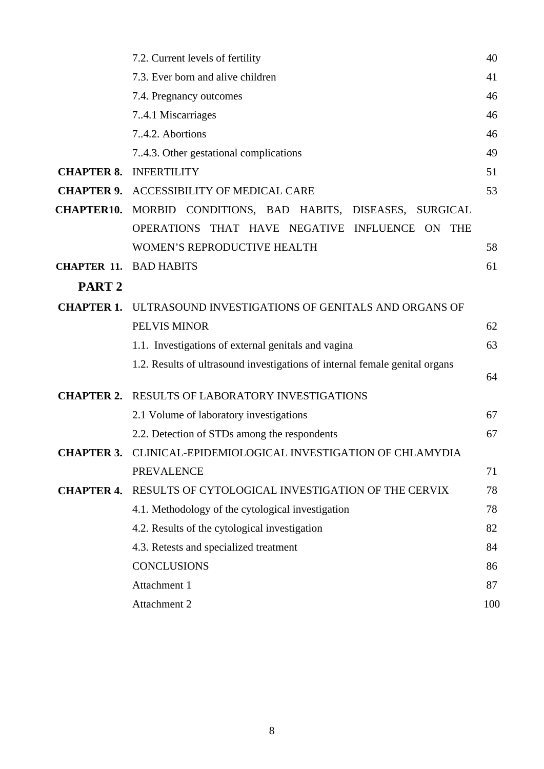|                    | 7.2. Current levels of fertility                                                | 40  |
|--------------------|---------------------------------------------------------------------------------|-----|
|                    | 7.3. Ever born and alive children                                               | 41  |
|                    | 7.4. Pregnancy outcomes                                                         | 46  |
|                    | 7.4.1 Miscarriages                                                              | 46  |
|                    | 7.4.2. Abortions                                                                | 46  |
|                    | 74.3. Other gestational complications                                           | 49  |
| <b>CHAPTER 8.</b>  | <b>INFERTILITY</b>                                                              | 51  |
| <b>CHAPTER 9.</b>  | ACCESSIBILITY OF MEDICAL CARE                                                   | 53  |
| <b>CHAPTER10.</b>  | MORBID CONDITIONS, BAD HABITS, DISEASES,<br><b>SURGICAL</b>                     |     |
|                    | <b>OPERATIONS</b><br>THAT HAVE NEGATIVE<br><b>INFLUENCE</b><br><b>THE</b><br>ON |     |
|                    | WOMEN'S REPRODUCTIVE HEALTH                                                     | 58  |
| <b>CHAPTER 11.</b> | <b>BAD HABITS</b>                                                               | 61  |
| PART <sub>2</sub>  |                                                                                 |     |
| <b>CHAPTER 1.</b>  | ULTRASOUND INVESTIGATIONS OF GENITALS AND ORGANS OF                             |     |
|                    | PELVIS MINOR                                                                    | 62  |
|                    | 1.1. Investigations of external genitals and vagina                             | 63  |
|                    | 1.2. Results of ultrasound investigations of internal female genital organs     |     |
|                    |                                                                                 | 64  |
| <b>CHAPTER 2.</b>  | <b>RESULTS OF LABORATORY INVESTIGATIONS</b>                                     |     |
|                    | 2.1 Volume of laboratory investigations                                         | 67  |
|                    | 2.2. Detection of STDs among the respondents                                    | 67  |
| <b>CHAPTER 3.</b>  | CLINICAL-EPIDEMIOLOGICAL INVESTIGATION OF CHLAMYDIA                             |     |
|                    | <b>PREVALENCE</b>                                                               | 71  |
| <b>CHAPTER 4.</b>  | RESULTS OF CYTOLOGICAL INVESTIGATION OF THE CERVIX                              | 78  |
|                    | 4.1. Methodology of the cytological investigation                               | 78  |
|                    | 4.2. Results of the cytological investigation                                   | 82  |
|                    | 4.3. Retests and specialized treatment                                          | 84  |
|                    | <b>CONCLUSIONS</b>                                                              | 86  |
|                    | Attachment 1                                                                    | 87  |
|                    | Attachment 2                                                                    | 100 |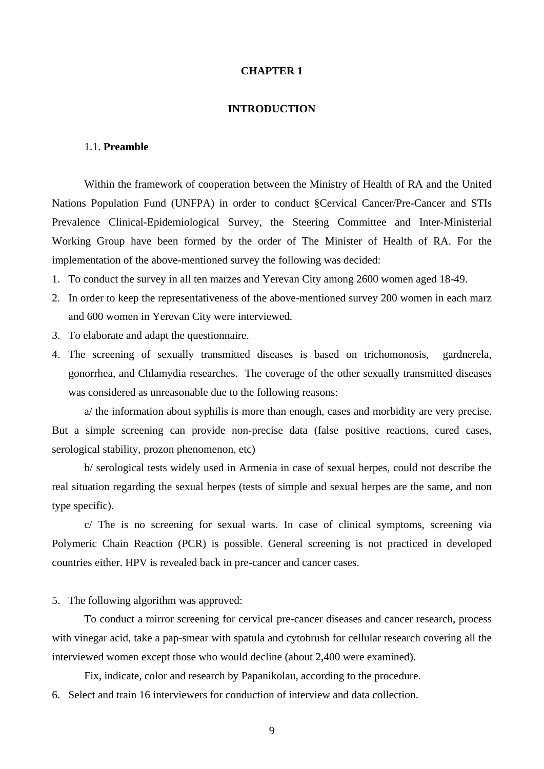### **CHAPTER 1**

### **INTRODUCTION**

### 1.1. **Preamble**

 Within the framework of cooperation between the Ministry of Health of RA and the United Nations Population Fund (UNFPA) in order to conduct §Cervical Cancer/Pre-Cancer and STIs Prevalence Clinical-Epidemiological Survey, the Steering Committee and Inter-Ministerial Working Group have been formed by the order of The Minister of Health of RA. For the implementation of the above-mentioned survey the following was decided:

- 1. To conduct the survey in all ten marzes and Yerevan City among 2600 women aged 18-49.
- 2. In order to keep the representativeness of the above-mentioned survey 200 women in each marz and 600 women in Yerevan City were interviewed.
- 3. To elaborate and adapt the questionnaire.
- 4. The screening of sexually transmitted diseases is based on trichomonosis, gardnerela, gonorrhea, and Chlamydia researches. The coverage of the other sexually transmitted diseases was considered as unreasonable due to the following reasons:

 a/ the information about syphilis is more than enough, cases and morbidity are very precise. But a simple screening can provide non-precise data (false positive reactions, cured cases, serological stability, prozon phenomenon, etc)

 b/ serological tests widely used in Armenia in case of sexual herpes, could not describe the real situation regarding the sexual herpes (tests of simple and sexual herpes are the same, and non type specific).

 c/ The is no screening for sexual warts. In case of clinical symptoms, screening via Polymeric Chain Reaction (PCR) is possible. General screening is not practiced in developed countries either. HPV is revealed back in pre-cancer and cancer cases.

5. The following algorithm was approved:

 To conduct a mirror screening for cervical pre-cancer diseases and cancer research, process with vinegar acid, take a pap-smear with spatula and cytobrush for cellular research covering all the interviewed women except those who would decline (about 2,400 were examined).

Fix, indicate, color and research by Papanikolau, according to the procedure.

6. Select and train 16 interviewers for conduction of interview and data collection.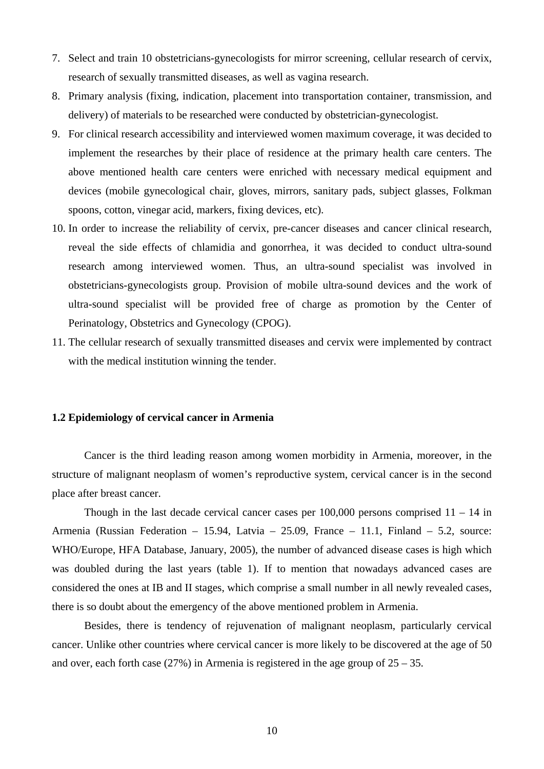- 7. Select and train 10 obstetricians-gynecologists for mirror screening, cellular research of cervix, research of sexually transmitted diseases, as well as vagina research.
- 8. Primary analysis (fixing, indication, placement into transportation container, transmission, and delivery) of materials to be researched were conducted by obstetrician-gynecologist.
- 9. For clinical research accessibility and interviewed women maximum coverage, it was decided to implement the researches by their place of residence at the primary health care centers. The above mentioned health care centers were enriched with necessary medical equipment and devices (mobile gynecological chair, gloves, mirrors, sanitary pads, subject glasses, Folkman spoons, cotton, vinegar acid, markers, fixing devices, etc).
- 10. In order to increase the reliability of cervix, pre-cancer diseases and cancer clinical research, reveal the side effects of chlamidia and gonorrhea, it was decided to conduct ultra-sound research among interviewed women. Thus, an ultra-sound specialist was involved in obstetricians-gynecologists group. Provision of mobile ultra-sound devices and the work of ultra-sound specialist will be provided free of charge as promotion by the Center of Perinatology, Obstetrics and Gynecology (CPOG).
- 11. The cellular research of sexually transmitted diseases and cervix were implemented by contract with the medical institution winning the tender.

### **1.2 Epidemiology of cervical cancer in Armenia**

 Cancer is the third leading reason among women morbidity in Armenia, moreover, in the structure of malignant neoplasm of women's reproductive system, cervical cancer is in the second place after breast cancer.

Though in the last decade cervical cancer cases per  $100,000$  persons comprised  $11 - 14$  in Armenia (Russian Federation – 15.94, Latvia – 25.09, France – 11.1, Finland – 5.2, source: WHO/Europe, HFA Database, January, 2005), the number of advanced disease cases is high which was doubled during the last years (table 1). If to mention that nowadays advanced cases are considered the ones at IB and II stages, which comprise a small number in all newly revealed cases, there is so doubt about the emergency of the above mentioned problem in Armenia.

 Besides, there is tendency of rejuvenation of malignant neoplasm, particularly cervical cancer. Unlike other countries where cervical cancer is more likely to be discovered at the age of 50 and over, each forth case  $(27%)$  in Armenia is registered in the age group of  $25 - 35$ .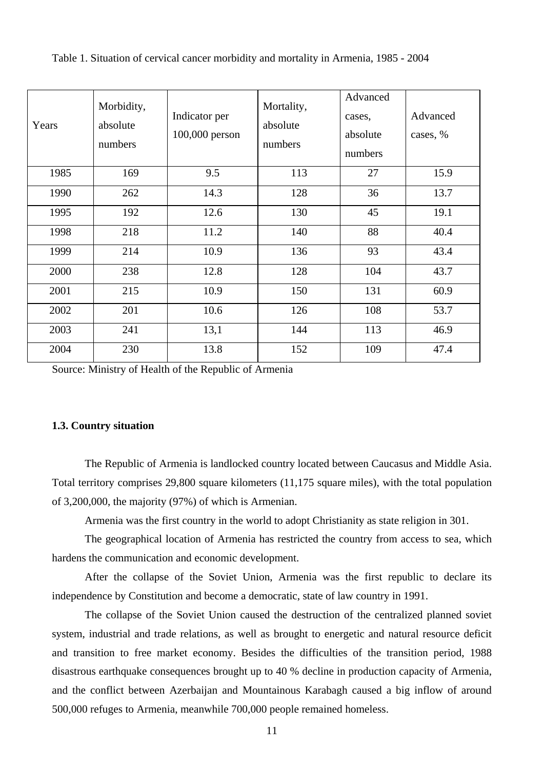| Years | Morbidity,<br>absolute<br>numbers | Indicator per<br>100,000 person | Mortality,<br>absolute<br>numbers | Advanced<br>cases,<br>absolute<br>numbers | Advanced<br>cases, % |
|-------|-----------------------------------|---------------------------------|-----------------------------------|-------------------------------------------|----------------------|
| 1985  | 169                               | 9.5                             | 113                               | 27                                        | 15.9                 |
| 1990  | 262                               | 14.3                            | 128                               | 36                                        | 13.7                 |
| 1995  | 192                               | 12.6                            | 130                               | 45                                        | 19.1                 |
| 1998  | 218                               | 11.2                            | 140                               | 88                                        | 40.4                 |
| 1999  | 214                               | 10.9                            | 136                               | 93                                        | 43.4                 |
| 2000  | 238                               | 12.8                            | 128                               | 104                                       | 43.7                 |
| 2001  | 215                               | 10.9                            | 150                               | 131                                       | 60.9                 |
| 2002  | 201                               | 10.6                            | 126                               | 108                                       | 53.7                 |
| 2003  | 241                               | 13,1                            | 144                               | 113                                       | 46.9                 |
| 2004  | 230                               | 13.8                            | 152                               | 109                                       | 47.4                 |

Table 1. Situation of cervical cancer morbidity and mortality in Armenia, 1985 - 2004

Source: Ministry of Health of the Republic of Armenia

### **1.3. Country situation**

The Republic of Armenia is landlocked country located between Caucasus and Middle Asia. Total territory comprises 29,800 square kilometers (11,175 square miles), with the total population of 3,200,000, the majority (97%) of which is Armenian.

Armenia was the first country in the world to adopt Christianity as state religion in 301.

The geographical location of Armenia has restricted the country from access to sea, which hardens the communication and economic development.

After the collapse of the Soviet Union, Armenia was the first republic to declare its independence by Constitution and become a democratic, state of law country in 1991.

The collapse of the Soviet Union caused the destruction of the centralized planned soviet system, industrial and trade relations, as well as brought to energetic and natural resource deficit and transition to free market economy. Besides the difficulties of the transition period, 1988 disastrous earthquake consequences brought up to 40 % decline in production capacity of Armenia, and the conflict between Azerbaijan and Mountainous Karabagh caused a big inflow of around 500,000 refuges to Armenia, meanwhile 700,000 people remained homeless.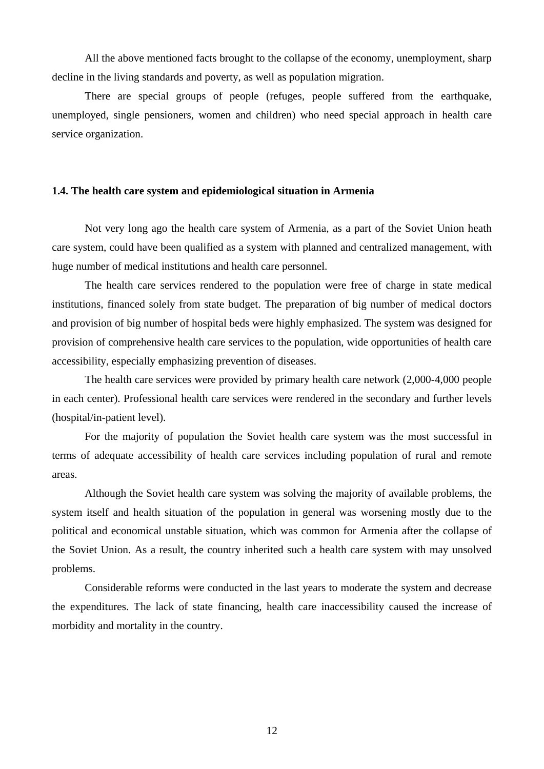All the above mentioned facts brought to the collapse of the economy, unemployment, sharp decline in the living standards and poverty, as well as population migration.

There are special groups of people (refuges, people suffered from the earthquake, unemployed, single pensioners, women and children) who need special approach in health care service organization.

### **1.4. The health care system and epidemiological situation in Armenia**

Not very long ago the health care system of Armenia, as a part of the Soviet Union heath care system, could have been qualified as a system with planned and centralized management, with huge number of medical institutions and health care personnel.

The health care services rendered to the population were free of charge in state medical institutions, financed solely from state budget. The preparation of big number of medical doctors and provision of big number of hospital beds were highly emphasized. The system was designed for provision of comprehensive health care services to the population, wide opportunities of health care accessibility, especially emphasizing prevention of diseases.

The health care services were provided by primary health care network (2,000-4,000 people in each center). Professional health care services were rendered in the secondary and further levels (hospital/in-patient level).

For the majority of population the Soviet health care system was the most successful in terms of adequate accessibility of health care services including population of rural and remote areas.

Although the Soviet health care system was solving the majority of available problems, the system itself and health situation of the population in general was worsening mostly due to the political and economical unstable situation, which was common for Armenia after the collapse of the Soviet Union. As a result, the country inherited such a health care system with may unsolved problems.

Considerable reforms were conducted in the last years to moderate the system and decrease the expenditures. The lack of state financing, health care inaccessibility caused the increase of morbidity and mortality in the country.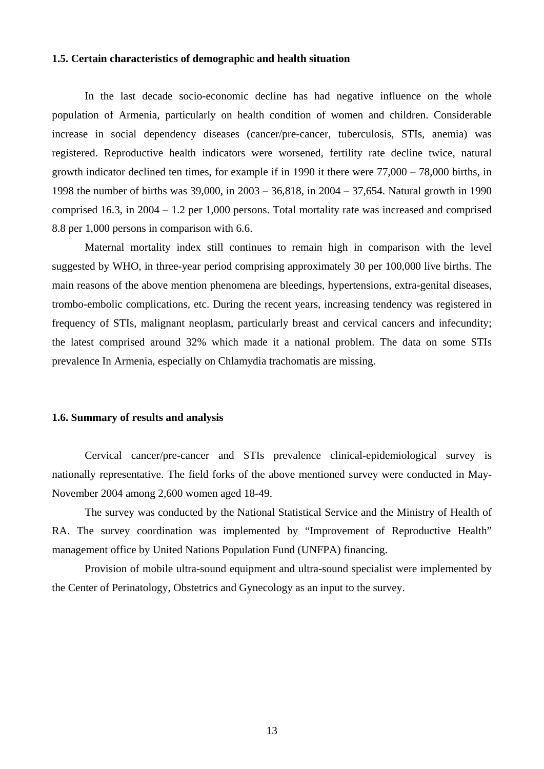#### **1.5. Certain characteristics of demographic and health situation**

In the last decade socio-economic decline has had negative influence on the whole population of Armenia, particularly on health condition of women and children. Considerable increase in social dependency diseases (cancer/pre-cancer, tuberculosis, STIs, anemia) was registered. Reproductive health indicators were worsened, fertility rate decline twice, natural growth indicator declined ten times, for example if in 1990 it there were 77,000 – 78,000 births, in 1998 the number of births was 39,000, in 2003 – 36,818, in 2004 – 37,654. Natural growth in 1990 comprised 16.3, in 2004 – 1.2 per 1,000 persons. Total mortality rate was increased and comprised 8.8 per 1,000 persons in comparison with 6.6.

Maternal mortality index still continues to remain high in comparison with the level suggested by WHO, in three-year period comprising approximately 30 per 100,000 live births. The main reasons of the above mention phenomena are bleedings, hypertensions, extra-genital diseases, trombo-embolic complications, etc. During the recent years, increasing tendency was registered in frequency of STIs, malignant neoplasm, particularly breast and cervical cancers and infecundity; the latest comprised around 32% which made it a national problem. The data on some STIs prevalence In Armenia, especially on Chlamydia trachomatis are missing.

### **1.6. Summary of results and analysis**

Cervical cancer/pre-cancer and STIs prevalence clinical-epidemiological survey is nationally representative. The field forks of the above mentioned survey were conducted in May-November 2004 among 2,600 women aged 18-49.

The survey was conducted by the National Statistical Service and the Ministry of Health of RA. The survey coordination was implemented by "Improvement of Reproductive Health" management office by United Nations Population Fund (UNFPA) financing.

Provision of mobile ultra-sound equipment and ultra-sound specialist were implemented by the Center of Perinatology, Obstetrics and Gynecology as an input to the survey.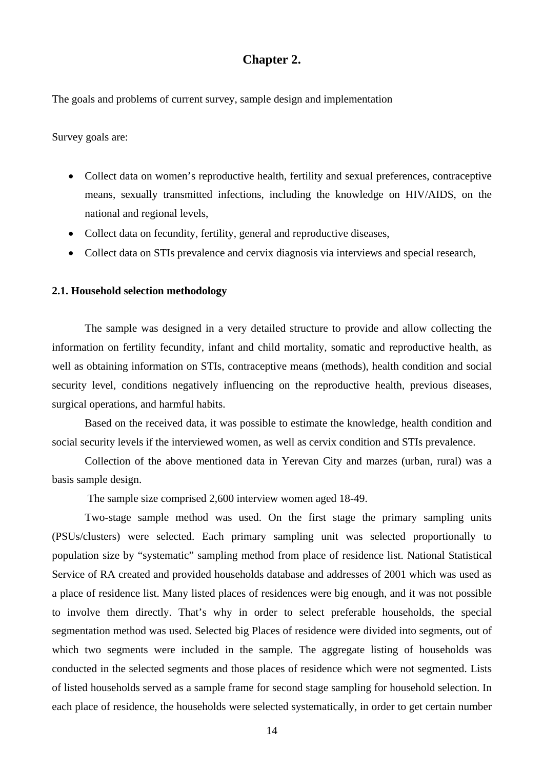### **Chapter 2.**

The goals and problems of current survey, sample design and implementation

Survey goals are:

- Collect data on women's reproductive health, fertility and sexual preferences, contraceptive means, sexually transmitted infections, including the knowledge on HIV/AIDS, on the national and regional levels,
- Collect data on fecundity, fertility, general and reproductive diseases,
- Collect data on STIs prevalence and cervix diagnosis via interviews and special research,

### **2.1. Household selection methodology**

The sample was designed in a very detailed structure to provide and allow collecting the information on fertility fecundity, infant and child mortality, somatic and reproductive health, as well as obtaining information on STIs, contraceptive means (methods), health condition and social security level, conditions negatively influencing on the reproductive health, previous diseases, surgical operations, and harmful habits.

Based on the received data, it was possible to estimate the knowledge, health condition and social security levels if the interviewed women, as well as cervix condition and STIs prevalence.

Collection of the above mentioned data in Yerevan City and marzes (urban, rural) was a basis sample design.

The sample size comprised 2,600 interview women aged 18-49.

Two-stage sample method was used. On the first stage the primary sampling units (PSUs/clusters) were selected. Each primary sampling unit was selected proportionally to population size by "systematic" sampling method from place of residence list. National Statistical Service of RA created and provided households database and addresses of 2001 which was used as a place of residence list. Many listed places of residences were big enough, and it was not possible to involve them directly. That's why in order to select preferable households, the special segmentation method was used. Selected big Places of residence were divided into segments, out of which two segments were included in the sample. The aggregate listing of households was conducted in the selected segments and those places of residence which were not segmented. Lists of listed households served as a sample frame for second stage sampling for household selection. In each place of residence, the households were selected systematically, in order to get certain number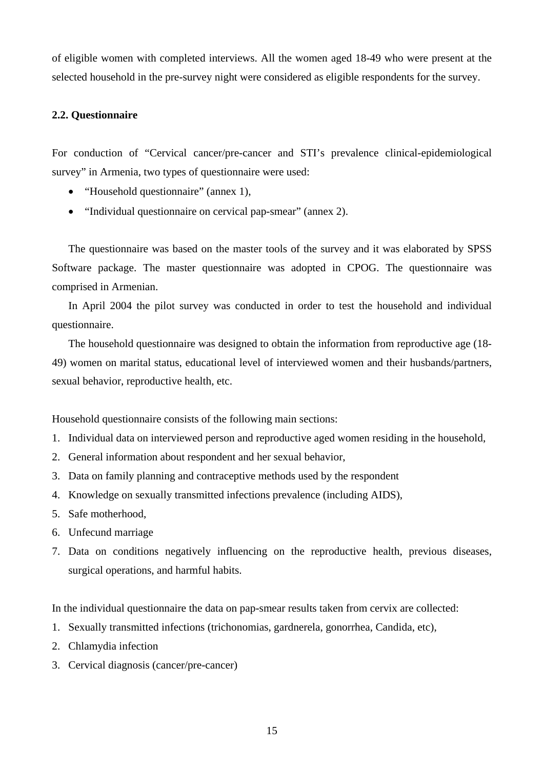of eligible women with completed interviews. All the women aged 18-49 who were present at the selected household in the pre-survey night were considered as eligible respondents for the survey.

### **2.2. Questionnaire**

For conduction of "Cervical cancer/pre-cancer and STI's prevalence clinical-epidemiological survey" in Armenia, two types of questionnaire were used:

- "Household questionnaire" (annex 1),
- "Individual questionnaire on cervical pap-smear" (annex 2).

The questionnaire was based on the master tools of the survey and it was elaborated by SPSS Software package. The master questionnaire was adopted in CPOG. The questionnaire was comprised in Armenian.

In April 2004 the pilot survey was conducted in order to test the household and individual questionnaire.

The household questionnaire was designed to obtain the information from reproductive age (18- 49) women on marital status, educational level of interviewed women and their husbands/partners, sexual behavior, reproductive health, etc.

Household questionnaire consists of the following main sections:

- 1. Individual data on interviewed person and reproductive aged women residing in the household,
- 2. General information about respondent and her sexual behavior,
- 3. Data on family planning and contraceptive methods used by the respondent
- 4. Knowledge on sexually transmitted infections prevalence (including AIDS),
- 5. Safe motherhood,
- 6. Unfecund marriage
- 7. Data on conditions negatively influencing on the reproductive health, previous diseases, surgical operations, and harmful habits.

In the individual questionnaire the data on pap-smear results taken from cervix are collected:

- 1. Sexually transmitted infections (trichonomias, gardnerela, gonorrhea, Candida, etc),
- 2. Chlamydia infection
- 3. Cervical diagnosis (cancer/pre-cancer)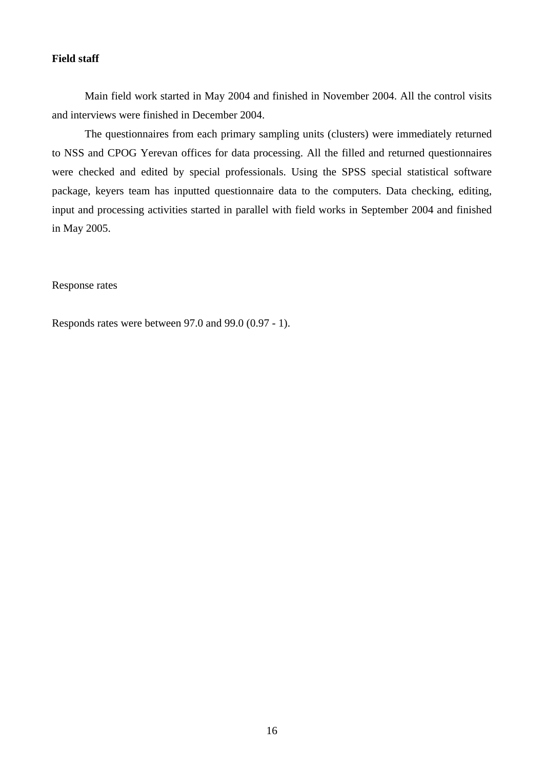### **Field staff**

Main field work started in May 2004 and finished in November 2004. All the control visits and interviews were finished in December 2004.

The questionnaires from each primary sampling units (clusters) were immediately returned to NSS and CPOG Yerevan offices for data processing. All the filled and returned questionnaires were checked and edited by special professionals. Using the SPSS special statistical software package, keyers team has inputted questionnaire data to the computers. Data checking, editing, input and processing activities started in parallel with field works in September 2004 and finished in May 2005.

### Response rates

Responds rates were between 97.0 and 99.0 (0.97 - 1).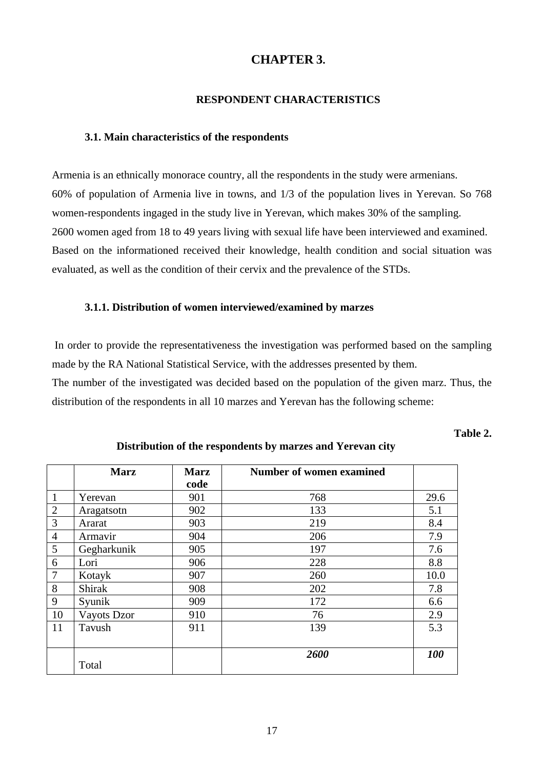### **CHAPTER 3.**

### **RESPONDENT CHARACTERISTICS**

### **3.1. Main characteristics of the respondents**

Armenia is an ethnically monorace country, all the respondents in the study were armenians. 60% of population of Armenia live in towns, and 1/3 of the population lives in Yerevan. So 768 women-respondents ingaged in the study live in Yerevan, which makes 30% of the sampling. 2600 women aged from 18 to 49 years living with sexual life have been interviewed and examined. Based on the informationed received their knowledge, health condition and social situation was evaluated, as well as the condition of their cervix and the prevalence of the STDs.

#### **3.1.1. Distribution of women interviewed/examined by marzes**

 In order to provide the representativeness the investigation was performed based on the sampling made by the RA National Statistical Service, with the addresses presented by them.

The number of the investigated was decided based on the population of the given marz. Thus, the distribution of the respondents in all 10 marzes and Yerevan has the following scheme:

### **Table 2.**

|                | <b>Marz</b> | <b>Marz</b> | <b>Number of women examined</b> |      |
|----------------|-------------|-------------|---------------------------------|------|
|                |             | code        |                                 |      |
| -1             | Yerevan     | 901         | 768                             | 29.6 |
| $\overline{2}$ | Aragatsotn  | 902         | 133                             | 5.1  |
| 3              | Ararat      | 903         | 219                             | 8.4  |
| $\overline{4}$ | Armavir     | 904         | 206                             | 7.9  |
| 5              | Gegharkunik | 905         | 197                             | 7.6  |
| 6              | Lori        | 906         | 228                             | 8.8  |
| $\overline{7}$ | Kotayk      | 907         | 260                             | 10.0 |
| 8              | Shirak      | 908         | 202                             | 7.8  |
| 9              | Syunik      | 909         | 172                             | 6.6  |
| 10             | Vayots Dzor | 910         | 76                              | 2.9  |
| 11             | Tavush      | 911         | 139                             | 5.3  |
|                |             |             |                                 |      |
|                |             |             | 2600                            | 100  |
|                | Total       |             |                                 |      |

### **Distribution of the respondents by marzes and Yerevan city**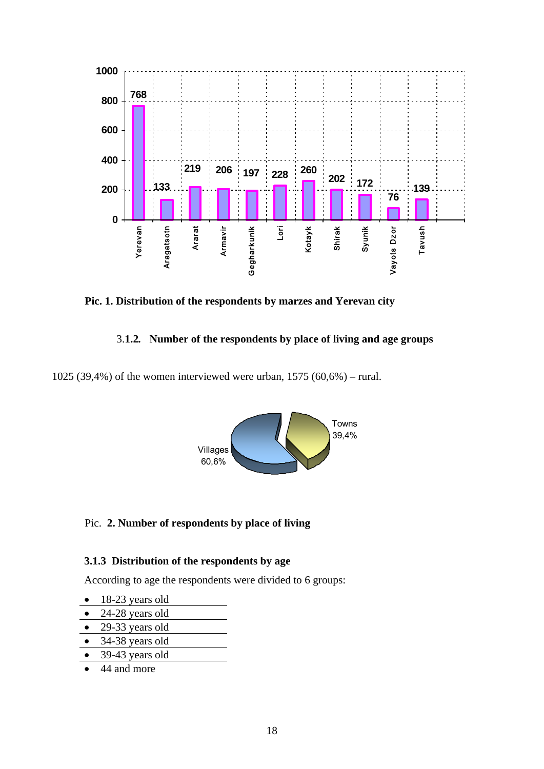

**Pic. 1. Distribution of the respondents by marzes and Yerevan city** 

### 3.**1.2***.* **Number of the respondents by place of living and age groups**

1025 (39,4%) of the women interviewed were urban, 1575 (60,6%) – rural.



### Pic. **2. Number of respondents by place of living**

### **3.1.3 Distribution of the respondents by age**

According to age the respondents were divided to 6 groups:

- 18-23 years old
- 24-28 years old
- 29-33 years old
- 34-38 years old
- 39-43 years old
- 44 and more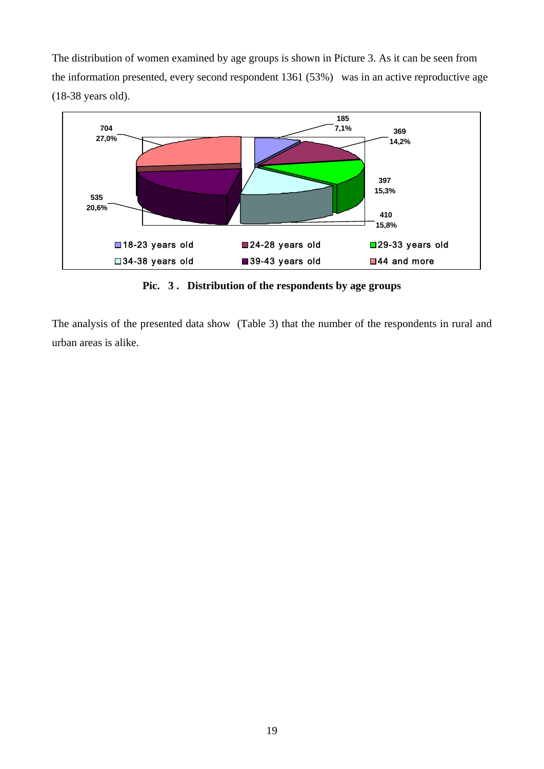The distribution of women examined by age groups is shown in Picture 3. As it can be seen from the information presented, every second respondent 1361 (53%)was in an active reproductive age (18-38 years old).



**Pic. 3 . Distribution of the respondents by age groups** 

The analysis of the presented data show (Table 3) that the number of the respondents in rural and urban areas is alike.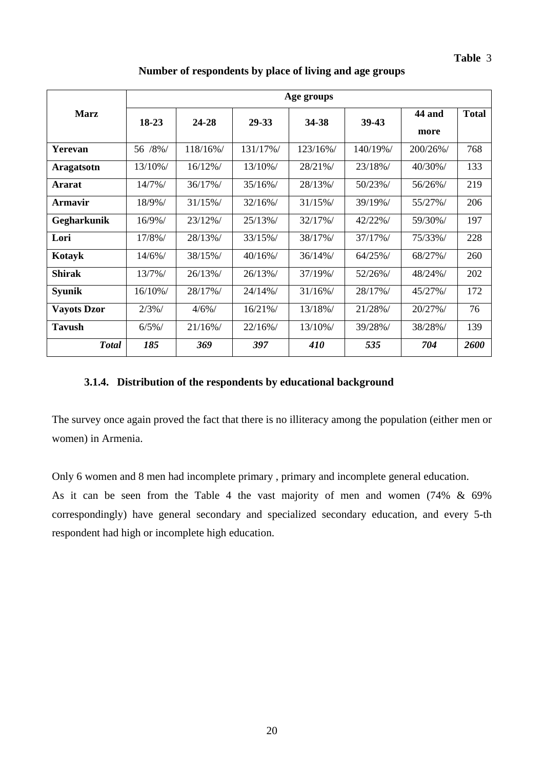|                    | Age groups |            |            |            |           |          |              |  |  |  |  |
|--------------------|------------|------------|------------|------------|-----------|----------|--------------|--|--|--|--|
| <b>Marz</b>        | $18-23$    | 24-28      | 29-33      | 34-38      | 39-43     | 44 and   | <b>Total</b> |  |  |  |  |
|                    |            |            |            |            |           | more     |              |  |  |  |  |
| Yerevan            | 56 /8%/    | 118/16%/   | 131/17%/   | 123/16%/   | 140/19%/  | 200/26%/ | 768          |  |  |  |  |
| <b>Aragatsotn</b>  | 13/10%/    | $16/12\%$  | 13/10%/    | 28/21%/    | 23/18%/   | 40/30%/  | 133          |  |  |  |  |
| <b>Ararat</b>      | 14/7%/     | 36/17%/    | $35/16\%/$ | 28/13%/    | 50/23%/   | 56/26%/  | 219          |  |  |  |  |
| <b>Armavir</b>     | 18/9%/     | $31/15\%$  | 32/16%/    | 31/15%/    | 39/19%/   | 55/27%/  | 206          |  |  |  |  |
| Gegharkunik        | $16/9\%/$  | 23/12%/    | 25/13%/    | 32/17%/    | 42/22%/   | 59/30%/  | 197          |  |  |  |  |
| Lori               | 17/8%/     | 28/13%/    | 33/15%/    | 38/17%/    | 37/17%/   | 75/33%/  | 228          |  |  |  |  |
| Kotayk             | 14/6%/     | 38/15%/    | $40/16\%$  | $36/14\%$  | $64/25\%$ | 68/27%/  | 260          |  |  |  |  |
| <b>Shirak</b>      | 13/7%/     | 26/13%/    | 26/13%/    | 37/19%/    | 52/26%/   | 48/24%/  | 202          |  |  |  |  |
| <b>Syunik</b>      | $16/10\%/$ | 28/17%/    | 24/14%/    | $31/16\%/$ | 28/17%/   | 45/27%/  | 172          |  |  |  |  |
| <b>Vayots Dzor</b> | 2/3%/      | $4/6\%/$   | 16/21%/    | 13/18%/    | 21/28%/   | 20/27%/  | 76           |  |  |  |  |
| <b>Tavush</b>      | 6/5%       | $21/16\%/$ | $22/16\%/$ | 13/10%/    | 39/28%/   | 38/28%/  | 139          |  |  |  |  |
| <b>Total</b>       | 185        | 369        | 397        | 410        | 535       | 704      | 2600         |  |  |  |  |

### **Number of respondents by place of living and age groups**

### **3.1.4. Distribution of the respondents by educational background**

The survey once again proved the fact that there is no illiteracy among the population (either men or women) in Armenia.

Only 6 women and 8 men had incomplete primary , primary and incomplete general education. As it can be seen from the Table 4 the vast majority of men and women (74% & 69%

correspondingly) have general secondary and specialized secondary education, and every 5-th respondent had high or incomplete high education.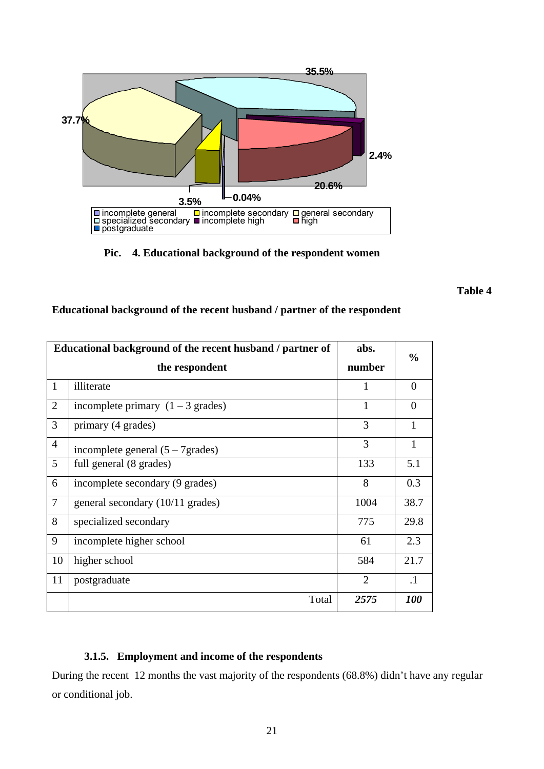

 **Pic. 4. Educational background of the respondent women**

**Table 4** 

|                | Educational background of the recent husband / partner of | abs.           | $\frac{6}{9}$ |
|----------------|-----------------------------------------------------------|----------------|---------------|
|                | the respondent                                            | number         |               |
| 1              | illiterate                                                | 1              | $\Omega$      |
| $\overline{2}$ | incomplete primary $(1 – 3$ grades)                       | $\mathbf{1}$   | $\theta$      |
| 3              | primary (4 grades)                                        | 3              |               |
| $\overline{4}$ | incomplete general $(5 – 7)$ grades)                      | 3              | 1             |
| 5              | full general (8 grades)                                   | 133            | 5.1           |
| 6              | incomplete secondary (9 grades)                           | 8              | 0.3           |
| $\tau$         | general secondary (10/11 grades)                          | 1004           | 38.7          |
| 8              | specialized secondary                                     | 775            | 29.8          |
| 9              | incomplete higher school                                  | 61             | 2.3           |
| 10             | higher school                                             | 584            | 21.7          |
| 11             | postgraduate                                              | $\overline{2}$ | $\cdot$ 1     |
|                | Total                                                     | 2575           | <b>100</b>    |

### **Educational background of the recent husband / partner of the respondent**

### **3.1.5. Employment and income of the respondents**

During the recent 12 months the vast majority of the respondents (68.8%) didn't have any regular or conditional job.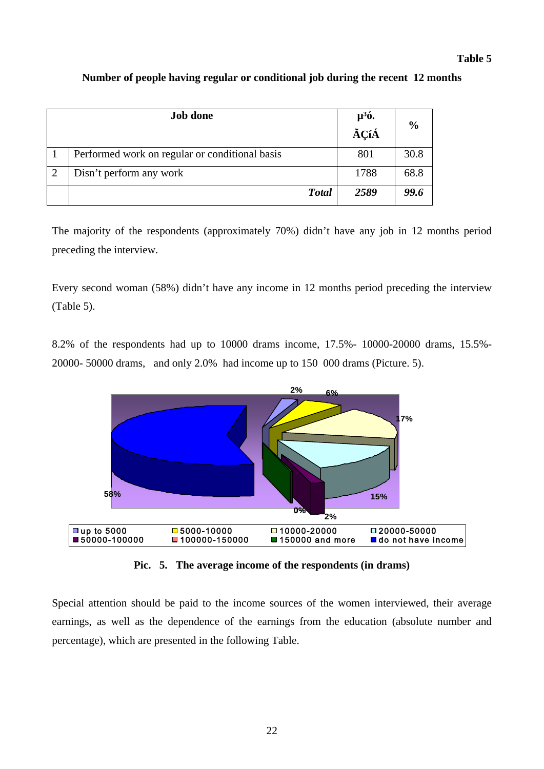### **Table 5**

|   | <b>Job done</b>                                | $\mu^3$ ó. | $\frac{0}{0}$ |
|---|------------------------------------------------|------------|---------------|
|   |                                                | .<br>ÃÇíÁ  |               |
|   | Performed work on regular or conditional basis | 801        | 30.8          |
| 2 | Disn't perform any work                        | 1788       | 68.8          |
|   | <b>Total</b>                                   | 2589       | 99.6          |

### **Number of people having regular or conditional job during the recent 12 months**

The majority of the respondents (approximately 70%) didn't have any job in 12 months period preceding the interview.

Every second woman (58%) didn't have any income in 12 months period preceding the interview (Table 5).

8.2% of the respondents had up to 10000 drams income, 17.5%- 10000-20000 drams, 15.5%- 20000- 50000 drams, and only 2.0% had income up to 150 000 drams (Picture. 5).



**Pic. 5. The average income of the respondents (in drams)** 

Special attention should be paid to the income sources of the women interviewed, their average earnings, as well as the dependence of the earnings from the education (absolute number and percentage), which are presented in the following Table.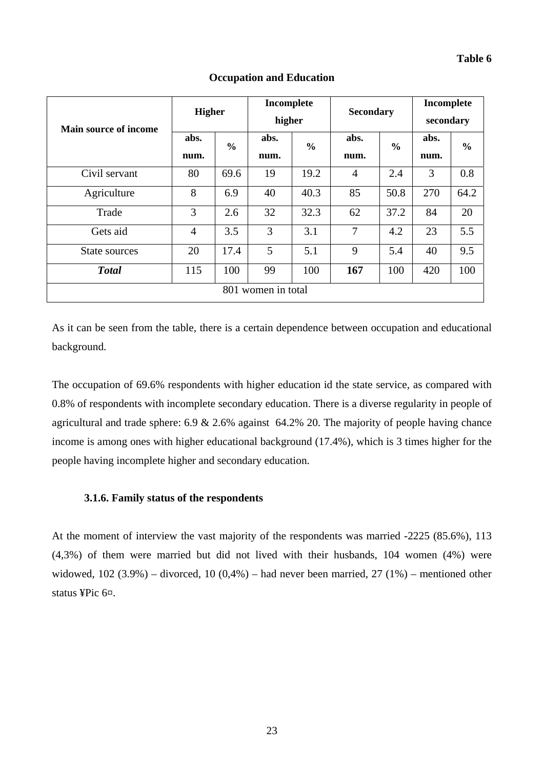| <b>Main source of income</b> | <b>Higher</b>  |               | Incomplete<br>higher |               | <b>Secondary</b> |               | Incomplete<br>secondary |               |
|------------------------------|----------------|---------------|----------------------|---------------|------------------|---------------|-------------------------|---------------|
|                              | abs.<br>num.   | $\frac{0}{0}$ | abs.<br>num.         | $\frac{0}{0}$ | abs.<br>num.     | $\frac{0}{0}$ | abs.<br>num.            | $\frac{6}{6}$ |
| Civil servant                | 80             | 69.6          | 19                   | 19.2          | $\overline{4}$   | 2.4           | 3                       | 0.8           |
| Agriculture                  | 8              | 6.9           | 40                   | 40.3          | 85               | 50.8          | 270                     | 64.2          |
| Trade                        | 3              | 2.6           | 32                   | 32.3          | 62               | 37.2          | 84                      | 20            |
| Gets aid                     | $\overline{4}$ | 3.5           | 3                    | 3.1           | $\overline{7}$   | 4.2           | 23                      | 5.5           |
| State sources                | 20             | 17.4          | 5                    | 5.1           | 9                | 5.4           | 40                      | 9.5           |
| <b>Total</b>                 | 115            | 100           | 99                   | 100           | 167              | 100           | 420                     | 100           |
| 801 women in total           |                |               |                      |               |                  |               |                         |               |

### **Occupation and Education**

As it can be seen from the table, there is a certain dependence between occupation and educational background.

The occupation of 69.6% respondents with higher education id the state service, as compared with 0.8% of respondents with incomplete secondary education. There is a diverse regularity in people of agricultural and trade sphere: 6.9 & 2.6% against 64.2% 20. The majority of people having chance income is among ones with higher educational background (17.4%), which is 3 times higher for the people having incomplete higher and secondary education.

### **3.1.6. Family status of the respondents**

At the moment of interview the vast majority of the respondents was married -2225 (85.6%), 113 (4,3%) of them were married but did not lived with their husbands, 104 women (4%) were widowed,  $102 (3.9%)$  – divorced,  $10 (0.4%)$  – had never been married,  $27 (1%)$  – mentioned other status ¥Pic 6¤.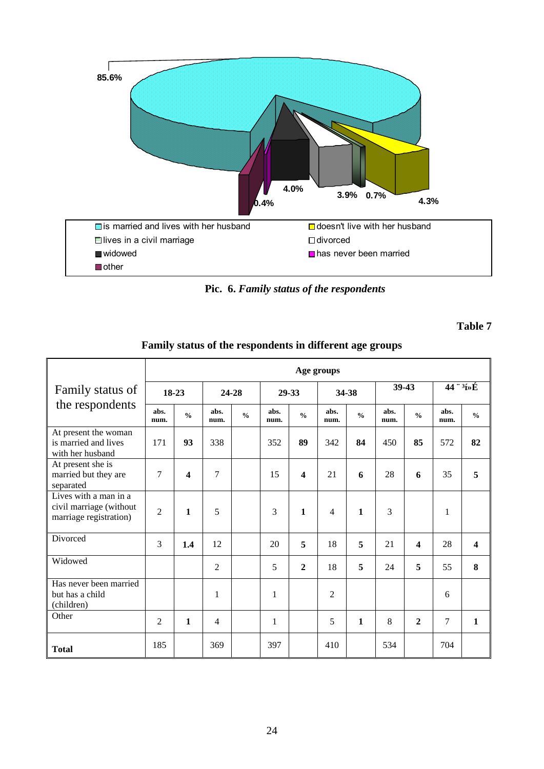

**Pic. 6.** *Family status of the respondents* 

**Table 7** 

|                                                                            |                |                                    |                |               |              |                         | Age groups     |               |              |                         |                           |                         |
|----------------------------------------------------------------------------|----------------|------------------------------------|----------------|---------------|--------------|-------------------------|----------------|---------------|--------------|-------------------------|---------------------------|-------------------------|
| Family status of                                                           | 18-23          |                                    |                | 24-28         |              | 29-33<br>34-38          |                |               |              | 39-43                   | $44 \degree 3/2 \text{E}$ |                         |
| the respondents                                                            | abs.<br>num.   | $\mathbf{0}_{\mathbf{0}}^{\prime}$ | abs.<br>num.   | $\frac{0}{0}$ | abs.<br>num. | $\frac{0}{0}$           | abs.<br>num.   | $\frac{0}{0}$ | abs.<br>num. | $\frac{0}{0}$           | abs.<br>num.              | $\frac{0}{0}$           |
| At present the woman<br>is married and lives<br>with her husband           | 171            | 93                                 | 338            |               | 352          | 89                      | 342            | 84            | 450          | 85                      | 572                       | 82                      |
| At present she is<br>married but they are<br>separated                     | 7              | $\overline{\mathbf{4}}$            | 7              |               | 15           | $\overline{\mathbf{4}}$ | 21             | 6             | 28           | 6                       | 35                        | 5                       |
| Lives with a man in a<br>civil marriage (without<br>marriage registration) | $\overline{2}$ | $\mathbf{1}$                       | 5              |               | 3            | $\mathbf{1}$            | 4              | $\mathbf{1}$  | 3            |                         | 1                         |                         |
| Divorced                                                                   | 3              | 1.4                                | 12             |               | 20           | 5                       | 18             | 5             | 21           | $\overline{\mathbf{4}}$ | 28                        | $\overline{\mathbf{4}}$ |
| Widowed                                                                    |                |                                    | $\overline{2}$ |               | 5            | $\overline{2}$          | 18             | 5             | 24           | 5                       | 55                        | 8                       |
| Has never been married<br>but has a child<br>(children)                    |                |                                    | 1              |               | $\mathbf{1}$ |                         | $\overline{2}$ |               |              |                         | 6                         |                         |
| Other                                                                      | $\overline{2}$ | $\mathbf{1}$                       | $\overline{4}$ |               | $\mathbf{1}$ |                         | 5              | $\mathbf{1}$  | 8            | $\overline{2}$          | $\tau$                    | $\mathbf{1}$            |
| <b>Total</b>                                                               | 185            |                                    | 369            |               | 397          |                         | 410            |               | 534          |                         | 704                       |                         |

### Family status of the respondents in different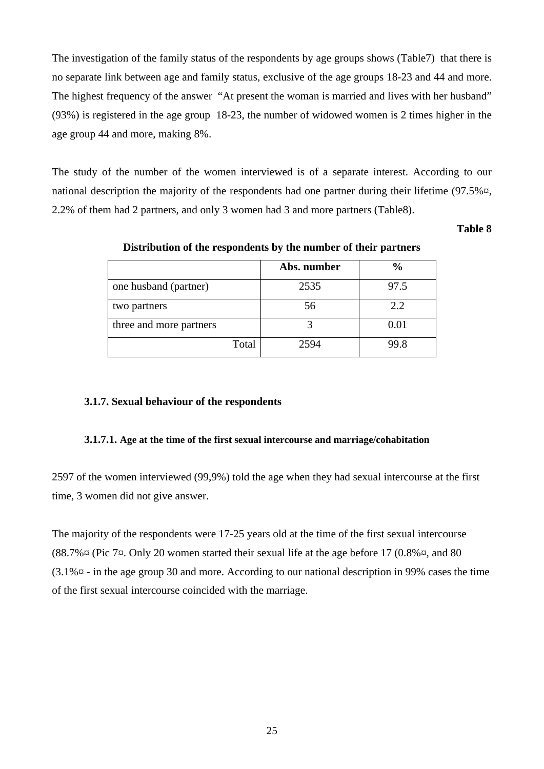The investigation of the family status of the respondents by age groups shows (Table7) that there is no separate link between age and family status, exclusive of the age groups 18-23 and 44 and more. The highest frequency of the answer "At present the woman is married and lives with her husband" (93%) is registered in the age group 18-23, the number of widowed women is 2 times higher in the age group 44 and more, making 8%.

The study of the number of the women interviewed is of a separate interest. According to our national description the majority of the respondents had one partner during their lifetime (97.5% $\alpha$ , 2.2% of them had 2 partners, and only 3 women had 3 and more partners (Table8).

### **Table 8**

|                         | Abs. number | $\frac{6}{6}$ |
|-------------------------|-------------|---------------|
| one husband (partner)   | 2535        | 97.5          |
| two partners            | 56          | 2.2           |
| three and more partners |             | 0.01          |
| Total                   | 2594        | 99.8          |

**Distribution of the respondents by the number of their partners** 

### **3.1.7. Sexual behaviour of the respondents**

### **3.1.7.1. Age at the time of the first sexual intercourse and marriage/cohabitation**

2597 of the women interviewed (99,9%) told the age when they had sexual intercourse at the first time, 3 women did not give answer.

The majority of the respondents were 17-25 years old at the time of the first sexual intercourse  $(88.7\% \times (Pic 7\times)$  Only 20 women started their sexual life at the age before 17  $(0.8\% \times, and 80\%)$ (3.1%¤ - in the age group 30 and more. According to our national description in 99% cases the time of the first sexual intercourse coincided with the marriage.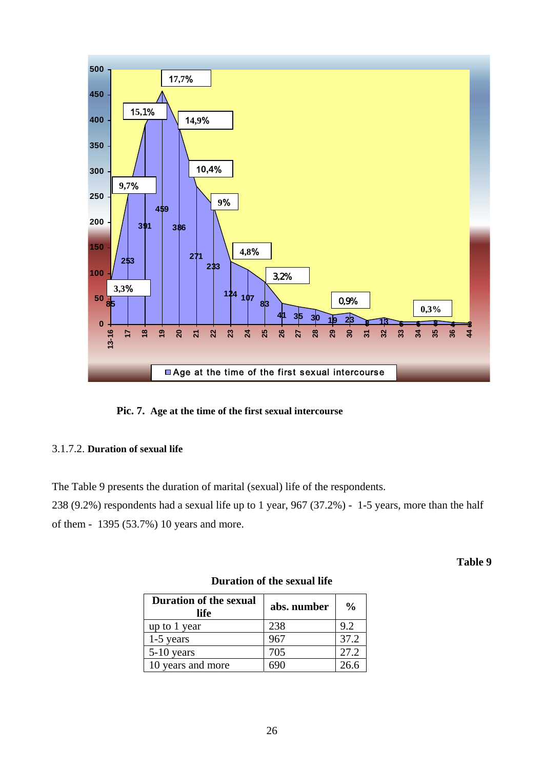

**Pic. 7. Age at the time of the first sexual intercourse**

### 3.1.7.2. **Duration of sexual life**

The Table 9 presents the duration of marital (sexual) life of the respondents.

238 (9.2%) respondents had a sexual life up to 1 year, 967 (37.2%) - 1-5 years, more than the half of them - 1395 (53.7%) 10 years and more.

**Table 9** 

| <b>Duration of the sexual</b><br>life | abs. number | $\frac{6}{9}$ |
|---------------------------------------|-------------|---------------|
| up to 1 year                          | 238         | 9.2           |
| $1-5$ years                           | 967         | 37.2          |
| $5-10$ years                          | 705         | 27.2          |
| 10 years and more                     |             | 26.6          |

### **Duration of the sexual life**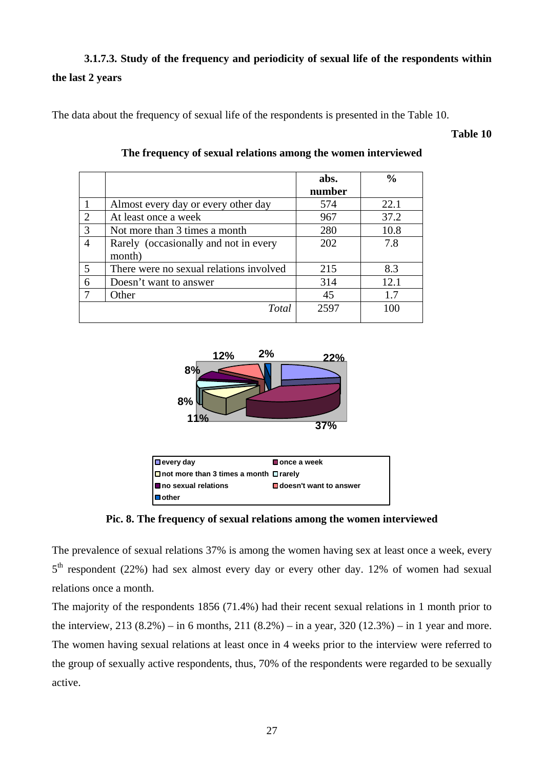### **3.1.7.3. Study of the frequency and periodicity of sexual life of the respondents within the last 2 years**

The data about the frequency of sexual life of the respondents is presented in the Table 10.

### **Table 10**

|   |                                         | abs.   | $\frac{0}{0}$ |
|---|-----------------------------------------|--------|---------------|
|   |                                         | number |               |
|   | Almost every day or every other day     | 574    | 22.1          |
| 2 | At least once a week                    | 967    | 37.2          |
| 3 | Not more than 3 times a month           | 280    | 10.8          |
| 4 | Rarely (occasionally and not in every   | 202    | 7.8           |
|   | month)                                  |        |               |
| 5 | There were no sexual relations involved | 215    | 8.3           |
| 6 | Doesn't want to answer                  | 314    | 12.1          |
|   | Other                                   | 45     | 1.7           |
|   | Total                                   | 2597   | 100           |

### **The frequency of sexual relations among the women interviewed**



**Pic. 8. The frequency of sexual relations among the women interviewed**

The prevalence of sexual relations 37% is among the women having sex at least once a week, every  $5<sup>th</sup>$  respondent (22%) had sex almost every day or every other day. 12% of women had sexual relations once a month.

The majority of the respondents 1856 (71.4%) had their recent sexual relations in 1 month prior to the interview,  $213 (8.2%) - in 6 months, 211 (8.2%) - in a year, 320 (12.3%) - in 1 year and more.$ The women having sexual relations at least once in 4 weeks prior to the interview were referred to the group of sexually active respondents, thus, 70% of the respondents were regarded to be sexually active.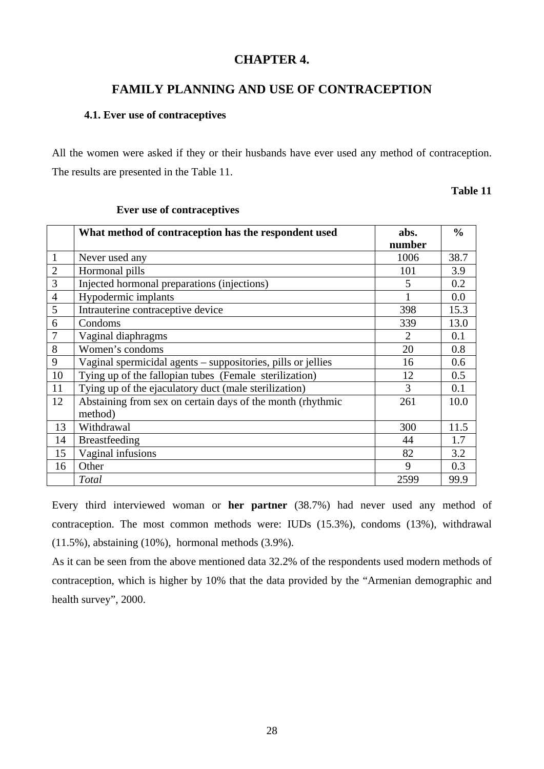### **CHAPTER 4.**

### **FAMILY PLANNING AND USE OF CONTRACEPTION**

### **4.1. Ever use of contraceptives**

All the women were asked if they or their husbands have ever used any method of contraception. The results are presented in the Table 11.

### **Table 11**

|                | What method of contraception has the respondent used         | abs.                        | $\frac{0}{0}$ |
|----------------|--------------------------------------------------------------|-----------------------------|---------------|
|                |                                                              | number                      |               |
| $\mathbf{1}$   | Never used any                                               | 1006                        | 38.7          |
| $\overline{2}$ | Hormonal pills                                               | 101                         | 3.9           |
| 3              | Injected hormonal preparations (injections)                  | 5                           | 0.2           |
| $\overline{4}$ | Hypodermic implants                                          |                             | 0.0           |
| 5              | Intrauterine contraceptive device                            | 398                         | 15.3          |
| 6              | Condoms                                                      | 339                         | 13.0          |
| $\tau$         | Vaginal diaphragms                                           | $\mathcal{D}_{\mathcal{L}}$ | 0.1           |
| 8              | Women's condoms                                              | 20                          | 0.8           |
| 9              | Vaginal spermicidal agents - suppositories, pills or jellies | 16                          | 0.6           |
| 10             | Tying up of the fallopian tubes (Female sterilization)       | 12                          | 0.5           |
| 11             | Tying up of the ejaculatory duct (male sterilization)        | 3                           | 0.1           |
| 12             | Abstaining from sex on certain days of the month (rhythmic   | 261                         | 10.0          |
|                | method)                                                      |                             |               |
| 13             | Withdrawal                                                   | 300                         | 11.5          |
| 14             | <b>Breastfeeding</b>                                         | 44                          | 1.7           |
| 15             | Vaginal infusions                                            | 82                          | 3.2           |
| 16             | Other                                                        | 9                           | 0.3           |
|                | Total                                                        | 2599                        | 99.9          |

### **Ever use of contraceptives**

Every third interviewed woman or **her partner** (38.7%) had never used any method of contraception. The most common methods were: IUDs (15.3%), condoms (13%), withdrawal (11.5%), abstaining (10%), hormonal methods (3.9%).

As it can be seen from the above mentioned data 32.2% of the respondents used modern methods of contraception, which is higher by 10% that the data provided by the "Armenian demographic and health survey", 2000.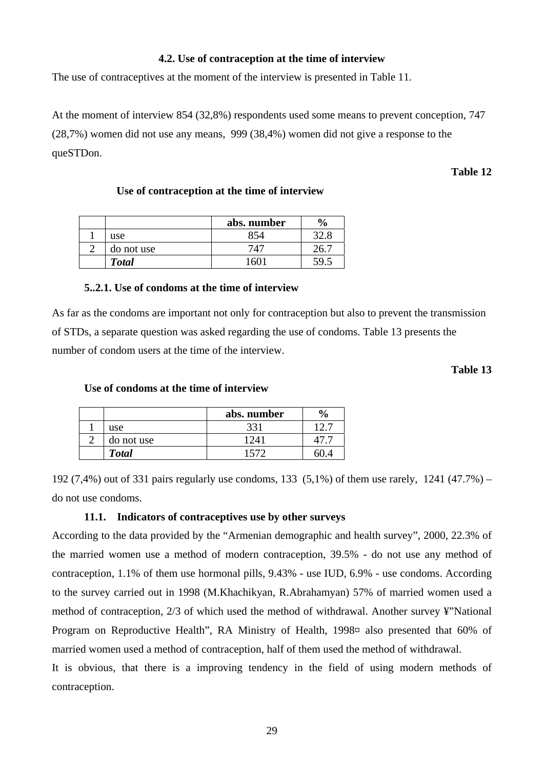### **4.2. Use of contraception at the time of interview**

The use of contraceptives at the moment of the interview is presented in Table 11.

At the moment of interview 854 (32,8%) respondents used some means to prevent conception, 747 (28,7%) women did not use any means, 999 (38,4%) women did not give a response to the queSTDon.

### **Table 12**

| Use of contraception at the time of interview |  |
|-----------------------------------------------|--|
|                                               |  |

|              | abs. number | $\frac{6}{9}$ |
|--------------|-------------|---------------|
| use          | 854         |               |
| do not use   | 747         |               |
| <b>Total</b> | 60          |               |

### **5..2.1. Use of condoms at the time of interview**

As far as the condoms are important not only for contraception but also to prevent the transmission of STDs, a separate question was asked regarding the use of condoms. Table 13 presents the number of condom users at the time of the interview.

**Table 13** 

|              | abs. number | $\frac{0}{0}$ |
|--------------|-------------|---------------|
| use          | າາ'         |               |
| do not use   |             |               |
| <b>Total</b> | 1570        |               |

### **Use of condoms at the time of interview**

192 (7,4%) out of 331 pairs regularly use condoms, 133 (5,1%) of them use rarely, 1241 (47.7%) – do not use condoms.

### **11.1. Indicators of contraceptives use by other surveys**

According to the data provided by the "Armenian demographic and health survey", 2000, 22.3% of the married women use a method of modern contraception, 39.5% - do not use any method of contraception, 1.1% of them use hormonal pills, 9.43% - use IUD, 6.9% - use condoms. According to the survey carried out in 1998 (M.Khachikyan, R.Abrahamyan) 57% of married women used a method of contraception, 2/3 of which used the method of withdrawal. Another survey ¥"National Program on Reproductive Health", RA Ministry of Health, 1998¤ also presented that 60% of married women used a method of contraception, half of them used the method of withdrawal.

It is obvious, that there is a improving tendency in the field of using modern methods of contraception.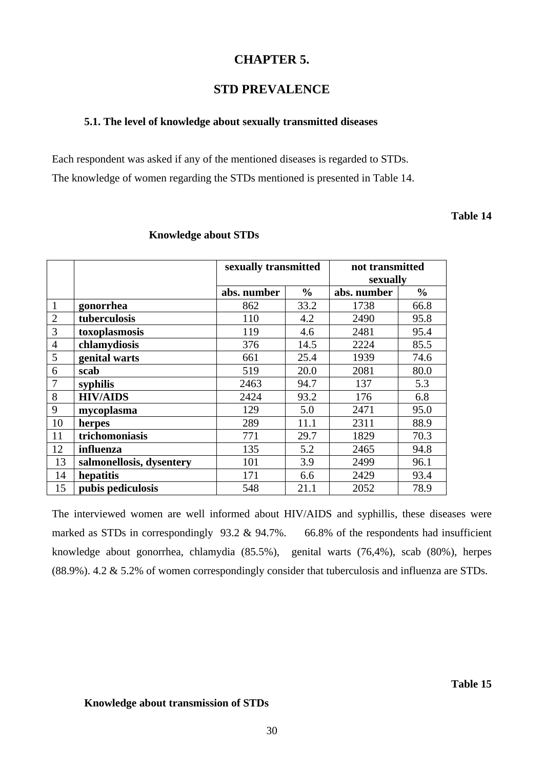### **CHAPTER 5.**

### **STD PREVALENCE**

### **5.1. The level of knowledge about sexually transmitted diseases**

Each respondent was asked if any of the mentioned diseases is regarded to STDs. The knowledge of women regarding the STDs mentioned is presented in Table 14.

### **Table 14**

|                |                          | sexually transmitted |               | not transmitted |               |  |
|----------------|--------------------------|----------------------|---------------|-----------------|---------------|--|
|                |                          |                      |               | sexually        |               |  |
|                |                          | abs. number          | $\frac{6}{9}$ | abs. number     | $\frac{6}{9}$ |  |
| $\mathbf{1}$   | gonorrhea                | 862                  | 33.2          | 1738            | 66.8          |  |
| $\overline{2}$ | tuberculosis             | 110                  | 4.2           | 2490            | 95.8          |  |
| 3              | toxoplasmosis            | 119                  | 4.6           | 2481            | 95.4          |  |
| $\overline{4}$ | chlamydiosis             | 376                  | 14.5          | 2224            | 85.5          |  |
| 5              | genital warts            | 661                  | 25.4          | 1939            | 74.6          |  |
| 6              | scab                     | 519                  | 20.0          | 2081            | 80.0          |  |
| 7              | syphilis                 | 2463                 | 94.7          | 137             | 5.3           |  |
| 8              | <b>HIV/AIDS</b>          | 2424                 | 93.2          | 176             | 6.8           |  |
| 9              | mycoplasma               | 129                  | 5.0           | 2471            | 95.0          |  |
| 10             | herpes                   | 289                  | 11.1          | 2311            | 88.9          |  |
| 11             | trichomoniasis           | 771                  | 29.7          | 1829            | 70.3          |  |
| 12             | influenza                | 135                  | 5.2           | 2465            | 94.8          |  |
| 13             | salmonellosis, dysentery | 101                  | 3.9           | 2499            | 96.1          |  |
| 14             | hepatitis                | 171                  | 6.6           | 2429            | 93.4          |  |
| 15             | pubis pediculosis        | 548                  | 21.1          | 2052            | 78.9          |  |

### **Knowledge about STDs**

The interviewed women are well informed about HIV/AIDS and syphillis, these diseases were marked as STDs in correspondingly 93.2 & 94.7%. 66.8% of the respondents had insufficient knowledge about gonorrhea, chlamydia (85.5%), genital warts (76,4%), scab (80%), herpes (88.9%). 4.2 & 5.2% of women correspondingly consider that tuberculosis and influenza are STDs.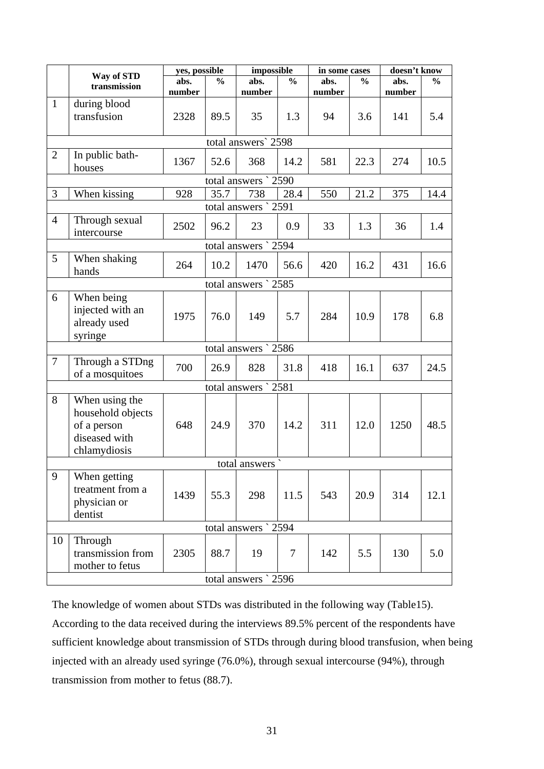|                | Way of STD                                                                          | yes, possible  |               | impossible           |               | in some cases  | doesn't know  |                |               |
|----------------|-------------------------------------------------------------------------------------|----------------|---------------|----------------------|---------------|----------------|---------------|----------------|---------------|
|                | transmission                                                                        | abs.<br>number | $\frac{0}{0}$ | abs.<br>number       | $\frac{0}{0}$ | abs.<br>number | $\frac{6}{9}$ | abs.<br>number | $\frac{6}{6}$ |
| $\mathbf{1}$   | during blood                                                                        |                |               |                      |               |                |               |                |               |
|                | transfusion                                                                         | 2328           | 89.5          | 35                   | 1.3           | 94             | 3.6           | 141            | 5.4           |
|                |                                                                                     |                |               | total answers` 2598  |               |                |               |                |               |
| $\overline{2}$ | In public bath-<br>houses                                                           | 1367           | 52.6          | 368                  | 14.2          | 581            | 22.3          | 274            | 10.5          |
|                |                                                                                     |                |               | total answers ` 2590 |               |                |               |                |               |
| 3              | When kissing                                                                        | 928            | 35.7          | 738                  | 28.4          | 550            | 21.2          | 375            | 14.4          |
|                |                                                                                     |                |               | total answers ` 2591 |               |                |               |                |               |
| $\overline{4}$ | Through sexual<br>intercourse                                                       | 2502           | 96.2          | 23                   | 0.9           | 33             | 1.3           | 36             | 1.4           |
|                |                                                                                     |                |               | total answers ` 2594 |               |                |               |                |               |
| 5              | When shaking<br>hands                                                               | 264            | 10.2          | 1470                 | 56.6          | 420            | 16.2          | 431            | 16.6          |
|                |                                                                                     |                |               | total answers ` 2585 |               |                |               |                |               |
| 6              | When being<br>injected with an<br>already used<br>syringe                           | 1975           | 76.0          | 149                  | 5.7           | 284            | 10.9          | 178            | 6.8           |
|                |                                                                                     |                |               | total answers ` 2586 |               |                |               |                |               |
| $\tau$         | Through a STDng<br>of a mosquitoes                                                  | 700            | 26.9          | 828                  | 31.8          | 418            | 16.1          | 637            | 24.5          |
|                |                                                                                     |                |               | total answers ` 2581 |               |                |               |                |               |
| 8              | When using the<br>household objects<br>of a person<br>diseased with<br>chlamydiosis | 648            | 24.9          | 370                  | 14.2          | 311            | 12.0          | 1250           | 48.5          |
|                |                                                                                     |                |               | total answers        |               |                |               |                |               |
| 9              | When getting<br>treatment from a<br>physician or<br>dentist                         | 1439           | 55.3          | 298                  | 11.5          | 543            | 20.9          | 314            | 12.1          |
|                |                                                                                     |                |               | total answers ` 2594 |               |                |               |                |               |
| 10             | Through<br>transmission from<br>mother to fetus                                     | 2305           | 88.7          | 19                   | $\tau$        | 142            | 5.5           | 130            | 5.0           |
|                |                                                                                     |                |               | total answers ` 2596 |               |                |               |                |               |

The knowledge of women about STDs was distributed in the following way (Table15). According to the data received during the interviews 89.5% percent of the respondents have sufficient knowledge about transmission of STDs through during blood transfusion, when being injected with an already used syringe (76.0%), through sexual intercourse (94%), through transmission from mother to fetus (88.7).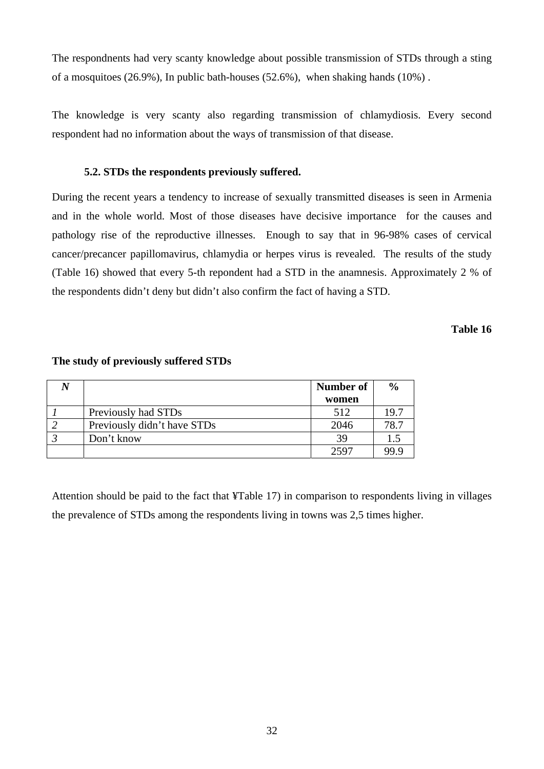The respondnents had very scanty knowledge about possible transmission of STDs through a sting of a mosquitoes (26.9%), In public bath-houses (52.6%), when shaking hands (10%) .

The knowledge is very scanty also regarding transmission of chlamydiosis. Every second respondent had no information about the ways of transmission of that disease.

### **5.2. STDs the respondents previously suffered.**

During the recent years a tendency to increase of sexually transmitted diseases is seen in Armenia and in the whole world. Most of those diseases have decisive importance for the causes and pathology rise of the reproductive illnesses. Enough to say that in 96-98% cases of cervical cancer/precancer papillomavirus, chlamydia or herpes virus is revealed. The results of the study (Table 16) showed that every 5-th repondent had a STD in the anamnesis. Approximately 2 % of the respondents didn't deny but didn't also confirm the fact of having a STD.

**Table 16** 

|                             | <b>Number of</b> | $\frac{0}{0}$ |
|-----------------------------|------------------|---------------|
|                             | women            |               |
| Previously had STDs         | 512              | 19.7          |
| Previously didn't have STDs | 2046             | 78.7          |
| Don't know                  | 39               | 1.5           |
|                             | 2597             | 99.9          |

#### **The study of previously suffered STDs**

Attention should be paid to the fact that ¥Table 17) in comparison to respondents living in villages the prevalence of STDs among the respondents living in towns was 2,5 times higher.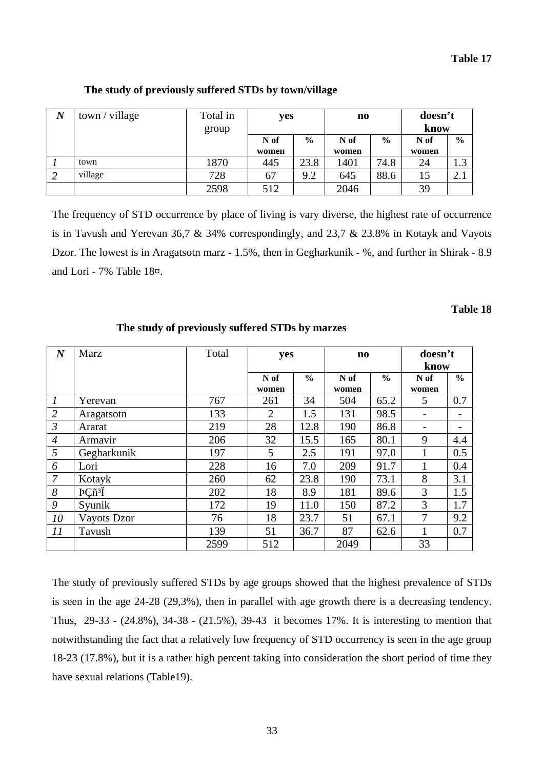| $\boldsymbol{N}$ | town / village | Total in<br>group | yes   |               | $\mathbf{n}\mathbf{o}$ |               |       | doesn't<br>know |  |
|------------------|----------------|-------------------|-------|---------------|------------------------|---------------|-------|-----------------|--|
|                  |                |                   | N of  | $\frac{0}{0}$ | N of                   | $\frac{0}{0}$ | N of  | $\frac{0}{0}$   |  |
|                  |                |                   | women |               | women                  |               | women |                 |  |
|                  | town           | 1870              | 445   | 23.8          | 1401                   | 74.8          | 24    | ◠               |  |
| -2               | village        | 728               | 67    | 9.2           | 645                    | 88.6          | 15    | 2.1             |  |
|                  |                | 2598              | 512   |               | 2046                   |               | 39    |                 |  |

### **The study of previously suffered STDs by town/village**

The frequency of STD occurrence by place of living is vary diverse, the highest rate of occurrence is in Tavush and Yerevan 36,7 & 34% correspondingly, and 23,7 & 23.8% in Kotayk and Vayots Dzor. The lowest is in Aragatsotn marz - 1.5%, then in Gegharkunik - %, and further in Shirak - 8.9 and Lori - 7% Table 18¤.

### **Table 18**

| $\boldsymbol{N}$ | Marz                                    | Total |               | yes           |              | $\mathbf{n}\mathbf{o}$ | doesn't<br>know |               |
|------------------|-----------------------------------------|-------|---------------|---------------|--------------|------------------------|-----------------|---------------|
|                  |                                         |       | N of<br>women | $\frac{6}{6}$ | N of         | $\frac{6}{6}$          | N of            | $\frac{6}{9}$ |
| $\boldsymbol{l}$ | Yerevan                                 | 767   | 261           | 34            | women<br>504 | 65.2                   | women<br>5      | 0.7           |
| $\mathfrak{2}$   | Aragatsotn                              | 133   | 2             | 1.5           | 131          | 98.5                   |                 |               |
| $\mathfrak{Z}$   | Ararat                                  | 219   | 28            | 12.8          | 190          | 86.8                   |                 |               |
| $\overline{4}$   | Armavir                                 | 206   | 32            | 15.5          | 165          | 80.1                   | 9               | 4.4           |
| 5                | Gegharkunik                             | 197   | 5             | 2.5           | 191          | 97.0                   |                 | 0.5           |
| 6                | Lori                                    | 228   | 16            | 7.0           | 209          | 91.7                   |                 | 0.4           |
| $\overline{7}$   | Kotayk                                  | 260   | 62            | 23.8          | 190          | 73.1                   | 8               | 3.1           |
| 8                | $P\tilde{\text{C}}\tilde{n}^3\tilde{l}$ | 202   | 18            | 8.9           | 181          | 89.6                   | 3               | 1.5           |
| 9                | Syunik                                  | 172   | 19            | 11.0          | 150          | 87.2                   | 3               | 1.7           |
| 10               | Vayots Dzor                             | 76    | 18            | 23.7          | 51           | 67.1                   | 7               | 9.2           |
| 11               | Tavush                                  | 139   | 51            | 36.7          | 87           | 62.6                   |                 | 0.7           |
|                  |                                         | 2599  | 512           |               | 2049         |                        | 33              |               |

### **The study of previously suffered STDs by marzes**

The study of previously suffered STDs by age groups showed that the highest prevalence of STDs is seen in the age 24-28 (29,3%), then in parallel with age growth there is a decreasing tendency. Thus, 29-33 - (24.8%), 34-38 - (21.5%), 39-43 it becomes 17%. It is interesting to mention that notwithstanding the fact that a relatively low frequency of STD occurrency is seen in the age group 18-23 (17.8%), but it is a rather high percent taking into consideration the short period of time they have sexual relations (Table19).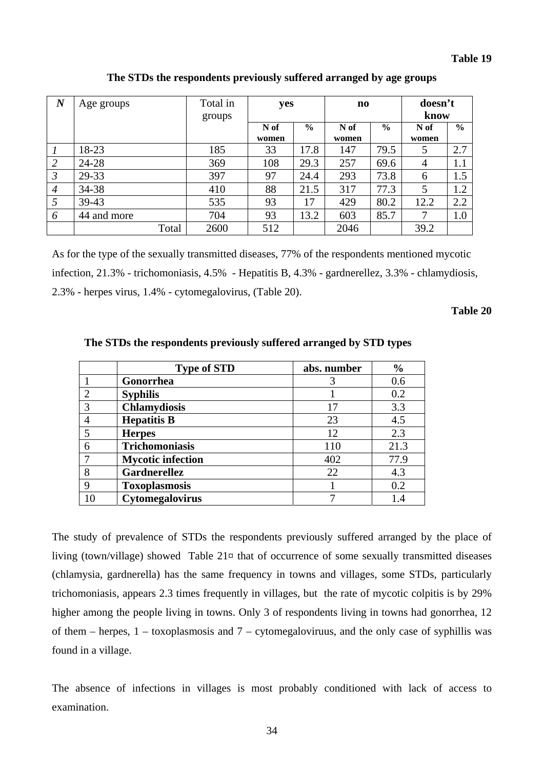| $\boldsymbol{N}$ | Age groups  | Total in | yes   |               | n <sub>0</sub> |               | doesn't |               |
|------------------|-------------|----------|-------|---------------|----------------|---------------|---------|---------------|
|                  |             | groups   |       |               |                |               | know    |               |
|                  |             |          | N of  | $\frac{6}{6}$ | N of           | $\frac{6}{9}$ | N of    | $\frac{6}{6}$ |
|                  |             |          | women |               | women          |               | women   |               |
|                  | 18-23       | 185      | 33    | 17.8          | 147            | 79.5          | 5       | 2.7           |
| 2                | 24-28       | 369      | 108   | 29.3          | 257            | 69.6          | 4       | 1.1           |
| $\mathfrak{Z}$   | 29-33       | 397      | 97    | 24.4          | 293            | 73.8          | 6       | 1.5           |
| $\overline{4}$   | 34-38       | 410      | 88    | 21.5          | 317            | 77.3          | 5       | 1.2           |
| 5                | $39 - 43$   | 535      | 93    | 17            | 429            | 80.2          | 12.2    | 2.2           |
| 6                | 44 and more | 704      | 93    | 13.2          | 603            | 85.7          | 7       | 1.0           |
|                  | Total       | 2600     | 512   |               | 2046           |               | 39.2    |               |

**The STDs the respondents previously suffered arranged by age groups** 

As for the type of the sexually transmitted diseases, 77% of the respondents mentioned mycotic infection, 21.3% - trichomoniasis, 4.5% - Hepatitis B, 4.3% - gardnerellez, 3.3% - chlamydiosis, 2.3% - herpes virus, 1.4% - cytomegalovirus, (Table 20).

### **Table 20**

|                | <b>Type of STD</b>       | abs. number | $\frac{0}{0}$ |
|----------------|--------------------------|-------------|---------------|
|                | Gonorrhea                |             | 0.6           |
| $\mathfrak{D}$ | <b>Syphilis</b>          |             | 0.2           |
| 3              | <b>Chlamydiosis</b>      | 17          | 3.3           |
|                | <b>Hepatitis B</b>       | 23          | 4.5           |
|                | <b>Herpes</b>            | 12          | 2.3           |
| 6              | <b>Trichomoniasis</b>    | 110         | 21.3          |
|                | <b>Mycotic infection</b> | 402         | 77.9          |
| 8              | <b>Gardnerellez</b>      | 22          | 4.3           |
| 9              | <b>Toxoplasmosis</b>     |             | 0.2           |
| 10             | Cytomegalovirus          | ⇁           | 1.4           |

 **The STDs the respondents previously suffered arranged by STD types** 

The study of prevalence of STDs the respondents previously suffered arranged by the place of living (town/village) showed Table 21¤ that of occurrence of some sexually transmitted diseases (chlamysia, gardnerella) has the same frequency in towns and villages, some STDs, particularly trichomoniasis, appears 2.3 times frequently in villages, but the rate of mycotic colpitis is by 29% higher among the people living in towns. Only 3 of respondents living in towns had gonorrhea, 12 of them – herpes, 1 – toxoplasmosis and 7 – cytomegaloviruus, and the only case of syphillis was found in a village.

The absence of infections in villages is most probably conditioned with lack of access to examination.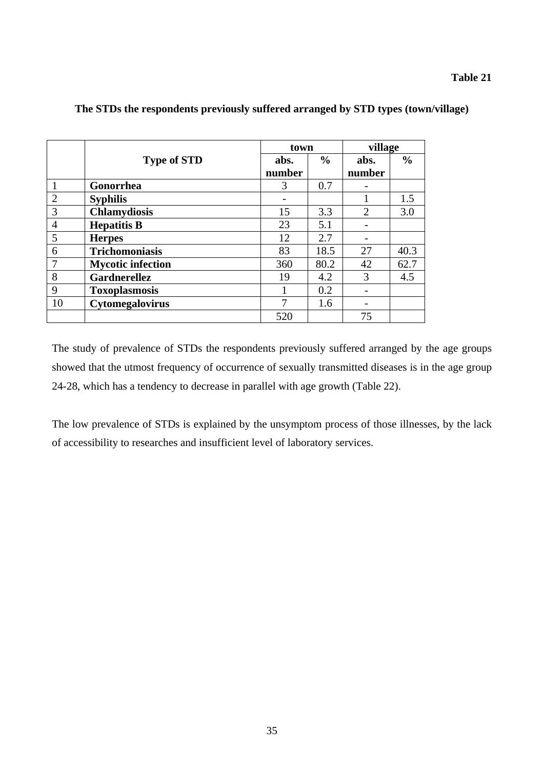### **Table 21**

|                |                          | town   |               | village                     |               |
|----------------|--------------------------|--------|---------------|-----------------------------|---------------|
|                | <b>Type of STD</b>       | abs.   | $\frac{6}{6}$ | abs.                        | $\frac{6}{6}$ |
|                |                          | number |               | number                      |               |
|                | Gonorrhea                | 3      | 0.7           |                             |               |
| 2              | <b>Syphilis</b>          |        |               |                             | 1.5           |
| 3              | <b>Chlamydiosis</b>      | 15     | 3.3           | $\mathcal{D}_{\mathcal{A}}$ | 3.0           |
| $\overline{4}$ | <b>Hepatitis B</b>       | 23     | 5.1           |                             |               |
| 5              | <b>Herpes</b>            | 12     | 2.7           |                             |               |
| 6              | <b>Trichomoniasis</b>    | 83     | 18.5          | 27                          | 40.3          |
| 7              | <b>Mycotic infection</b> | 360    | 80.2          | 42                          | 62.7          |
| 8              | <b>Gardnerellez</b>      | 19     | 4.2           | 3                           | 4.5           |
| 9              | <b>Toxoplasmosis</b>     |        | 0.2           |                             |               |
| 10             | Cytomegalovirus          |        | 1.6           |                             |               |
|                |                          | 520    |               | 75                          |               |

### **The STDs the respondents previously suffered arranged by STD types (town/village)**

The study of prevalence of STDs the respondents previously suffered arranged by the age groups showed that the utmost frequency of occurrence of sexually transmitted diseases is in the age group 24-28, which has a tendency to decrease in parallel with age growth (Table 22).

The low prevalence of STDs is explained by the unsymptom process of those illnesses, by the lack of accessibility to researches and insufficient level of laboratory services.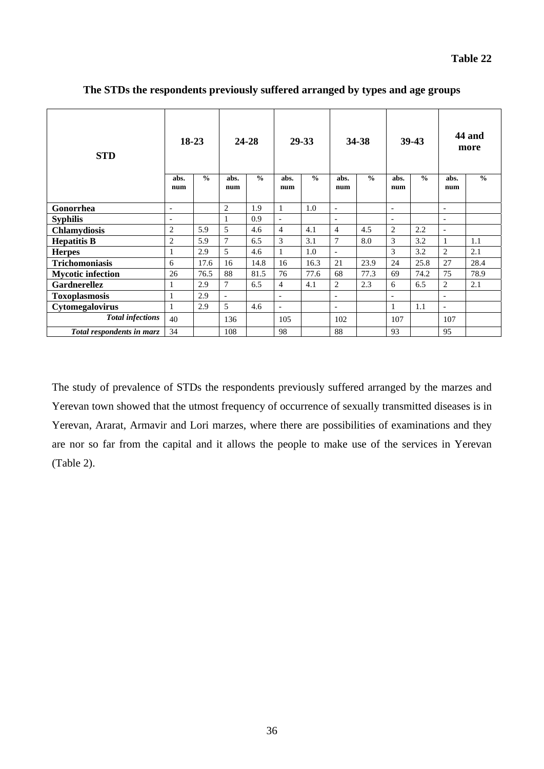| <b>STD</b>                | 18-23                    |               | 24-28          |               | 29-33                    |               | 34-38                    |               | 39-43                    |               | 44 and<br>more           |               |
|---------------------------|--------------------------|---------------|----------------|---------------|--------------------------|---------------|--------------------------|---------------|--------------------------|---------------|--------------------------|---------------|
|                           | abs.<br>num              | $\frac{0}{0}$ | abs.<br>num    | $\frac{0}{0}$ | abs.<br>num              | $\frac{0}{0}$ | abs.<br>num              | $\frac{0}{0}$ | abs.<br>num              | $\frac{0}{0}$ | abs.<br>num              | $\frac{0}{0}$ |
| Gonorrhea                 | $\overline{\phantom{a}}$ |               | $\overline{2}$ | 1.9           | $\mathbf{1}$             | 1.0           | $\overline{\phantom{a}}$ |               | $\overline{\phantom{a}}$ |               | $\overline{\phantom{a}}$ |               |
| <b>Syphilis</b>           | $\overline{\phantom{a}}$ |               |                | 0.9           | $\overline{\phantom{a}}$ |               | $\overline{a}$           |               | $\overline{\phantom{a}}$ |               | $\overline{a}$           |               |
| <b>Chlamydiosis</b>       | $\overline{2}$           | 5.9           | 5              | 4.6           | $\overline{4}$           | 4.1           | $\overline{4}$           | 4.5           | 2                        | 2.2           | $\overline{\phantom{a}}$ |               |
| <b>Hepatitis B</b>        | $\overline{2}$           | 5.9           | $\overline{7}$ | 6.5           | 3                        | 3.1           | $\overline{7}$           | 8.0           | 3                        | 3.2           | 1                        | 1.1           |
| <b>Herpes</b>             | 1                        | 2.9           | 5              | 4.6           | 1                        | 1.0           | $\blacksquare$           |               | 3                        | 3.2           | $\overline{2}$           | 2.1           |
| <b>Trichomoniasis</b>     | 6                        | 17.6          | 16             | 14.8          | 16                       | 16.3          | 21                       | 23.9          | 24                       | 25.8          | 27                       | 28.4          |
| <b>Mycotic infection</b>  | 26                       | 76.5          | 88             | 81.5          | 76                       | 77.6          | 68                       | 77.3          | 69                       | 74.2          | 75                       | 78.9          |
| <b>Gardnerellez</b>       | 1                        | 2.9           | $\overline{7}$ | 6.5           | $\overline{4}$           | 4.1           | $\mathbf{2}$             | 2.3           | 6                        | 6.5           | $\overline{c}$           | 2.1           |
| <b>Toxoplasmosis</b>      | $\mathbf{1}$             | 2.9           | $\blacksquare$ |               | $\overline{\phantom{a}}$ |               | $\overline{\phantom{a}}$ |               | $\overline{\phantom{a}}$ |               | $\overline{a}$           |               |
| Cytomegalovirus           | 1                        | 2.9           | 5              | 4.6           | $\overline{\phantom{a}}$ |               | $\overline{\phantom{a}}$ |               |                          | 1.1           | $\overline{\phantom{a}}$ |               |
| <b>Total infections</b>   | 40                       |               | 136            |               | 105                      |               | 102                      |               | 107                      |               | 107                      |               |
| Total respondents in marz | 34                       |               | 108            |               | 98                       |               | 88                       |               | 93                       |               | 95                       |               |

**The STDs the respondents previously suffered arranged by types and age groups** 

The study of prevalence of STDs the respondents previously suffered arranged by the marzes and Yerevan town showed that the utmost frequency of occurrence of sexually transmitted diseases is in Yerevan, Ararat, Armavir and Lori marzes, where there are possibilities of examinations and they are nor so far from the capital and it allows the people to make use of the services in Yerevan (Table 2).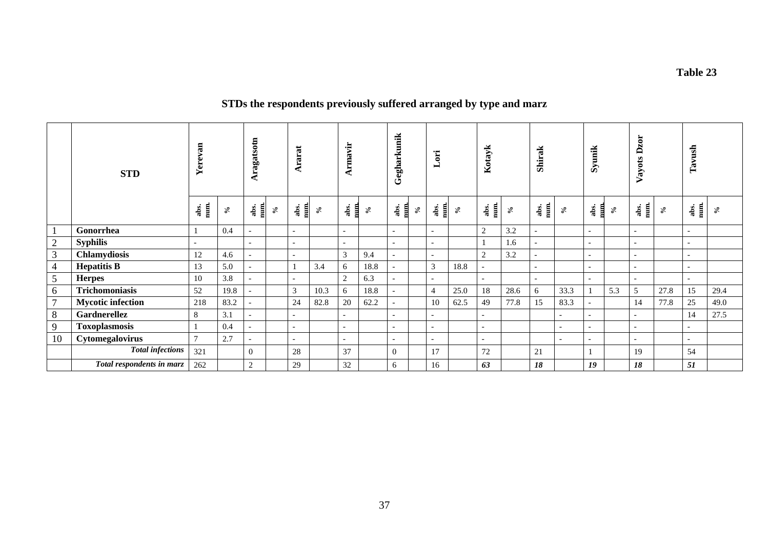#### **Table 23**

## **STDs the respondents previously suffered arranged by type and marz**

|                | <b>STD</b>                | erevan<br>≻              |               | Aragatsotn               |      | Ararat                   |                 | Armavir                  |           | Gegharkunik              |      | Lori                     |               | Kotayk                   |               | <b>Shirak</b>            |                          | Syunik                   |               | zor<br>Vayots D          |                 | Tavush                   |               |
|----------------|---------------------------|--------------------------|---------------|--------------------------|------|--------------------------|-----------------|--------------------------|-----------|--------------------------|------|--------------------------|---------------|--------------------------|---------------|--------------------------|--------------------------|--------------------------|---------------|--------------------------|-----------------|--------------------------|---------------|
|                |                           | abs.<br>num.             | $\mathcal{S}$ | abs.<br>num              | $\%$ | abs.<br>訓                | $\mathcal{S}_0$ | abs.<br>E                | $\approx$ | abs.<br>$\mathbf{m}$     | $\%$ | abs.<br>num.             | $\mathcal{S}$ | abs.<br>$\frac{1}{2}$    | $\mathcal{S}$ | num.<br>abs.             | $\mathcal{E}$            | abs.<br>冒                | $\mathcal{S}$ | abs.<br>num.             | $\mathcal{S}_0$ | abs.<br>num.             | $\mathcal{S}$ |
| $\mathbf{1}$   | Gonorrhea                 |                          | 0.4           | $\overline{\phantom{0}}$ |      | $\overline{\phantom{a}}$ |                 | $\overline{a}$           |           | $\overline{\phantom{a}}$ |      | $\overline{\phantom{a}}$ |               | 2                        | 3.2           | $\overline{\phantom{0}}$ |                          | $\overline{\phantom{a}}$ |               | $\overline{\phantom{a}}$ |                 | $\overline{\phantom{0}}$ |               |
| $\overline{2}$ | <b>Syphilis</b>           | $\overline{\phantom{a}}$ |               | $\sim$                   |      | $\overline{\phantom{a}}$ |                 | $\overline{\phantom{a}}$ |           | $\overline{\phantom{0}}$ |      | $\overline{\phantom{a}}$ |               |                          | 1.6           |                          |                          | $\overline{\phantom{a}}$ |               | $\overline{\phantom{0}}$ |                 | $\overline{\phantom{0}}$ |               |
| $\overline{3}$ | Chlamydiosis              | 12                       | 4.6           | $\overline{\phantom{a}}$ |      | $\overline{\phantom{a}}$ |                 | 3                        | 9.4       | $\overline{\phantom{0}}$ |      | $\overline{\phantom{a}}$ |               | 2                        | 3.2           |                          |                          | $\overline{\phantom{a}}$ |               | $\overline{\phantom{0}}$ |                 | $\overline{\phantom{0}}$ |               |
| $\overline{4}$ | <b>Hepatitis B</b>        | 13                       | 5.0           | $\overline{\phantom{a}}$ |      |                          | 3.4             | 6                        | 18.8      | $\overline{a}$           |      | 3                        | 18.8          | $\overline{\phantom{0}}$ |               | $\overline{\phantom{0}}$ |                          | $\overline{\phantom{0}}$ |               | $\overline{\phantom{0}}$ |                 | $\overline{\phantom{0}}$ |               |
| 5              | <b>Herpes</b>             | 10                       | 3.8           |                          |      | $\overline{\phantom{0}}$ |                 | 2                        | 6.3       | $\overline{\phantom{a}}$ |      | $\overline{\phantom{a}}$ |               | $\sim$                   |               | $\overline{\phantom{a}}$ |                          | $\sim$                   |               | $\overline{\phantom{a}}$ |                 |                          |               |
| 6              | Trichomoniasis            | 52                       | 19.8          | $\overline{\phantom{a}}$ |      | 3                        | 10.3            | 6                        | 18.8      | $\overline{a}$           |      | $\overline{4}$           | 25.0          | 18                       | 28.6          | 6                        | 33.3                     |                          | 5.3           | 5                        | 27.8            | 15                       | 29.4          |
| $\overline{7}$ | <b>Mycotic infection</b>  | 218                      | 83.2          | $\overline{\phantom{a}}$ |      | 24                       | 82.8            | $20\,$                   | 62.2      | $\overline{\phantom{a}}$ |      | 10                       | 62.5          | 49                       | 77.8          | 15                       | 83.3                     | $\overline{\phantom{a}}$ |               | 14                       | 77.8            | 25                       | 49.0          |
| 8              | Gardnerellez              | 8                        | 3.1           | $\overline{\phantom{a}}$ |      | $\overline{\phantom{0}}$ |                 | $\overline{\phantom{0}}$ |           | $\overline{\phantom{0}}$ |      | $\overline{\phantom{a}}$ |               | $\overline{a}$           |               |                          | $\overline{\phantom{a}}$ | $\overline{a}$           |               | $\overline{\phantom{a}}$ |                 | 14                       | 27.5          |
| 9              | <b>Toxoplasmosis</b>      |                          | 0.4           | $\sim$                   |      | $\overline{\phantom{a}}$ |                 | $\overline{\phantom{a}}$ |           | $\overline{\phantom{a}}$ |      | $\overline{\phantom{a}}$ |               | $\overline{\phantom{0}}$ |               |                          | $\overline{\phantom{a}}$ | $\overline{\phantom{a}}$ |               | $\overline{\phantom{a}}$ |                 | $\overline{\phantom{0}}$ |               |
| 10             | Cytomegalovirus           | $\mathbf{r}$             | 2.7           | $\overline{\phantom{a}}$ |      | $\overline{\phantom{a}}$ |                 | $\sim$                   |           | $\overline{\phantom{0}}$ |      | $\overline{\phantom{0}}$ |               | $\overline{\phantom{0}}$ |               |                          | $\overline{\phantom{a}}$ | $\overline{\phantom{a}}$ |               | $\overline{\phantom{0}}$ |                 | $\overline{\phantom{0}}$ |               |
|                | <b>Total infections</b>   | 321                      |               | $\overline{0}$           |      | 28                       |                 | 37                       |           | $\Omega$                 |      | 17                       |               | 72                       |               | 21                       |                          |                          |               | 19                       |                 | 54                       |               |
|                | Total respondents in marz | 262                      |               | 2                        |      | 29                       |                 | 32                       |           | 6                        |      | 16                       |               | 63                       |               | 18                       |                          | 19                       |               | 18                       |                 | 51                       |               |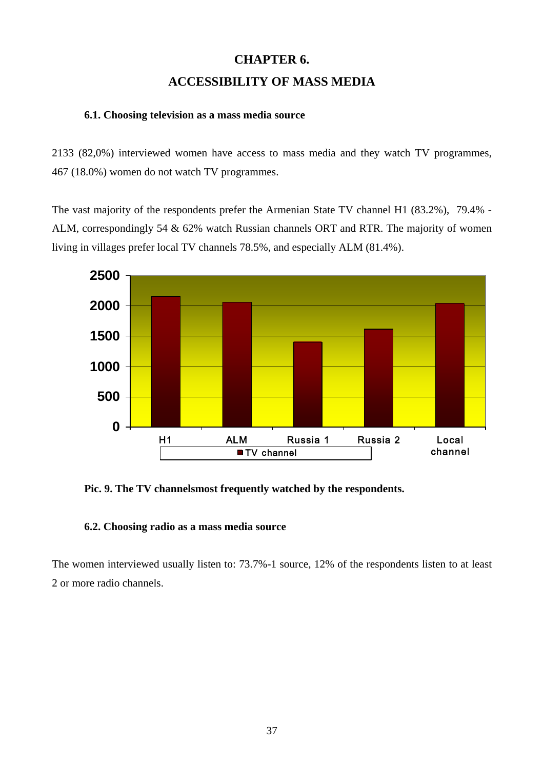# **CHAPTER 6. ACCESSIBILITY OF MASS MEDIA**

### **6.1. Choosing television as a mass media source**

2133 (82,0%) interviewed women have access to mass media and they watch TV programmes, 467 (18.0%) women do not watch TV programmes.

The vast majority of the respondents prefer the Armenian State TV channel H1 (83.2%), 79.4% - ALM, correspondingly 54 & 62% watch Russian channels ORT and RTR. The majority of women living in villages prefer local TV channels 78.5%, and especially ALM (81.4%).



**Pic. 9. The TV channelsmost frequently watched by the respondents.** 

### **6.2. Choosing radio as a mass media source**

The women interviewed usually listen to: 73.7%-1 source, 12% of the respondents listen to at least 2 or more radio channels.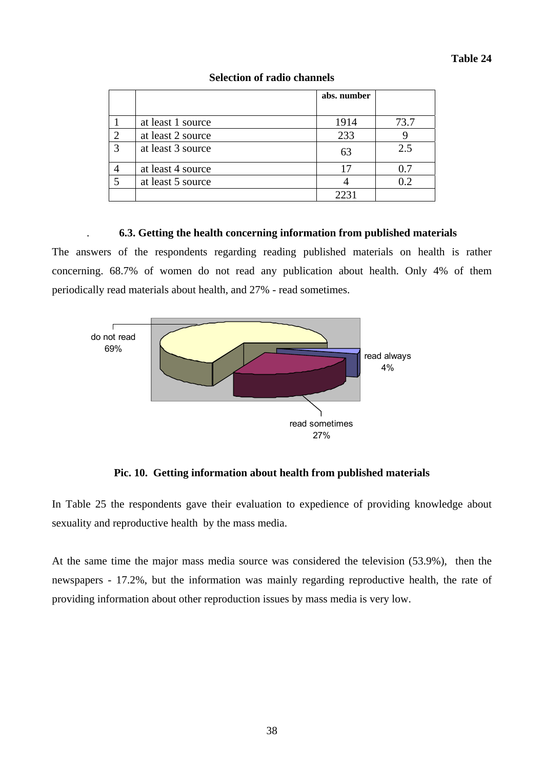|                         |                   | abs. number |      |
|-------------------------|-------------------|-------------|------|
|                         |                   |             |      |
|                         | at least 1 source | 1914        | 73.7 |
| 2                       | at least 2 source | 233         |      |
| 3                       | at least 3 source | 63          | 2.5  |
|                         | at least 4 source | 17          | 0.7  |
| $\overline{\mathbf{z}}$ | at least 5 source |             | 0.2  |
|                         |                   | 2231        |      |

### **Selection of radio channels**

### . **6.3. Getting the health concerning information from published materials**

The answers of the respondents regarding reading published materials on health is rather concerning. 68.7% of women do not read any publication about health. Only 4% of them periodically read materials about health, and 27% - read sometimes.



**Pic. 10. Getting information about health from published materials** 

In Table 25 the respondents gave their evaluation to expedience of providing knowledge about sexuality and reproductive health by the mass media.

At the same time the major mass media source was considered the television (53.9%), then the newspapers - 17.2%, but the information was mainly regarding reproductive health, the rate of providing information about other reproduction issues by mass media is very low.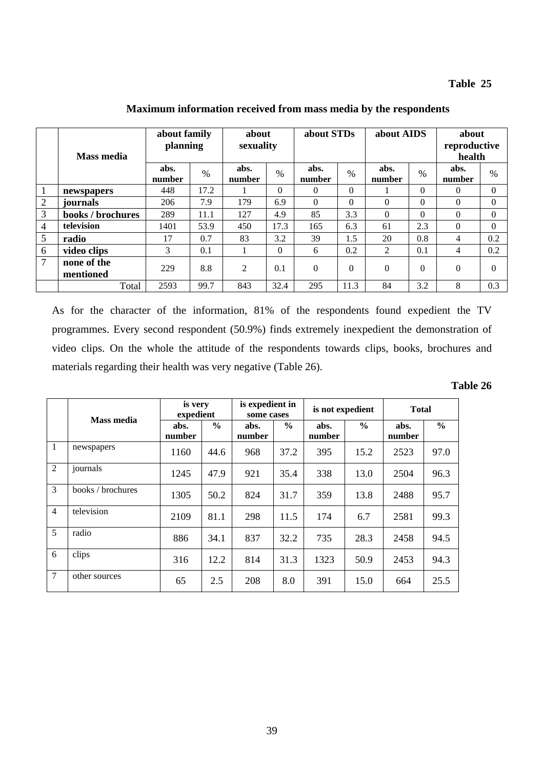### **Table 25**

|                | <b>Mass media</b>        | about family<br>planning |      | about<br>sexuality |          | about STDs     |                | about AIDS     |               | about<br>reproductive<br>health |          |
|----------------|--------------------------|--------------------------|------|--------------------|----------|----------------|----------------|----------------|---------------|---------------------------------|----------|
|                |                          | abs.<br>number           | $\%$ | abs.<br>number     | $\%$     | abs.<br>number | $\%$           | abs.<br>number | $\frac{0}{0}$ | abs.<br>number                  | $\%$     |
| 1              | newspapers               | 448                      | 17.2 |                    | $\Omega$ | $\theta$       | $\overline{0}$ |                | $\theta$      | 0                               | $\Omega$ |
| $\overline{2}$ | journals                 | 206                      | 7.9  | 179                | 6.9      | $\Omega$       | $\Omega$       | $\Omega$       | $\Omega$      | $\Omega$                        | $\Omega$ |
| 3              | books / brochures        | 289                      | 11.1 | 127                | 4.9      | 85             | 3.3            | $\Omega$       | $\Omega$      | $\Omega$                        | $\Omega$ |
| $\overline{4}$ | television               | 1401                     | 53.9 | 450                | 17.3     | 165            | 6.3            | 61             | 2.3           | $\theta$                        | $\Omega$ |
| 5              | radio                    | 17                       | 0.7  | 83                 | 3.2      | 39             | 1.5            | 20             | 0.8           | 4                               | 0.2      |
| 6              | video clips              | 3                        | 0.1  |                    | $\Omega$ | 6              | 0.2            | 2              | 0.1           | 4                               | 0.2      |
| 7              | none of the<br>mentioned | 229                      | 8.8  | $\overline{2}$     | 0.1      | $\theta$       | $\Omega$       | $\theta$       | $\Omega$      | $\theta$                        | $\Omega$ |
|                | Total                    | 2593                     | 99.7 | 843                | 32.4     | 295            | 11.3           | 84             | 3.2           | 8                               | 0.3      |

**Maximum information received from mass media by the respondents** 

As for the character of the information, 81% of the respondents found expedient the TV programmes. Every second respondent (50.9%) finds extremely inexpedient the demonstration of video clips. On the whole the attitude of the respondents towards clips, books, brochures and materials regarding their health was very negative (Table 26).

| fable 26 |  |
|----------|--|
|----------|--|

|                |                   | is very<br>expedient |               | is expedient in<br>some cases |               | is not expedient |               | <b>Total</b>   |               |  |
|----------------|-------------------|----------------------|---------------|-------------------------------|---------------|------------------|---------------|----------------|---------------|--|
|                | <b>Mass media</b> | abs.<br>number       | $\frac{0}{0}$ | abs.<br>number                | $\frac{6}{6}$ | abs.<br>number   | $\frac{0}{0}$ | abs.<br>number | $\frac{6}{6}$ |  |
| $\overline{1}$ | newspapers        | 1160                 | 44.6          | 968                           | 37.2          | 395              | 15.2          | 2523           | 97.0          |  |
| 2              | journals          | 1245                 | 47.9          | 921                           | 35.4          | 338              | 13.0          | 2504           | 96.3          |  |
| 3              | books / brochures | 1305                 | 50.2          | 824                           | 31.7          | 359              | 13.8          | 2488           | 95.7          |  |
| $\overline{4}$ | television        | 2109                 | 81.1          | 298                           | 11.5          | 174              | 6.7           | 2581           | 99.3          |  |
| 5              | radio             | 886                  | 34.1          | 837                           | 32.2          | 735              | 28.3          | 2458           | 94.5          |  |
| 6              | clips             | 316                  | 12.2          | 814                           | 31.3          | 1323             | 50.9          | 2453           | 94.3          |  |
| $\tau$         | other sources     | 65                   | 2.5           | 208                           | 8.0           | 391              | 15.0          | 664            | 25.5          |  |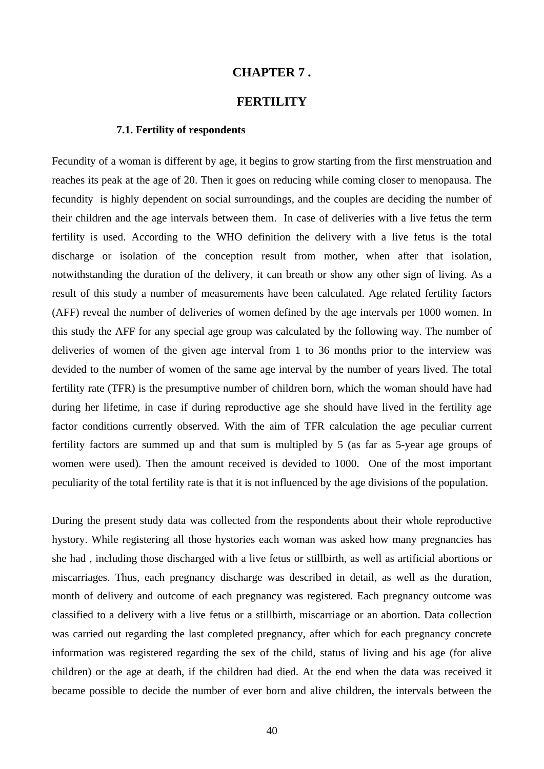### **CHAPTER 7 .**

## **FERTILITY**

#### **7.1. Fertility of respondents**

Fecundity of a woman is different by age, it begins to grow starting from the first menstruation and reaches its peak at the age of 20. Then it goes on reducing while coming closer to menopausa. The fecundity is highly dependent on social surroundings, and the couples are deciding the number of their children and the age intervals between them. In case of deliveries with a live fetus the term fertility is used. According to the WHO definition the delivery with a live fetus is the total discharge or isolation of the conception result from mother, when after that isolation, notwithstanding the duration of the delivery, it can breath or show any other sign of living. As a result of this study a number of measurements have been calculated. Age related fertility factors (AFF) reveal the number of deliveries of women defined by the age intervals per 1000 women. In this study the AFF for any special age group was calculated by the following way. The number of deliveries of women of the given age interval from 1 to 36 months prior to the interview was devided to the number of women of the same age interval by the number of years lived. The total fertility rate (TFR) is the presumptive number of children born, which the woman should have had during her lifetime, in case if during reproductive age she should have lived in the fertility age factor conditions currently observed. With the aim of TFR calculation the age peculiar current fertility factors are summed up and that sum is multipled by 5 (as far as 5-year age groups of women were used). Then the amount received is devided to 1000. One of the most important peculiarity of the total fertility rate is that it is not influenced by the age divisions of the population.

During the present study data was collected from the respondents about their whole reproductive hystory. While registering all those hystories each woman was asked how many pregnancies has she had , including those discharged with a live fetus or stillbirth, as well as artificial abortions or miscarriages. Thus, each pregnancy discharge was described in detail, as well as the duration, month of delivery and outcome of each pregnancy was registered. Each pregnancy outcome was classified to a delivery with a live fetus or a stillbirth, miscarriage or an abortion. Data collection was carried out regarding the last completed pregnancy, after which for each pregnancy concrete information was registered regarding the sex of the child, status of living and his age (for alive children) or the age at death, if the children had died. At the end when the data was received it became possible to decide the number of ever born and alive children, the intervals between the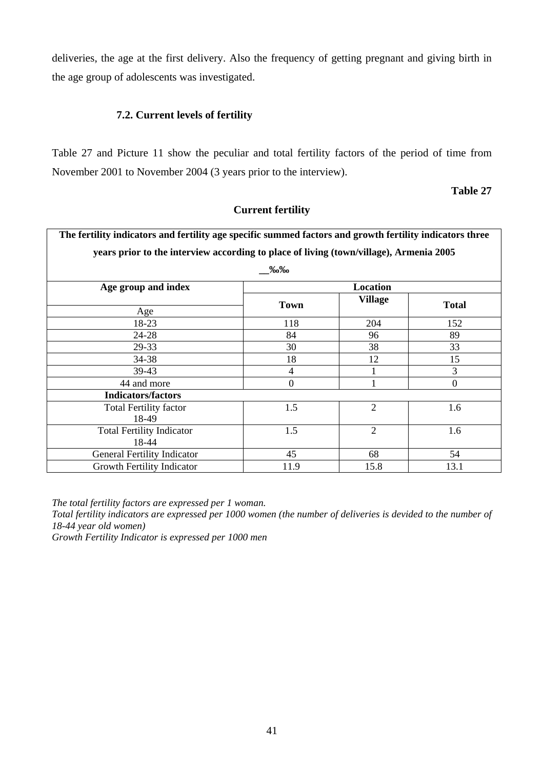deliveries, the age at the first delivery. Also the frequency of getting pregnant and giving birth in the age group of adolescents was investigated.

## **7.2. Current levels of fertility**

Table 27 and Picture 11 show the peculiar and total fertility factors of the period of time from November 2001 to November 2004 (3 years prior to the interview).

**Table 27** 

| The fertility indicators and fertility age specific summed factors and growth fertility indicators three |                  |                |              |  |  |  |  |  |  |  |
|----------------------------------------------------------------------------------------------------------|------------------|----------------|--------------|--|--|--|--|--|--|--|
| years prior to the interview according to place of living (town/village), Armenia 2005                   |                  |                |              |  |  |  |  |  |  |  |
| ‰‰                                                                                                       |                  |                |              |  |  |  |  |  |  |  |
| Age group and index                                                                                      |                  | Location       |              |  |  |  |  |  |  |  |
|                                                                                                          | <b>Town</b>      | <b>Village</b> | <b>Total</b> |  |  |  |  |  |  |  |
| Age                                                                                                      |                  |                |              |  |  |  |  |  |  |  |
| 18-23                                                                                                    | 118              | 204            | 152          |  |  |  |  |  |  |  |
| 24-28                                                                                                    | 84               | 96             | 89           |  |  |  |  |  |  |  |
| 29-33                                                                                                    | 30               | 38             | 33           |  |  |  |  |  |  |  |
| 34-38                                                                                                    | 18               | 12             | 15           |  |  |  |  |  |  |  |
| 39-43                                                                                                    | 4                |                | 3            |  |  |  |  |  |  |  |
| 44 and more                                                                                              | $\boldsymbol{0}$ |                | $\mathbf{0}$ |  |  |  |  |  |  |  |
| <b>Indicators/factors</b>                                                                                |                  |                |              |  |  |  |  |  |  |  |
| <b>Total Fertility factor</b>                                                                            | 1.5              | 2              | 1.6          |  |  |  |  |  |  |  |
| 18-49                                                                                                    |                  |                |              |  |  |  |  |  |  |  |
| <b>Total Fertility Indicator</b>                                                                         | 1.5              | $\overline{2}$ | 1.6          |  |  |  |  |  |  |  |
| 18-44                                                                                                    |                  |                |              |  |  |  |  |  |  |  |
| <b>General Fertility Indicator</b>                                                                       | 45               | 68             | 54           |  |  |  |  |  |  |  |
| Growth Fertility Indicator                                                                               | 11.9             | 15.8           | 13.1         |  |  |  |  |  |  |  |

## **Current fertility**

*The total fertility factors are expressed per 1 woman.* 

*Total fertility indicators are expressed per 1000 women (the number of deliveries is devided to the number of 18-44 year old women)* 

*Growth Fertility Indicator is expressed per 1000 men*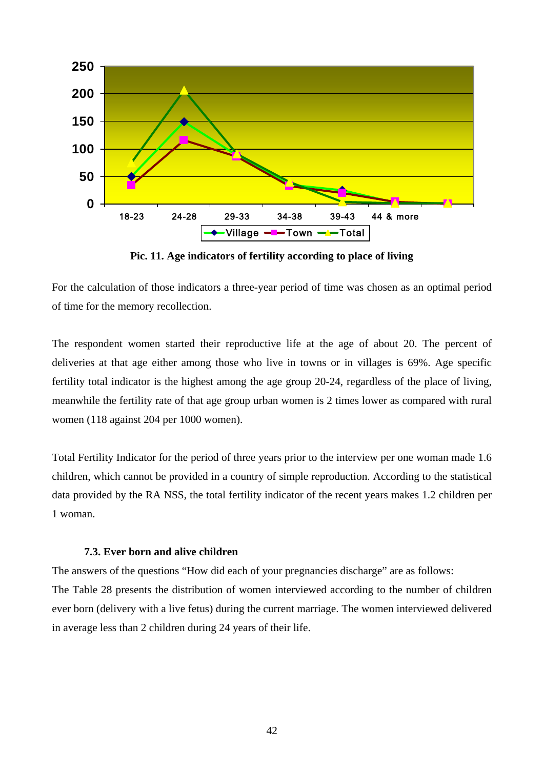

**Pic. 11. Age indicators of fertility according to place of living** 

For the calculation of those indicators a three-year period of time was chosen as an optimal period of time for the memory recollection.

The respondent women started their reproductive life at the age of about 20. The percent of deliveries at that age either among those who live in towns or in villages is 69%. Age specific fertility total indicator is the highest among the age group 20-24, regardless of the place of living, meanwhile the fertility rate of that age group urban women is 2 times lower as compared with rural women (118 against 204 per 1000 women).

Total Fertility Indicator for the period of three years prior to the interview per one woman made 1.6 children, which cannot be provided in a country of simple reproduction. According to the statistical data provided by the RA NSS, the total fertility indicator of the recent years makes 1.2 children per 1 woman.

#### **7.3. Ever born and alive children**

The answers of the questions "How did each of your pregnancies discharge" are as follows: The Table 28 presents the distribution of women interviewed according to the number of children ever born (delivery with a live fetus) during the current marriage. The women interviewed delivered in average less than 2 children during 24 years of their life.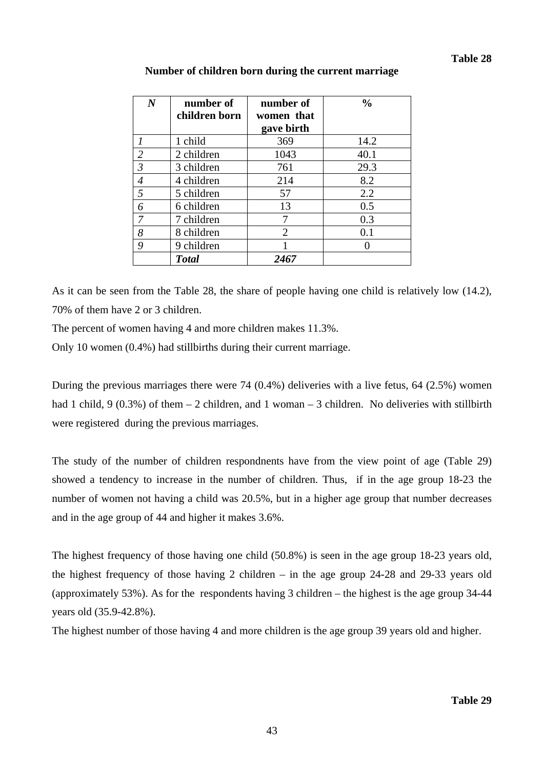| $\boldsymbol{N}$                                                                                                                                                                                                                                                                                                                                                                                                                                                                    | number of<br>children born | number of<br>women that<br>gave birth | $\frac{0}{0}$ |
|-------------------------------------------------------------------------------------------------------------------------------------------------------------------------------------------------------------------------------------------------------------------------------------------------------------------------------------------------------------------------------------------------------------------------------------------------------------------------------------|----------------------------|---------------------------------------|---------------|
|                                                                                                                                                                                                                                                                                                                                                                                                                                                                                     | 1 child                    | 369                                   | 14.2          |
| $\mathcal{D}_{\mathcal{L}}^{\mathcal{L}}(\mathcal{L}) = \mathcal{L}_{\mathcal{L}}^{\mathcal{L}}(\mathcal{L}) = \mathcal{L}_{\mathcal{L}}^{\mathcal{L}}(\mathcal{L}) = \mathcal{L}_{\mathcal{L}}^{\mathcal{L}}(\mathcal{L}) = \mathcal{L}_{\mathcal{L}}^{\mathcal{L}}(\mathcal{L}) = \mathcal{L}_{\mathcal{L}}^{\mathcal{L}}(\mathcal{L}) = \mathcal{L}_{\mathcal{L}}^{\mathcal{L}}(\mathcal{L}) = \mathcal{L}_{\mathcal{L}}^{\mathcal{L}}(\mathcal{L}) = \mathcal{L}_{\mathcal{L}}$ | 2 children                 | 1043                                  | 40.1          |
| 3                                                                                                                                                                                                                                                                                                                                                                                                                                                                                   | 3 children                 | 761                                   | 29.3          |
| 4                                                                                                                                                                                                                                                                                                                                                                                                                                                                                   | 4 children                 | 214                                   | 8.2           |
| 5                                                                                                                                                                                                                                                                                                                                                                                                                                                                                   | 5 children                 | 57                                    | 2.2           |
| 6                                                                                                                                                                                                                                                                                                                                                                                                                                                                                   | 6 children                 | 13                                    | 0.5           |
| 7                                                                                                                                                                                                                                                                                                                                                                                                                                                                                   | 7 children                 |                                       | 0.3           |
| 8                                                                                                                                                                                                                                                                                                                                                                                                                                                                                   | 8 children                 | 2                                     | 0.1           |
| 9                                                                                                                                                                                                                                                                                                                                                                                                                                                                                   | 9 children                 |                                       |               |
|                                                                                                                                                                                                                                                                                                                                                                                                                                                                                     | <b>Total</b>               | 2467                                  |               |

### **Number of children born during the current marriage**

As it can be seen from the Table 28, the share of people having one child is relatively low (14.2), 70% of them have 2 or 3 children.

The percent of women having 4 and more children makes 11.3%.

Only 10 women (0.4%) had stillbirths during their current marriage.

During the previous marriages there were 74 (0.4%) deliveries with a live fetus, 64 (2.5%) women had 1 child, 9 (0.3%) of them  $-2$  children, and 1 woman  $-3$  children. No deliveries with stillbirth were registered during the previous marriages.

The study of the number of children respondnents have from the view point of age (Table 29) showed a tendency to increase in the number of children. Thus, if in the age group 18-23 the number of women not having a child was 20.5%, but in a higher age group that number decreases and in the age group of 44 and higher it makes 3.6%.

The highest frequency of those having one child (50.8%) is seen in the age group 18-23 years old, the highest frequency of those having 2 children – in the age group 24-28 and 29-33 years old (approximately 53%). As for the respondents having 3 children – the highest is the age group 34-44 years old (35.9-42.8%).

The highest number of those having 4 and more children is the age group 39 years old and higher.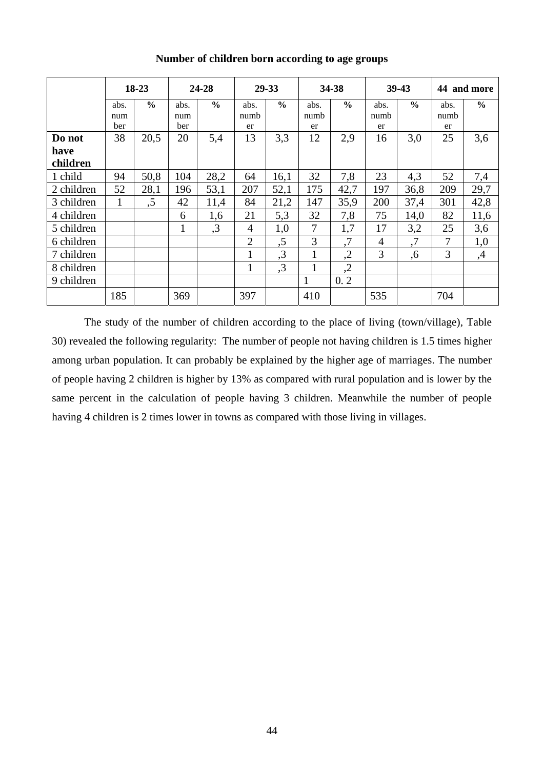|                  | 18-23              |               | 24-28              |               |                    | 29-33         |                    | 34-38         |                    | 39-43         |                    | 44 and more   |  |
|------------------|--------------------|---------------|--------------------|---------------|--------------------|---------------|--------------------|---------------|--------------------|---------------|--------------------|---------------|--|
|                  | abs.<br>num<br>ber | $\frac{6}{6}$ | abs.<br>num<br>ber | $\frac{6}{6}$ | abs.<br>numb<br>er | $\frac{0}{0}$ | abs.<br>numb<br>er | $\frac{6}{6}$ | abs.<br>numb<br>er | $\frac{0}{0}$ | abs.<br>numb<br>er | $\frac{6}{9}$ |  |
| Do not           | 38                 | 20,5          | 20                 | 5,4           | 13                 | 3,3           | 12                 | 2,9           | 16                 | 3,0           | 25                 | 3,6           |  |
| have<br>children |                    |               |                    |               |                    |               |                    |               |                    |               |                    |               |  |
| 1 child          | 94                 | 50,8          | 104                | 28,2          | 64                 | 16,1          | 32                 | 7,8           | 23                 | 4,3           | 52                 | 7,4           |  |
| 2 children       | 52                 | 28,1          | 196                | 53,1          | 207                | 52,1          | 175                | 42,7          | 197                | 36,8          | 209                | 29,7          |  |
| 3 children       | 1                  | , 5           | 42                 | 11,4          | 84                 | 21,2          | 147                | 35,9          | 200                | 37,4          | 301                | 42,8          |  |
| 4 children       |                    |               | 6                  | 1,6           | 21                 | 5,3           | 32                 | 7,8           | 75                 | 14,0          | 82                 | 11,6          |  |
| 5 children       |                    |               | 1                  | ,3            | $\overline{4}$     | 1,0           | 7                  | 1,7           | 17                 | 3,2           | 25                 | 3,6           |  |
| 6 children       |                    |               |                    |               | $\overline{2}$     | ,5            | 3                  | $\cdot$ 7     | 4                  | ,7            | 7                  | 1,0           |  |
| 7 children       |                    |               |                    |               | $\mathbf{1}$       | ,3            | $\mathbf{1}$       | ,2            | 3                  | ,6            | 3                  | ,4            |  |
| 8 children       |                    |               |                    |               | 1                  | ,3            | $\mathbf{1}$       | ,2            |                    |               |                    |               |  |
| 9 children       |                    |               |                    |               |                    |               | 1                  | 0.2           |                    |               |                    |               |  |
|                  | 185                |               | 369                |               | 397                |               | 410                |               | 535                |               | 704                |               |  |

**Number of children born according to age groups** 

 The study of the number of children according to the place of living (town/village), Table 30) revealed the following regularity: The number of people not having children is 1.5 times higher among urban population. It can probably be explained by the higher age of marriages. The number of people having 2 children is higher by 13% as compared with rural population and is lower by the same percent in the calculation of people having 3 children. Meanwhile the number of people having 4 children is 2 times lower in towns as compared with those living in villages.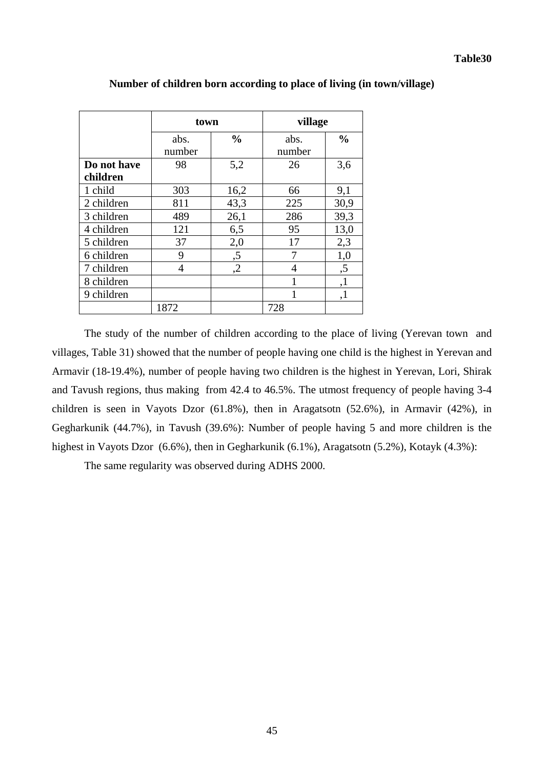|                         | town           |               |                | village       |  |  |  |
|-------------------------|----------------|---------------|----------------|---------------|--|--|--|
|                         | abs.<br>number | $\frac{0}{0}$ | abs.<br>number | $\frac{0}{0}$ |  |  |  |
| Do not have<br>children | 98             | 5,2           | 26             | 3,6           |  |  |  |
| 1 child                 | 303            | 16,2          | 66             | 9,1           |  |  |  |
| 2 children              | 811            | 43,3          | 225            | 30,9          |  |  |  |
| 3 children              | 489            | 26,1          | 286            | 39,3          |  |  |  |
| 4 children              | 121            | 6,5           | 95             | 13,0          |  |  |  |
| 5 children              | 37             | 2,0           | 17             | 2,3           |  |  |  |
| 6 children              | 9              | ,5            |                | 1,0           |  |  |  |
| 7 children              | 4              | ,2            | 4              | ,5            |  |  |  |
| 8 children              |                |               |                | ,1            |  |  |  |
| 9 children              |                |               |                | ,1            |  |  |  |
|                         | 1872           |               | 728            |               |  |  |  |

## **Number of children born according to place of living (in town/village)**

The study of the number of children according to the place of living (Yerevan town and villages, Table 31) showed that the number of people having one child is the highest in Yerevan and Armavir (18-19.4%), number of people having two children is the highest in Yerevan, Lori, Shirak and Tavush regions, thus making from 42.4 to 46.5%. The utmost frequency of people having 3-4 children is seen in Vayots Dzor (61.8%), then in Aragatsotn (52.6%), in Armavir (42%), in Gegharkunik (44.7%), in Tavush (39.6%): Number of people having 5 and more children is the highest in Vayots Dzor (6.6%), then in Gegharkunik (6.1%), Aragatsotn (5.2%), Kotayk (4.3%):

The same regularity was observed during ADHS 2000.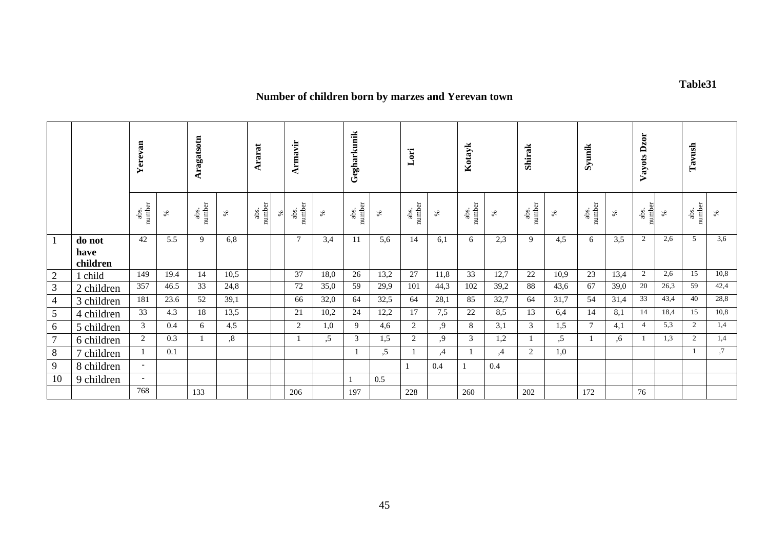# **Number of children born by marzes and Yerevan town**

|                |                            | Yerevan                  |      | Aragatsotn     |                   | Ararat         |      | Armavir        |      | Gegharkunik    |      | Lori           |      | Kotayk         |      | Shirak         |      | Syunik         |      | Dzor<br>Vayots 1 |      | Tavush         |      |
|----------------|----------------------------|--------------------------|------|----------------|-------------------|----------------|------|----------------|------|----------------|------|----------------|------|----------------|------|----------------|------|----------------|------|------------------|------|----------------|------|
|                |                            | number<br>abs.           | $\%$ | abs.<br>number | %                 | abs.<br>number | $\%$ | number<br>abs. | $\%$ | number<br>abs. | ℅    | number<br>abs. | ℅    | abs.<br>number | $\%$ | number<br>abs. | $\%$ | number<br>abs. | $\%$ | number<br>abs.   | $\%$ | abs.<br>number | ℅    |
| 1              | do not<br>have<br>children | 42                       | 5.5  | 9              | 6,8               |                |      | $\overline{7}$ | 3.4  | 11             | 5,6  | 14             | 6,1  | 6              | 2.3  | 9              | 4,5  | 6              | 3,5  | $\overline{2}$   | 2,6  | 5              | 3,6  |
| $\overline{2}$ | child                      | 149                      | 19.4 | 14             | 10.5              |                |      | 37             | 18,0 | 26             | 13,2 | 27             | 11,8 | 33             | 12,7 | 22             | 10,9 | 23             | 13,4 | $\overline{c}$   | 2,6  | 15             | 10,8 |
| 3              | 2 children                 | 357                      | 46.5 | 33             | 24,8              |                |      | 72             | 35,0 | 59             | 29,9 | 101            | 44,3 | 102            | 39,2 | 88             | 43,6 | 67             | 39,0 | 20               | 26,3 | 59             | 42,4 |
| $\overline{4}$ | 3 children                 | 181                      | 23.6 | 52             | 39,1              |                |      | 66             | 32,0 | 64             | 32,5 | 64             | 28,1 | 85             | 32,7 | 64             | 31,7 | 54             | 31,4 | 33               | 43,4 | 40             | 28,8 |
| $\mathfrak{S}$ | 4 children                 | 33                       | 4.3  | 18             | 13,5              |                |      | 21             | 10,2 | 24             | 12,2 | 17             | 7,5  | 22             | 8,5  | 13             | 6,4  | 14             | 8,1  | 14               | 18,4 | 15             | 10,8 |
| 6              | 5 children                 | 3                        | 0.4  | 6              | 4,5               |                |      | 2              | 1,0  | 9              | 4,6  | 2              | 9,   | 8              | 3,1  | 3              | 1,5  | $\tau$         | 4,1  | 4                | 5,3  | $\overline{2}$ | 1,4  |
| $\overline{7}$ | 6 children                 | 2                        | 0.3  |                | $\boldsymbol{.8}$ |                |      |                | .5   | 3              | 1,5  | 2              | .9   | 3              | 1,2  |                | .5   |                | .6   |                  | 1.3  | 2              | 1,4  |
| 8              | 7 children                 |                          | 0.1  |                |                   |                |      |                |      |                | .5   |                | ,4   |                | ,4   | 2              | 1,0  |                |      |                  |      |                | ,7   |
| 9              | 8 children                 | $\overline{\phantom{a}}$ |      |                |                   |                |      |                |      |                |      |                | 0.4  |                | 0.4  |                |      |                |      |                  |      |                |      |
| 10             | 9 children                 | $\overline{\phantom{a}}$ |      |                |                   |                |      |                |      |                | 0.5  |                |      |                |      |                |      |                |      |                  |      |                |      |
|                |                            | 768                      |      | 133            |                   |                |      | 206            |      | 197            |      | 228            |      | 260            |      | 202            |      | 172            |      | 76               |      |                |      |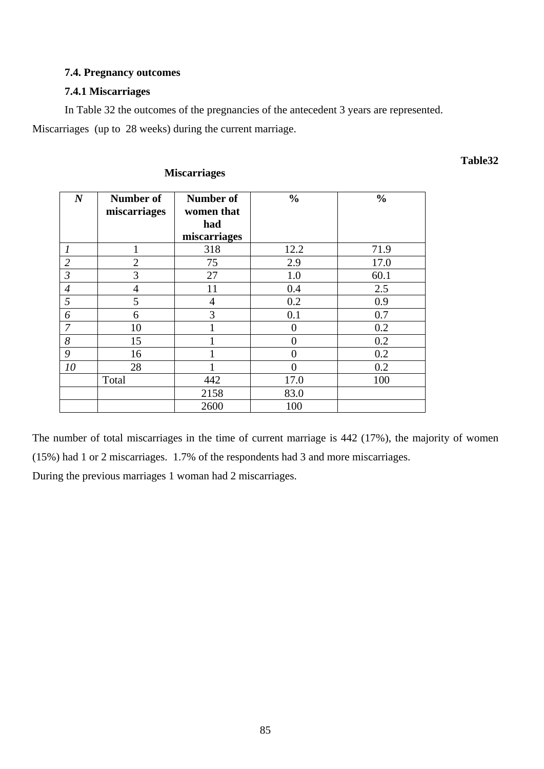## **7.4. Pregnancy outcomes**

## **7.4.1 Miscarriages**

 In Table 32 the outcomes of the pregnancies of the antecedent 3 years are represented. Miscarriages (up to 28 weeks) during the current marriage.

| $\boldsymbol{N}$ | Number of<br>miscarriages | Number of<br>women that<br>had | $\frac{0}{0}$ | $\frac{0}{0}$ |
|------------------|---------------------------|--------------------------------|---------------|---------------|
|                  |                           | miscarriages                   |               |               |
|                  |                           | 318                            | 12.2          | 71.9          |
| $\overline{2}$   | $\overline{2}$            | 75                             | 2.9           | 17.0          |
| $\mathfrak{Z}$   | 3                         | 27                             | 1.0           | 60.1          |
| $\overline{4}$   | $\overline{4}$            | 11                             | 0.4           | 2.5           |
| 5                | 5                         | $\overline{4}$                 | 0.2           | 0.9           |
| 6                | 6                         | 3                              | 0.1           | 0.7           |
| $\overline{7}$   | 10                        |                                | 0             | 0.2           |
| 8                | 15                        |                                | 0             | 0.2           |
| $\mathfrak g$    | 16                        |                                | 0             | 0.2           |
| 10               | 28                        |                                |               | 0.2           |
|                  | Total                     | 442                            | 17.0          | 100           |
|                  |                           | 2158                           | 83.0          |               |
|                  |                           | 2600                           | 100           |               |

## **Miscarriages**

The number of total miscarriages in the time of current marriage is 442 (17%), the majority of women (15%) had 1 or 2 miscarriages. 1.7% of the respondents had 3 and more miscarriages.

During the previous marriages 1 woman had 2 miscarriages.

**Table32**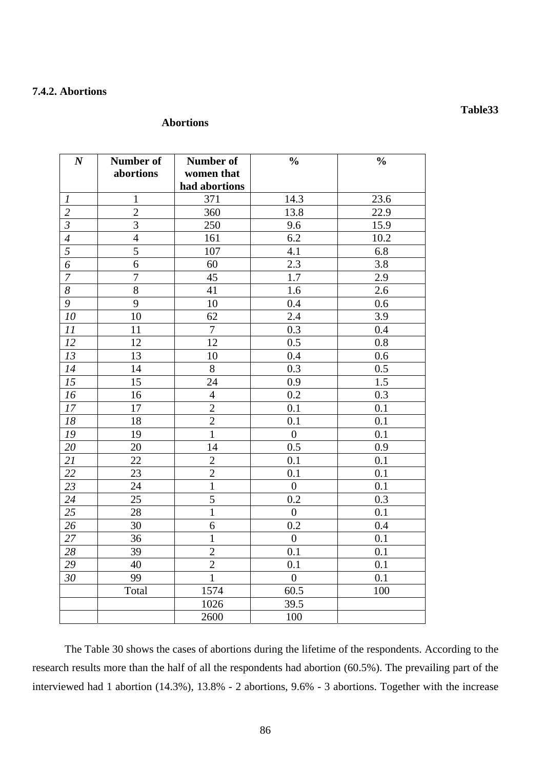## **7.4.2. Abortions**

#### **Abortions**

| $\boldsymbol{N}$      | Number of<br>abortions | <b>Number of</b><br>women that<br>had abortions | $\frac{0}{0}$    | $\frac{1}{2}$    |
|-----------------------|------------------------|-------------------------------------------------|------------------|------------------|
| $\boldsymbol{l}$      | $\mathbf 1$            | 371                                             | 14.3             | 23.6             |
| $\overline{c}$        | $\overline{2}$         | 360                                             | 13.8             | 22.9             |
| $\mathfrak{Z}$        | $\overline{3}$         | 250                                             | 9.6              | 15.9             |
| $\boldsymbol{4}$      | $\overline{4}$         | 161                                             | 6.2              | 10.2             |
| $\overline{5}$        | $\overline{5}$         | 107                                             | 4.1              | 6.8              |
| $\boldsymbol{\delta}$ | 6                      | 60                                              | $2.\overline{3}$ | 3.8              |
| $\overline{7}$        | $\overline{7}$         | $\overline{45}$                                 | $\overline{1.7}$ | $\overline{2.9}$ |
| $\delta$              | $\overline{8}$         | 41                                              | 1.6              | 2.6              |
| $\overline{9}$        | $\overline{9}$         | 10                                              | 0.4              | 0.6              |
| $10\,$                | 10                     | 62                                              | 2.4              | 3.9              |
| 11                    | 11                     | $\tau$                                          | 0.3              | 0.4              |
| 12                    | 12                     | 12                                              | 0.5              | 0.8              |
| 13                    | 13                     | 10                                              | 0.4              | 0.6              |
| 14                    | 14                     | $8\,$                                           | $\overline{0.3}$ | 0.5              |
| $\overline{15}$       | 15                     | 24                                              | 0.9              | $\overline{1.5}$ |
| 16                    | 16                     | $\overline{4}$                                  | 0.2              | 0.3              |
| 17                    | 17                     | $\overline{2}$                                  | 0.1              | 0.1              |
| 18                    | 18                     | $\overline{2}$                                  | 0.1              | 0.1              |
| ${\it 19}$            | 19                     | $\mathbf{1}$                                    | $\overline{0}$   | 0.1              |
| $\overline{20}$       | 20                     | 14                                              | $\overline{0.5}$ | 0.9              |
| $\overline{21}$       | 22                     | $\overline{c}$                                  | 0.1              | 0.1              |
| 22                    | 23                     | $\overline{2}$                                  | 0.1              | 0.1              |
| 23                    | 24                     | $\mathbf{1}$                                    | $\overline{0}$   | 0.1              |
| 24                    | 25                     | 5                                               | 0.2              | 0.3              |
| $\overline{25}$       | 28                     | $\mathbf{1}$                                    | $\overline{0}$   | 0.1              |
| 26                    | 30                     | 6                                               | 0.2              | 0.4              |
| $\overline{27}$       | 36                     | $\mathbf{1}$                                    | $\boldsymbol{0}$ | 0.1              |
| $\overline{28}$       | 39                     | $\overline{2}$                                  | 0.1              | 0.1              |
| $\overline{29}$       | 40                     | $\overline{2}$                                  | 0.1              | 0.1              |
| 30                    | 99                     | $\overline{1}$                                  | $\overline{0}$   | 0.1              |
|                       | Total                  | 1574                                            | 60.5             | 100              |
|                       |                        | 1026                                            | 39.5             |                  |
|                       |                        | 2600                                            | 100              |                  |

 The Table 30 shows the cases of abortions during the lifetime of the respondents. According to the research results more than the half of all the respondents had abortion (60.5%). The prevailing part of the interviewed had 1 abortion (14.3%), 13.8% - 2 abortions, 9.6% - 3 abortions. Together with the increase

### **Table33**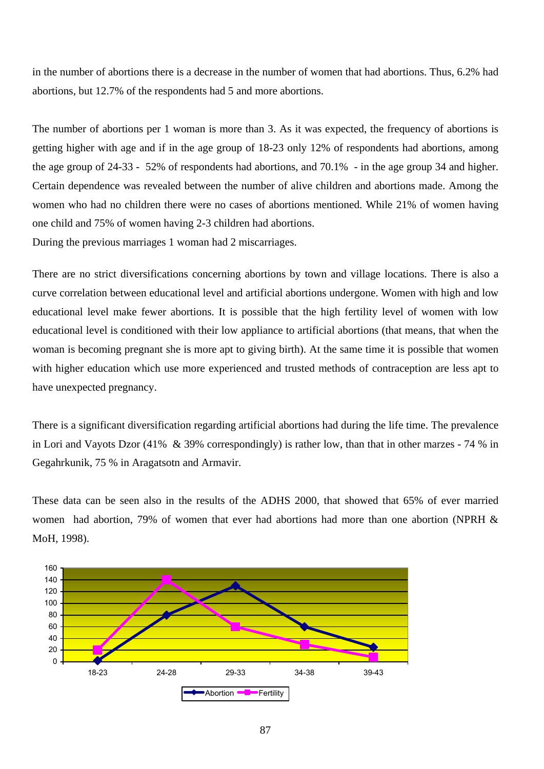in the number of abortions there is a decrease in the number of women that had abortions. Thus, 6.2% had abortions, but 12.7% of the respondents had 5 and more abortions.

The number of abortions per 1 woman is more than 3. As it was expected, the frequency of abortions is getting higher with age and if in the age group of 18-23 only 12% of respondents had abortions, among the age group of 24-33 - 52% of respondents had abortions, and 70.1% - in the age group 34 and higher. Certain dependence was revealed between the number of alive children and abortions made. Among the women who had no children there were no cases of abortions mentioned. While 21% of women having one child and 75% of women having 2-3 children had abortions. During the previous marriages 1 woman had 2 miscarriages.

There are no strict diversifications concerning abortions by town and village locations. There is also a curve correlation between educational level and artificial abortions undergone. Women with high and low educational level make fewer abortions. It is possible that the high fertility level of women with low educational level is conditioned with their low appliance to artificial abortions (that means, that when the woman is becoming pregnant she is more apt to giving birth). At the same time it is possible that women with higher education which use more experienced and trusted methods of contraception are less apt to have unexpected pregnancy.

There is a significant diversification regarding artificial abortions had during the life time. The prevalence in Lori and Vayots Dzor (41% & 39% correspondingly) is rather low, than that in other marzes - 74 % in Gegahrkunik, 75 % in Aragatsotn and Armavir.

These data can be seen also in the results of the ADHS 2000, that showed that 65% of ever married women had abortion, 79% of women that ever had abortions had more than one abortion (NPRH & MoH, 1998).

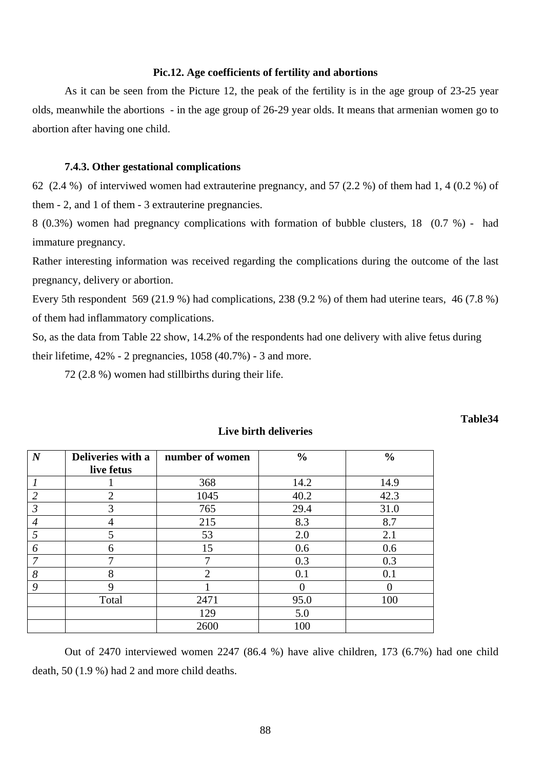#### **Pic.12. Age coefficients of fertility and abortions**

 As it can be seen from the Picture 12, the peak of the fertility is in the age group of 23-25 year olds, meanwhile the abortions - in the age group of 26-29 year olds. It means that armenian women go to abortion after having one child.

#### **7.4.3. Other gestational complications**

62 (2.4 %) of interviwed women had extrauterine pregnancy, and 57 (2.2 %) of them had 1, 4 (0.2 %) of them - 2, and 1 of them - 3 extrauterine pregnancies.

8 (0.3%) women had pregnancy complications with formation of bubble clusters, 18 (0.7 %) - had immature pregnancy.

Rather interesting information was received regarding the complications during the outcome of the last pregnancy, delivery or abortion.

Every 5th respondent 569 (21.9 %) had complications, 238 (9.2 %) of them had uterine tears, 46 (7.8 %) of them had inflammatory complications.

So, as the data from Table 22 show, 14.2% of the respondents had one delivery with alive fetus during their lifetime,  $42\%$  - 2 pregnancies,  $1058(40.7\%)$  - 3 and more.

72 (2.8 %) women had stillbirths during their life.

| $\boldsymbol{N}$ | Deliveries with a | number of women | $\frac{0}{0}$ | $\frac{0}{0}$ |
|------------------|-------------------|-----------------|---------------|---------------|
|                  | live fetus        |                 |               |               |
|                  |                   | 368             | 14.2          | 14.9          |
| 2                | $\overline{2}$    | 1045            | 40.2          | 42.3          |
| $\mathfrak{Z}$   | 3                 | 765             | 29.4          | 31.0          |
| $\overline{4}$   | 4                 | 215             | 8.3           | 8.7           |
|                  | 5                 | 53              | 2.0           | 2.1           |
| 6                | 6                 | 15              | 0.6           | 0.6           |
| 7                | 7                 | 7               | 0.3           | 0.3           |
| 8                | 8                 | $\overline{2}$  | 0.1           | 0.1           |
| 9                | 9                 |                 | 0             | 0             |
|                  | Total             | 2471            | 95.0          | 100           |
|                  |                   | 129             | 5.0           |               |
|                  |                   | 2600            | 100           |               |

#### **Live birth deliveries**

**Table34** 

 Out of 2470 interviewed women 2247 (86.4 %) have alive children, 173 (6.7%) had one child death, 50 (1.9 %) had 2 and more child deaths.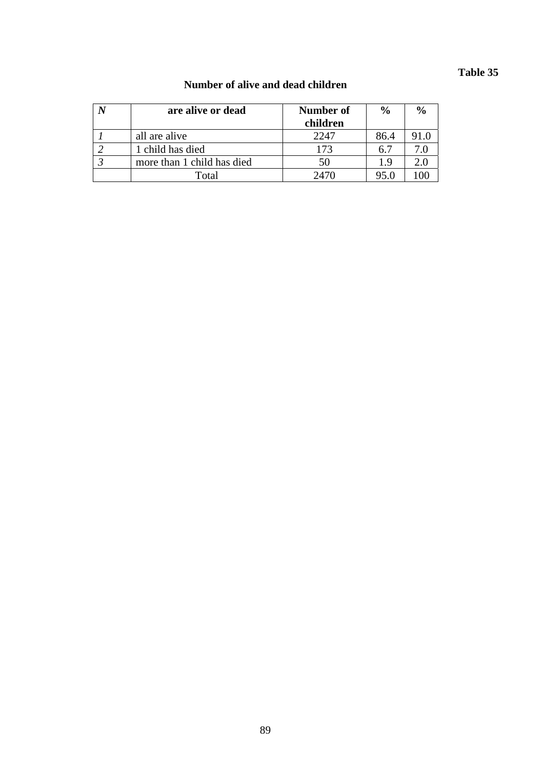# **Table 35**

| are alive or dead          | Number of<br>children | $\frac{0}{0}$ | $\frac{6}{6}$ |
|----------------------------|-----------------------|---------------|---------------|
| all are alive              | 2247                  | 86.4          | 91.0          |
| 1 child has died           | 173                   | 6.7           | 7.0           |
| more than 1 child has died | 50                    | 1.9           | 2.0           |
| Total                      | 2470                  | 95.0          |               |

## **Number of alive and dead children**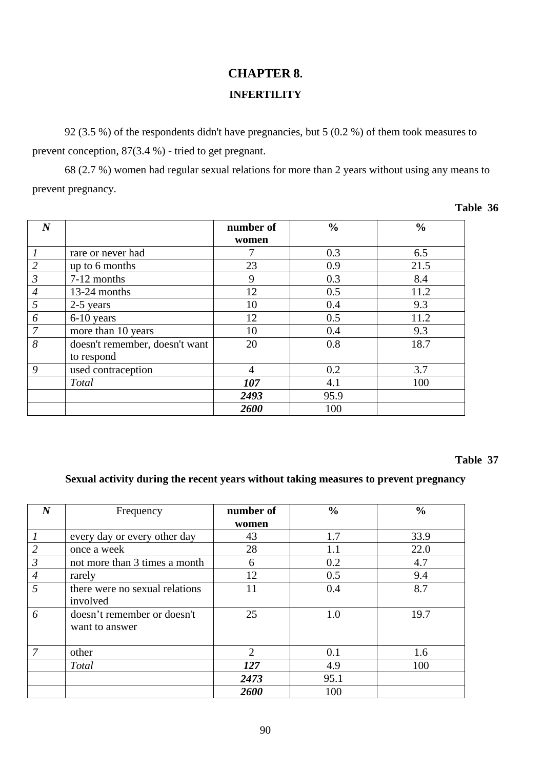# **CHAPTER 8. INFERTILITY**

 92 (3.5 %) of the respondents didn't have pregnancies, but 5 (0.2 %) of them took measures to prevent conception, 87(3.4 %) - tried to get pregnant.

 68 (2.7 %) women had regular sexual relations for more than 2 years without using any means to prevent pregnancy.

| $\boldsymbol{N}$ |                                              | number of<br>women | $\frac{0}{0}$ | $\frac{0}{0}$ |
|------------------|----------------------------------------------|--------------------|---------------|---------------|
|                  | rare or never had                            | 7                  | 0.3           | 6.5           |
| $\overline{2}$   | up to 6 months                               | 23                 | 0.9           | 21.5          |
| $\mathfrak{Z}$   | 7-12 months                                  | 9                  | 0.3           | 8.4           |
| $\overline{4}$   | 13-24 months                                 | 12                 | 0.5           | 11.2          |
| $\mathfrak{H}$   | 2-5 years                                    | 10                 | 0.4           | 9.3           |
| 6                | 6-10 years                                   | 12                 | 0.5           | 11.2          |
| $\overline{7}$   | more than 10 years                           | 10                 | 0.4           | 9.3           |
| 8                | doesn't remember, doesn't want<br>to respond | 20                 | 0.8           | 18.7          |
| 9                | used contraception                           | $\overline{4}$     | 0.2           | 3.7           |
|                  | <b>Total</b>                                 | 107                | 4.1           | 100           |
|                  |                                              | 2493               | 95.9          |               |
|                  |                                              | 2600               | 100           |               |

## **Table 37**

## **Sexual activity during the recent years without taking measures to prevent pregnancy**

| $\boldsymbol{N}$ | Frequency                                     | number of      | $\frac{6}{6}$ | $\frac{0}{0}$ |
|------------------|-----------------------------------------------|----------------|---------------|---------------|
|                  |                                               | women          |               |               |
|                  | every day or every other day                  | 43             | 1.7           | 33.9          |
| $\overline{2}$   | once a week                                   | 28             | 1.1           | 22.0          |
| 3                | not more than 3 times a month                 | 6              | 0.2           | 4.7           |
| $\overline{4}$   | rarely                                        | 12             | 0.5           | 9.4           |
| 5                | there were no sexual relations<br>involved    | 11             | 0.4           | 8.7           |
| 6                | doesn't remember or doesn't<br>want to answer | 25             | 1.0           | 19.7          |
| 7                | other                                         | $\overline{2}$ | 0.1           | 1.6           |
|                  | <b>Total</b>                                  | 127            | 4.9           | 100           |
|                  |                                               | 2473           | 95.1          |               |
|                  |                                               | 2600           | 100           |               |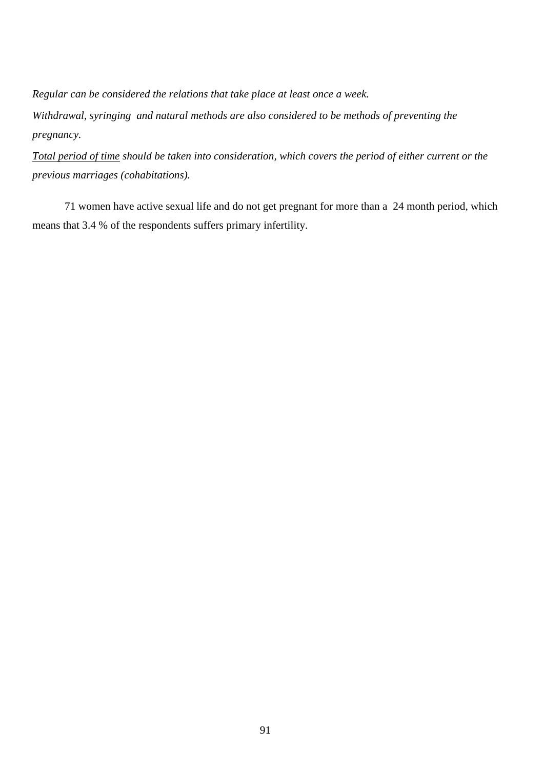*Regular can be considered the relations that take place at least once a week.* 

*Withdrawal, syringing and natural methods are also considered to be methods of preventing the pregnancy.* 

*Total period of time should be taken into consideration, which covers the period of either current or the previous marriages (cohabitations).* 

71 women have active sexual life and do not get pregnant for more than a 24 month period, which means that 3.4 % of the respondents suffers primary infertility.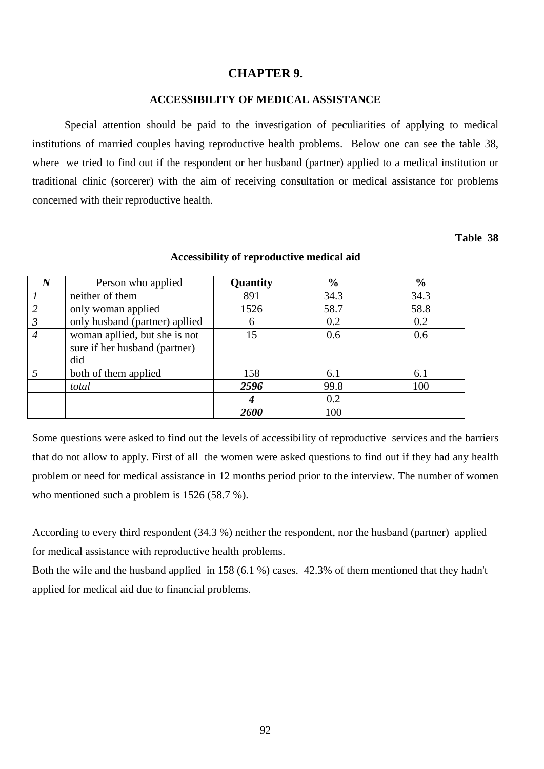#### **CHAPTER 9.**

#### **ACCESSIBILITY OF MEDICAL ASSISTANCE**

 Special attention should be paid to the investigation of peculiarities of applying to medical institutions of married couples having reproductive health problems. Below one can see the table 38, where we tried to find out if the respondent or her husband (partner) applied to a medical institution or traditional clinic (sorcerer) with the aim of receiving consultation or medical assistance for problems concerned with their reproductive health.

#### **Table 38**

| $\boldsymbol{N}$ | Person who applied                                                    | Quantity | $\frac{0}{0}$ | $\frac{6}{6}$ |
|------------------|-----------------------------------------------------------------------|----------|---------------|---------------|
|                  | neither of them                                                       | 891      | 34.3          | 34.3          |
| 2                | only woman applied                                                    | 1526     | 58.7          | 58.8          |
| $\mathfrak{Z}$   | only husband (partner) apllied                                        | 6        | 0.2           | 0.2           |
| $\overline{4}$   | woman apllied, but she is not<br>sure if her husband (partner)<br>did | 15       | 0.6           | 0.6           |
|                  | both of them applied                                                  | 158      | 6.1           | 6.1           |
|                  | total                                                                 | 2596     | 99.8          | 100           |
|                  |                                                                       |          | 0.2           |               |
|                  |                                                                       | 2600     | 100           |               |

#### **Accessibility of reproductive medical aid**

Some questions were asked to find out the levels of accessibility of reproductive services and the barriers that do not allow to apply. First of all the women were asked questions to find out if they had any health problem or need for medical assistance in 12 months period prior to the interview. The number of women who mentioned such a problem is 1526 (58.7 %).

According to every third respondent (34.3 %) neither the respondent, nor the husband (partner) applied for medical assistance with reproductive health problems.

Both the wife and the husband applied in 158 (6.1 %) cases. 42.3% of them mentioned that they hadn't applied for medical aid due to financial problems.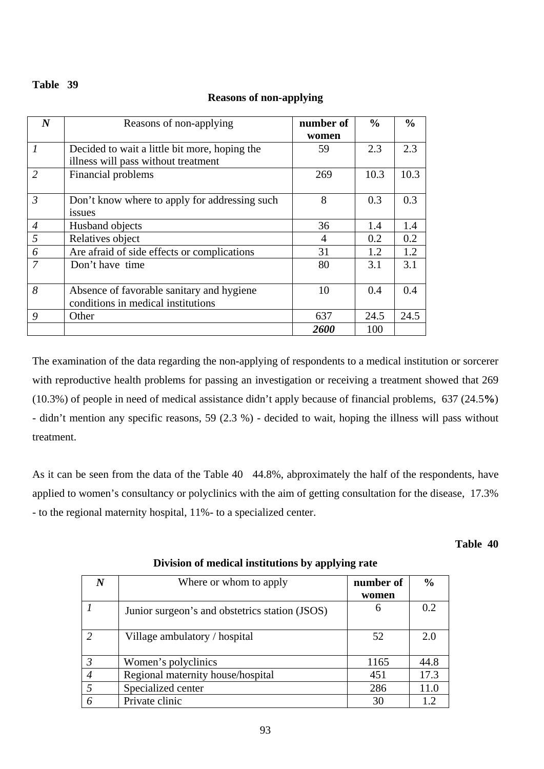#### **Table 39**

## **Reasons of non-applying**

| $\boldsymbol{N}$            | Reasons of non-applying                       | number of          | $\frac{6}{6}$ | $\frac{0}{0}$ |
|-----------------------------|-----------------------------------------------|--------------------|---------------|---------------|
|                             |                                               | women              |               |               |
| $\mathcal{I}_{\mathcal{I}}$ | Decided to wait a little bit more, hoping the | 59                 | 2.3           | 2.3           |
|                             | illness will pass without treatment           |                    |               |               |
| $\overline{2}$              | Financial problems                            | 269                | 10.3          | 10.3          |
|                             |                                               |                    |               |               |
| $\mathfrak{Z}$              | Don't know where to apply for addressing such | 8                  | 0.3           | 0.3           |
|                             | issues                                        |                    |               |               |
| $\overline{4}$              | Husband objects                               | 36                 | 1.4           | 1.4           |
| 5                           | Relatives object                              | $\overline{4}$     | 0.2           | 0.2           |
| 6                           | Are afraid of side effects or complications   | 31                 | 1.2           | 1.2           |
| $\overline{7}$              | Don't have time                               | 80                 | 3.1           | 3.1           |
|                             |                                               |                    |               |               |
| 8                           | Absence of favorable sanitary and hygiene     | 10                 | 0.4           | 0.4           |
|                             | conditions in medical institutions            |                    |               |               |
| 9                           | Other                                         | 637                | 24.5          | 24.5          |
|                             |                                               | <i><b>2600</b></i> | 100           |               |

The examination of the data regarding the non-applying of respondents to a medical institution or sorcerer with reproductive health problems for passing an investigation or receiving a treatment showed that 269 (10.3%) of people in need of medical assistance didn't apply because of financial problems, 637 (24.5**%**) - didn't mention any specific reasons, 59 (2.3 %) - decided to wait, hoping the illness will pass without treatment.

As it can be seen from the data of the Table 40 44.8%, abproximately the half of the respondents, have applied to women's consultancy or polyclinics with the aim of getting consultation for the disease, 17.3% - to the regional maternity hospital, 11%- to a specialized center.

#### **Table 40**

|               | Where or whom to apply                         | number of<br>women | $\frac{6}{6}$ |
|---------------|------------------------------------------------|--------------------|---------------|
|               | Junior surgeon's and obstetrics station (JSOS) | 6                  | 0.2           |
|               | Village ambulatory / hospital                  | 52                 | 2.0           |
| $\mathcal{R}$ | Women's polyclinics                            | 1165               | 44.8          |
|               | Regional maternity house/hospital              | 451                | 17.3          |
|               | Specialized center                             | 286                | 11.0          |
|               | Private clinic                                 | 30                 |               |

**Division of medical institutions by applying rate**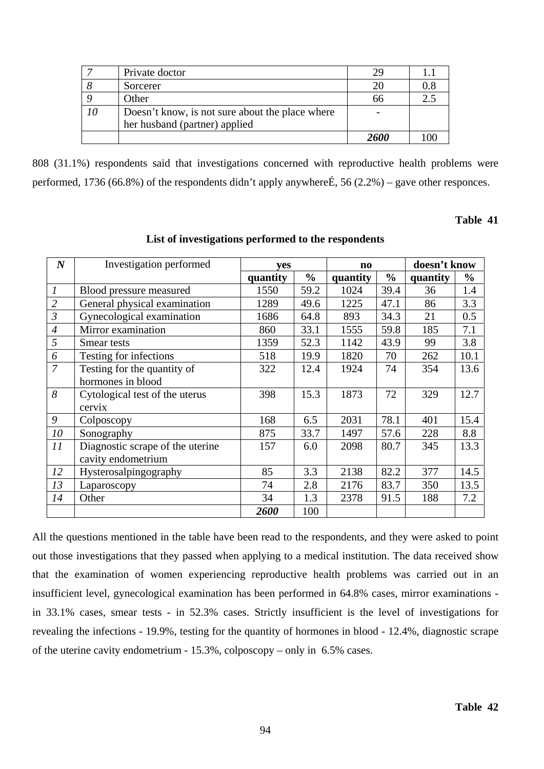|    | Private doctor                                  | 29   |     |
|----|-------------------------------------------------|------|-----|
|    | Sorcerer                                        | 20   | 0.8 |
|    | Other                                           | 66   | 2.3 |
| 10 | Doesn't know, is not sure about the place where |      |     |
|    | her husband (partner) applied                   |      |     |
|    |                                                 | 2600 |     |

808 (31.1%) respondents said that investigations concerned with reproductive health problems were performed, 1736 (66.8%) of the respondents didn't apply anywhere  $\acute{E}$ , 56 (2.2%) – gave other responces.

#### **Table 41**

**List of investigations performed to the respondents** 

| $\boldsymbol{N}$            | Investigation performed          | yes      |               | $\mathbf{n}\mathbf{o}$ |               | doesn't know |               |
|-----------------------------|----------------------------------|----------|---------------|------------------------|---------------|--------------|---------------|
|                             |                                  | quantity | $\frac{0}{0}$ | quantity               | $\frac{0}{0}$ | quantity     | $\frac{0}{0}$ |
| $\mathcal{I}_{\mathcal{I}}$ | Blood pressure measured          | 1550     | 59.2          | 1024                   | 39.4          | 36           | 1.4           |
| $\overline{2}$              | General physical examination     | 1289     | 49.6          | 1225                   | 47.1          | 86           | 3.3           |
| $\mathfrak{Z}$              | Gynecological examination        | 1686     | 64.8          | 893                    | 34.3          | 21           | 0.5           |
| $\overline{4}$              | Mirror examination               | 860      | 33.1          | 1555                   | 59.8          | 185          | 7.1           |
| 5                           | Smear tests                      | 1359     | 52.3          | 1142                   | 43.9          | 99           | 3.8           |
| 6                           | Testing for infections           | 518      | 19.9          | 1820                   | 70            | 262          | 10.1          |
| $\overline{7}$              | Testing for the quantity of      | 322      | 12.4          | 1924                   | 74            | 354          | 13.6          |
|                             | hormones in blood                |          |               |                        |               |              |               |
| 8                           | Cytological test of the uterus   | 398      | 15.3          | 1873                   | 72            | 329          | 12.7          |
|                             | cervix                           |          |               |                        |               |              |               |
| 9                           | Colposcopy                       | 168      | 6.5           | 2031                   | 78.1          | 401          | 15.4          |
| 10                          | Sonography                       | 875      | 33.7          | 1497                   | 57.6          | 228          | 8.8           |
| 11                          | Diagnostic scrape of the uterine | 157      | 6.0           | 2098                   | 80.7          | 345          | 13.3          |
|                             | cavity endometrium               |          |               |                        |               |              |               |
| 12                          | Hysterosalpingography            | 85       | 3.3           | 2138                   | 82.2          | 377          | 14.5          |
| 13                          | Laparoscopy                      | 74       | 2.8           | 2176                   | 83.7          | 350          | 13.5          |
| 14                          | Other                            | 34       | 1.3           | 2378                   | 91.5          | 188          | 7.2           |
|                             |                                  | 2600     | 100           |                        |               |              |               |

All the questions mentioned in the table have been read to the respondents, and they were asked to point out those investigations that they passed when applying to a medical institution. The data received show that the examination of women experiencing reproductive health problems was carried out in an insufficient level, gynecological examination has been performed in 64.8% cases, mirror examinations in 33.1% cases, smear tests - in 52.3% cases. Strictly insufficient is the level of investigations for revealing the infections - 19.9%, testing for the quantity of hormones in blood - 12.4%, diagnostic scrape of the uterine cavity endometrium - 15.3%, colposcopy – only in 6.5% cases.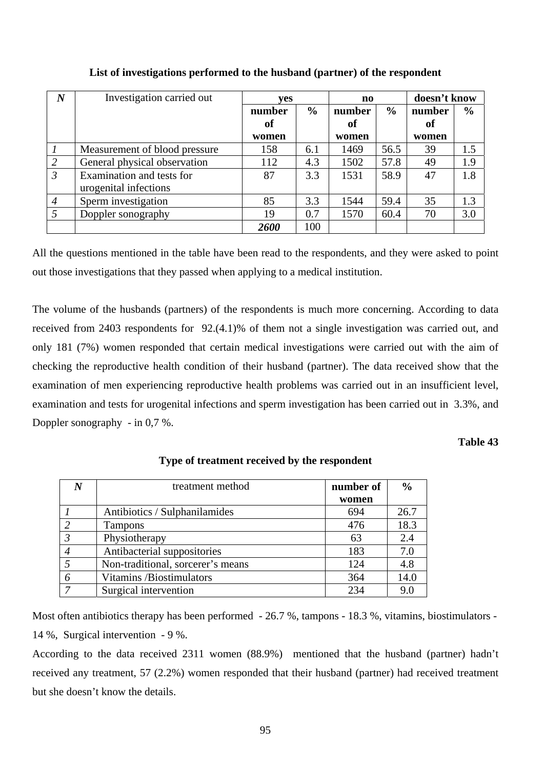| $\boldsymbol{N}$ | Investigation carried out     | ves    |               |        | $\mathbf{n}\mathbf{o}$ |        | doesn't know  |  |
|------------------|-------------------------------|--------|---------------|--------|------------------------|--------|---------------|--|
|                  |                               | number | $\frac{0}{0}$ | number | $\frac{6}{9}$          | number | $\frac{6}{6}$ |  |
|                  |                               | of     |               | of     |                        | of     |               |  |
|                  |                               | women  |               | women  |                        | women  |               |  |
|                  | Measurement of blood pressure | 158    | 6.1           | 1469   | 56.5                   | 39     | 1.5           |  |
| $\overline{2}$   | General physical observation  | 112    | 4.3           | 1502   | 57.8                   | 49     | 1.9           |  |
| $\mathfrak{Z}$   | Examination and tests for     | 87     | 3.3           | 1531   | 58.9                   | 47     | 1.8           |  |
|                  | urogenital infections         |        |               |        |                        |        |               |  |
| $\overline{4}$   | Sperm investigation           | 85     | 3.3           | 1544   | 59.4                   | 35     | 1.3           |  |
|                  | Doppler sonography            | 19     | 0.7           | 1570   | 60.4                   | 70     | 3.0           |  |
|                  |                               | 2600   | 100           |        |                        |        |               |  |

## **List of investigations performed to the husband (partner) of the respondent**

All the questions mentioned in the table have been read to the respondents, and they were asked to point out those investigations that they passed when applying to a medical institution.

The volume of the husbands (partners) of the respondents is much more concerning. According to data received from 2403 respondents for 92.(4.1)% of them not a single investigation was carried out, and only 181 (7%) women responded that certain medical investigations were carried out with the aim of checking the reproductive health condition of their husband (partner). The data received show that the examination of men experiencing reproductive health problems was carried out in an insufficient level, examination and tests for urogenital infections and sperm investigation has been carried out in 3.3%, and Doppler sonography - in 0,7 %.

### **Table 43**

|                | treatment method                  | number of | $\frac{0}{0}$ |
|----------------|-----------------------------------|-----------|---------------|
|                |                                   | women     |               |
|                | Antibiotics / Sulphanilamides     | 694       | 26.7          |
| $\mathcal{L}$  | <b>Tampons</b>                    | 476       | 18.3          |
| $\mathfrak{Z}$ | Physiotherapy                     | 63        | 2.4           |
|                | Antibacterial suppositories       | 183       | 7.0           |
|                | Non-traditional, sorcerer's means | 124       | 4.8           |
|                | Vitamins /Biostimulators          | 364       | 14.0          |
|                | Surgical intervention             | 234       | 9.0           |

## **Type of treatment received by the respondent**

Most often antibiotics therapy has been performed - 26.7 %, tampons - 18.3 %, vitamins, biostimulators -14 %, Surgical intervention - 9 %.

According to the data received 2311 women (88.9%) mentioned that the husband (partner) hadn't received any treatment, 57 (2.2%) women responded that their husband (partner) had received treatment but she doesn't know the details.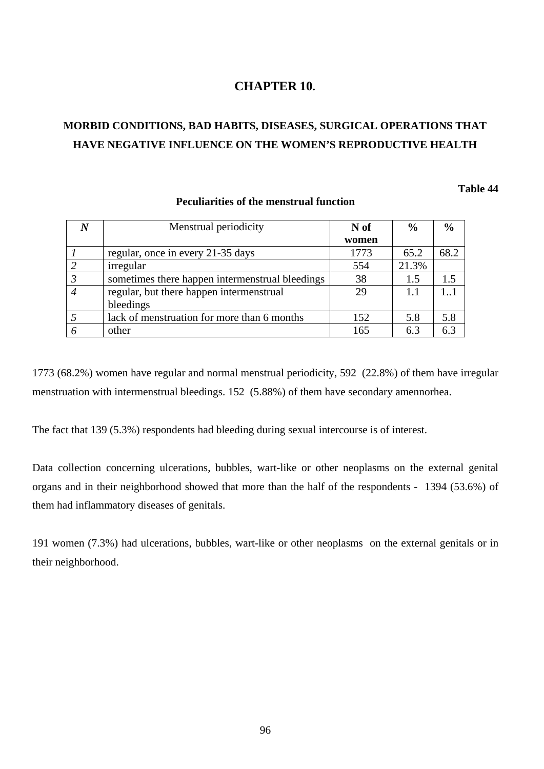# **CHAPTER 10.**

# **MORBID CONDITIONS, BAD HABITS, DISEASES, SURGICAL OPERATIONS THAT HAVE NEGATIVE INFLUENCE ON THE WOMEN'S REPRODUCTIVE HEALTH**

### **Table 44**

| $\boldsymbol{N}$ | Menstrual periodicity                           | N of  | $\frac{0}{0}$ | $\frac{6}{6}$ |
|------------------|-------------------------------------------------|-------|---------------|---------------|
|                  |                                                 | women |               |               |
|                  | regular, once in every 21-35 days               | 1773  | 65.2          | 68.2          |
| 2                | irregular                                       | 554   | 21.3%         |               |
| $\mathfrak{Z}$   | sometimes there happen intermenstrual bleedings | 38    | 1.5           | 1.5           |
| $\overline{4}$   | regular, but there happen intermenstrual        | 29    | 1.1           | $1_{-}1$      |
|                  | bleedings                                       |       |               |               |
| 5                | lack of menstruation for more than 6 months     | 152   | 5.8           | 5.8           |
| 6                | other                                           | 165   | 6.3           | 6.3           |
|                  |                                                 |       |               |               |

#### **Peculiarities of the menstrual function**

1773 (68.2%) women have regular and normal menstrual periodicity, 592 (22.8%) of them have irregular menstruation with intermenstrual bleedings. 152 (5.88%) of them have secondary amennorhea.

The fact that 139 (5.3%) respondents had bleeding during sexual intercourse is of interest.

Data collection concerning ulcerations, bubbles, wart-like or other neoplasms on the external genital organs and in their neighborhood showed that more than the half of the respondents - 1394 (53.6%) of them had inflammatory diseases of genitals.

191 women (7.3%) had ulcerations, bubbles, wart-like or other neoplasms on the external genitals or in their neighborhood.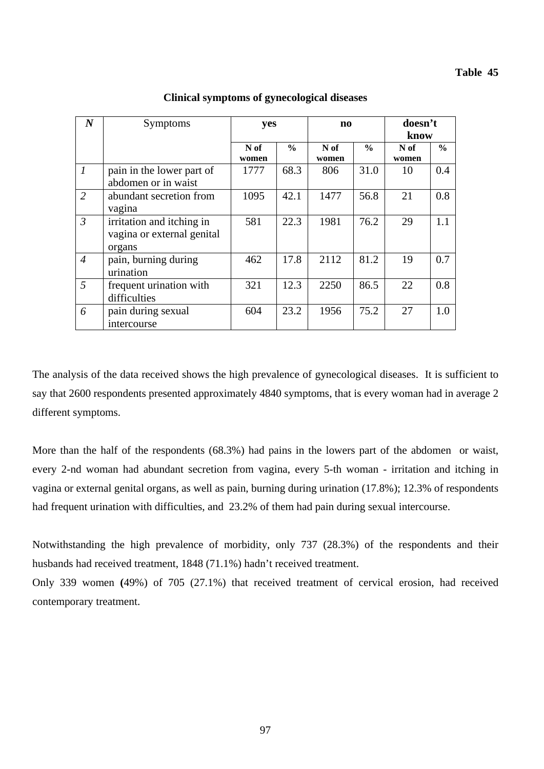| $\boldsymbol{N}$ | <b>Symptoms</b>                                                   |               | yes           |               | $\mathbf{n}\mathbf{o}$ |               | doesn't       |
|------------------|-------------------------------------------------------------------|---------------|---------------|---------------|------------------------|---------------|---------------|
|                  |                                                                   |               |               |               |                        | know          |               |
|                  |                                                                   | N of<br>women | $\frac{6}{6}$ | N of<br>women | $\frac{0}{0}$          | N of<br>women | $\frac{0}{0}$ |
| $\boldsymbol{l}$ | pain in the lower part of<br>abdomen or in waist                  | 1777          | 68.3          | 806           | 31.0                   | 10            | 0.4           |
| 2                | abundant secretion from<br>vagina                                 | 1095          | 42.1          | 1477          | 56.8                   | 21            | 0.8           |
| $\overline{3}$   | irritation and itching in<br>vagina or external genital<br>organs | 581           | 22.3          | 1981          | 76.2                   | 29            | 1.1           |
| $\overline{4}$   | pain, burning during<br>urination                                 | 462           | 17.8          | 2112          | 81.2                   | 19            | 0.7           |
| $\overline{5}$   | frequent urination with<br>difficulties                           | 321           | 12.3          | 2250          | 86.5                   | 22            | 0.8           |
| 6                | pain during sexual<br>intercourse                                 | 604           | 23.2          | 1956          | 75.2                   | 27            | 1.0           |

**Clinical symptoms of gynecological diseases** 

The analysis of the data received shows the high prevalence of gynecological diseases. It is sufficient to say that 2600 respondents presented approximately 4840 symptoms, that is every woman had in average 2 different symptoms.

More than the half of the respondents (68.3%) had pains in the lowers part of the abdomen or waist, every 2-nd woman had abundant secretion from vagina, every 5-th woman - irritation and itching in vagina or external genital organs, as well as pain, burning during urination (17.8%); 12.3% of respondents had frequent urination with difficulties, and 23.2% of them had pain during sexual intercourse.

Notwithstanding the high prevalence of morbidity, only 737 (28.3%) of the respondents and their husbands had received treatment, 1848 (71.1%) hadn't received treatment.

Only 339 women **(**49%) of 705 (27.1%) that received treatment of cervical erosion, had received contemporary treatment.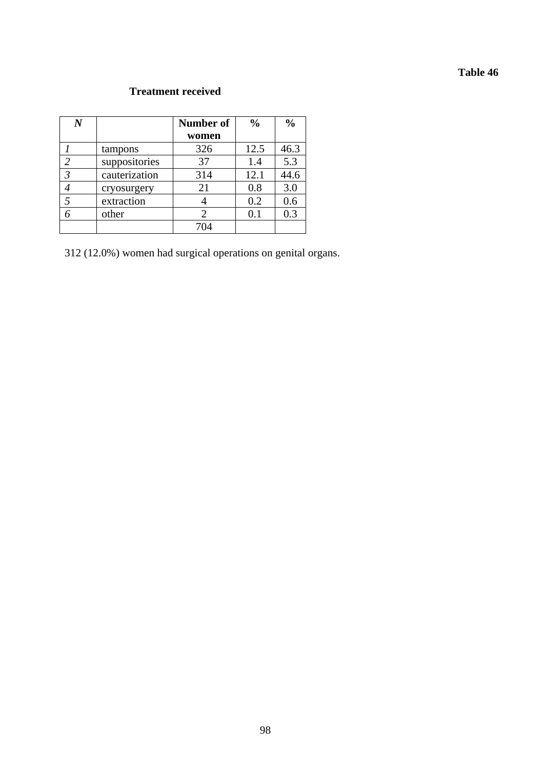# **Table 46**

# **Treatment received**

| $\bm{N}$                                                                                                                                                                                                                                                                                                                                                                                                                                                                            |               | Number of | $\frac{0}{0}$ | $\frac{0}{0}$ |
|-------------------------------------------------------------------------------------------------------------------------------------------------------------------------------------------------------------------------------------------------------------------------------------------------------------------------------------------------------------------------------------------------------------------------------------------------------------------------------------|---------------|-----------|---------------|---------------|
|                                                                                                                                                                                                                                                                                                                                                                                                                                                                                     |               | women     |               |               |
|                                                                                                                                                                                                                                                                                                                                                                                                                                                                                     | tampons       | 326       | 12.5          | 46.3          |
| $\mathcal{D}_{\mathcal{L}}^{\mathcal{L}}(\mathcal{L}) = \mathcal{D}_{\mathcal{L}}^{\mathcal{L}}(\mathcal{L}) = \mathcal{D}_{\mathcal{L}}^{\mathcal{L}}(\mathcal{L}) = \mathcal{D}_{\mathcal{L}}^{\mathcal{L}}(\mathcal{L}) = \mathcal{D}_{\mathcal{L}}^{\mathcal{L}}(\mathcal{L}) = \mathcal{D}_{\mathcal{L}}^{\mathcal{L}}(\mathcal{L}) = \mathcal{D}_{\mathcal{L}}^{\mathcal{L}}(\mathcal{L}) = \mathcal{D}_{\mathcal{L}}^{\mathcal{L}}(\mathcal{L}) = \mathcal{D}_{\mathcal{L}}$ | suppositories | 37        | 1.4           | 5.3           |
| 3                                                                                                                                                                                                                                                                                                                                                                                                                                                                                   | cauterization | 314       | 12.1          | 44.6          |
|                                                                                                                                                                                                                                                                                                                                                                                                                                                                                     | cryosurgery   | 21        | 0.8           | 3.0           |
|                                                                                                                                                                                                                                                                                                                                                                                                                                                                                     | extraction    |           | 0.2           | 0.6           |
|                                                                                                                                                                                                                                                                                                                                                                                                                                                                                     | other         |           | $0.1\,$       | 0.3           |
|                                                                                                                                                                                                                                                                                                                                                                                                                                                                                     |               | 704       |               |               |

312 (12.0%) women had surgical operations on genital organs.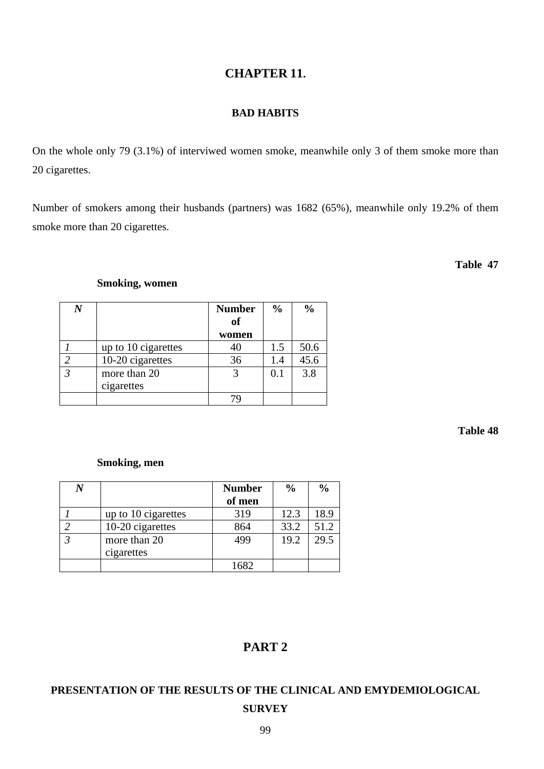### 99

# **CHAPTER 11.**

# **BAD HABITS**

On the whole only 79 (3.1%) of interviwed women smoke, meanwhile only 3 of them smoke more than 20 cigarettes.

Number of smokers among their husbands (partners) was 1682 (65%), meanwhile only 19.2% of them smoke more than 20 cigarettes.

## **Table 47**

## **Smoking, women**

|                            | <b>Number</b><br>of | $\frac{6}{6}$ |      |
|----------------------------|---------------------|---------------|------|
|                            | women               |               |      |
| up to 10 cigarettes        |                     | 1.5           | 50.6 |
| 10-20 cigarettes           | 36                  | 1.4           | 45.6 |
| more than 20<br>cigarettes |                     | 0.1           | 3.8  |
|                            |                     |               |      |

## **Table 48**

# **Smoking, men**

|                     | <b>Number</b> | $\frac{0}{0}$ | $\frac{0}{0}$ |
|---------------------|---------------|---------------|---------------|
|                     | of men        |               |               |
| up to 10 cigarettes | 319           | 12.3          | 18.9          |
| 10-20 cigarettes    | 864           | 33.2          | 51.2          |
| more than 20        | 499           | 19.2          | 29.5          |
| cigarettes          |               |               |               |
|                     | 1682          |               |               |

# **PART 2**

# **PRESENTATION OF THE RESULTS OF THE CLINICAL AND EMYDEMIOLOGICAL SURVEY**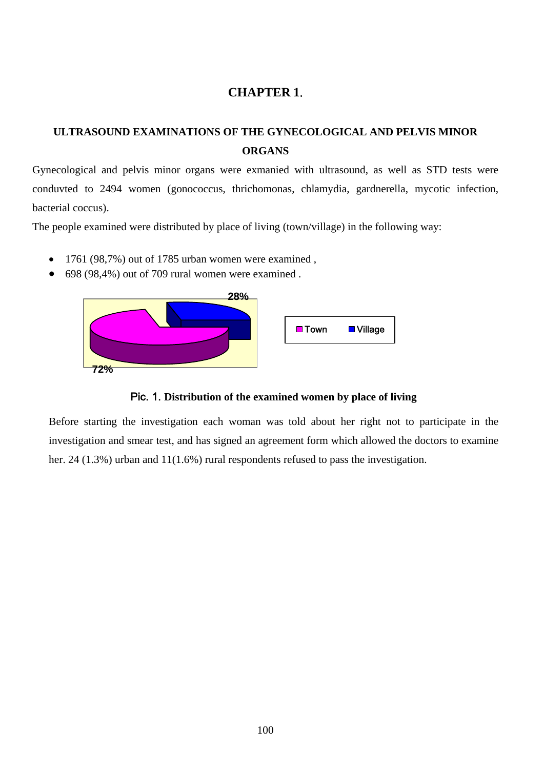# **CHAPTER 1**.

# **ULTRASOUND EXAMINATIONS OF THE GYNECOLOGICAL AND PELVIS MINOR ORGANS**

Gynecological and pelvis minor organs were exmanied with ultrasound, as well as STD tests were conduvted to 2494 women (gonococcus, thrichomonas, chlamydia, gardnerella, mycotic infection, bacterial coccus).

The people examined were distributed by place of living (town/village) in the following way:

- 1761 (98,7%) out of 1785 urban women were examined,
- 698 (98,4%) out of 709 rural women were examined .





Before starting the investigation each woman was told about her right not to participate in the investigation and smear test, and has signed an agreement form which allowed the doctors to examine her. 24 (1.3%) urban and 11(1.6%) rural respondents refused to pass the investigation.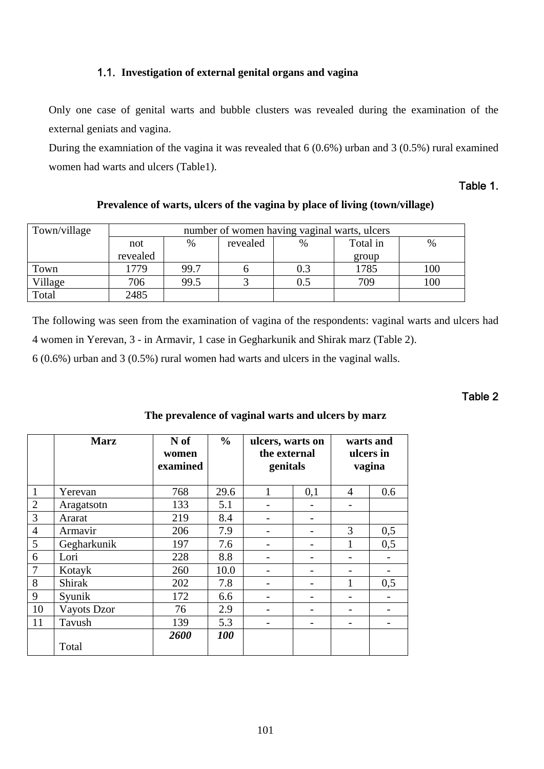## 1.1. **Investigation of external genital organs and vagina**

Only one case of genital warts and bubble clusters was revealed during the examination of the external geniats and vagina.

During the examniation of the vagina it was revealed that  $6(0.6%)$  urban and  $3(0.5%)$  rural examined women had warts and ulcers (Table1).

## Table 1.

## **Prevalence of warts, ulcers of the vagina by place of living (town/village)**

| Town/village |          | number of women having vaginal warts, ulcers |  |     |       |      |  |
|--------------|----------|----------------------------------------------|--|-----|-------|------|--|
|              | not      | Total in<br>revealed<br>%<br>$\%$            |  |     |       | $\%$ |  |
|              | revealed |                                              |  |     | group |      |  |
| Town         | 1779     | 99.7                                         |  | 0.3 | 1785  | 100  |  |
| Village      | 706      | 99.5                                         |  | 0.5 | 709   | 100  |  |
| Total        | 2485     |                                              |  |     |       |      |  |

The following was seen from the examination of vagina of the respondents: vaginal warts and ulcers had 4 women in Yerevan, 3 - in Armavir, 1 case in Gegharkunik and Shirak marz (Table 2).

6 (0.6%) urban and 3 (0.5%) rural women had warts and ulcers in the vaginal walls.

# Table 2

|                | <b>Marz</b>   | $\frac{6}{6}$<br>N of<br>women<br>examined |      | ulcers, warts on<br>the external<br>genitals |     | warts and<br>ulcers in<br>vagina |     |  |
|----------------|---------------|--------------------------------------------|------|----------------------------------------------|-----|----------------------------------|-----|--|
| $\mathbf{1}$   | Yerevan       | 768                                        | 29.6 |                                              | 0,1 | 4                                | 0.6 |  |
| $\overline{2}$ | Aragatsotn    | 133                                        | 5.1  |                                              |     |                                  |     |  |
| 3              | Ararat        | 219                                        | 8.4  |                                              |     |                                  |     |  |
| $\overline{4}$ | Armavir       | 206                                        | 7.9  |                                              |     | 3                                | 0,5 |  |
| 5              | Gegharkunik   | 197                                        | 7.6  |                                              |     |                                  | 0,5 |  |
| 6              | Lori          | 228                                        | 8.8  |                                              |     |                                  |     |  |
| $\overline{7}$ | Kotayk        | 260                                        | 10.0 |                                              |     |                                  |     |  |
| 8              | <b>Shirak</b> | 202                                        | 7.8  |                                              |     |                                  | 0,5 |  |
| 9              | Syunik        | 172                                        | 6.6  |                                              |     |                                  |     |  |
| 10             | Vayots Dzor   | 76                                         | 2.9  |                                              |     |                                  |     |  |
| 11             | Tavush        | 139                                        | 5.3  |                                              |     |                                  |     |  |
|                | Total         | 2600                                       | 100  |                                              |     |                                  |     |  |

# **The prevalence of vaginal warts and ulcers by marz**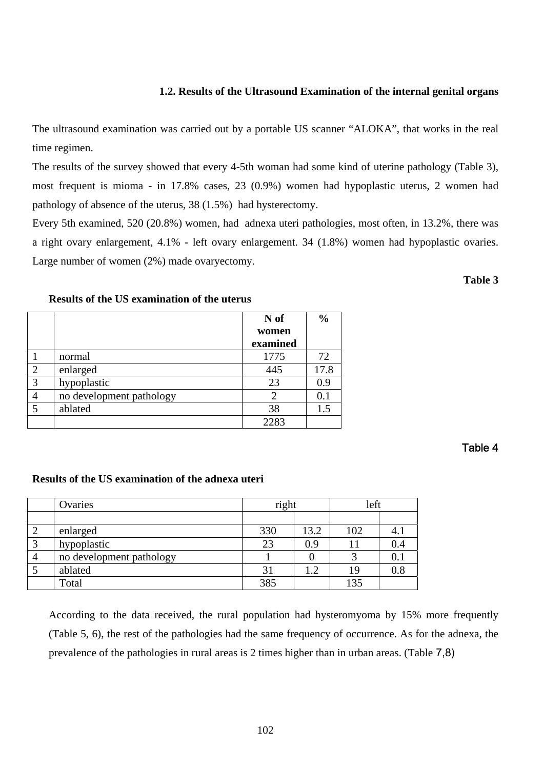# **1.2. Results of the Ultrasound Examination of the internal genital organs**

The ultrasound examination was carried out by a portable US scanner "ALOKA", that works in the real time regimen.

The results of the survey showed that every 4-5th woman had some kind of uterine pathology (Table 3), most frequent is mioma - in 17.8% cases, 23 (0.9%) women had hypoplastic uterus, 2 women had pathology of absence of the uterus, 38 (1.5%) had hysterectomy.

Every 5th examined, 520 (20.8%) women, had adnexa uteri pathologies, most often, in 13.2%, there was a right ovary enlargement, 4.1% - left ovary enlargement. 34 (1.8%) women had hypoplastic ovaries. Large number of women (2%) made ovaryectomy.

#### **Results of the US examination of the uterus**

# Table 4

# **Results of the US examination of the adnexa uteri**

| Ovaries                  | right |      | left |         |  |
|--------------------------|-------|------|------|---------|--|
|                          |       |      |      |         |  |
| enlarged                 | 330   | 13.2 | 102  | 4. .    |  |
| hypoplastic              | 23    | 0.9  |      |         |  |
| no development pathology |       |      |      | 0.1     |  |
| ablated                  | 31    | 1.2  | 19   | $0.8\,$ |  |
| Total                    | 385   |      | 135  |         |  |

According to the data received, the rural population had hysteromyoma by 15% more frequently (Table 5, 6), the rest of the pathologies had the same frequency of occurrence. As for the adnexa, the prevalence of the pathologies in rural areas is 2 times higher than in urban areas. (Table 7,8)

|                |                          | N of<br>women | $\frac{0}{0}$ |
|----------------|--------------------------|---------------|---------------|
|                |                          | examined      |               |
|                | normal                   | 1775          | 72            |
| $\overline{c}$ | enlarged                 | 445           | 17.8          |
| 3              | hypoplastic              | 23            | 0.9           |
| 4              | no development pathology |               | 0.1           |
| 5              | ablated                  | 38            | 1.5           |
|                |                          | 2283          |               |

## **Table 3**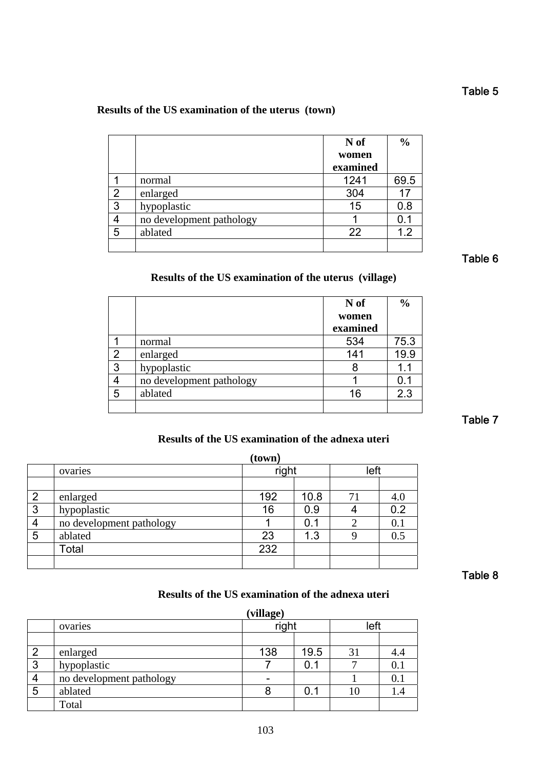# **Results of the US examination of the uterus (town)**

|   |                          | N of<br>women | $\frac{0}{0}$ |
|---|--------------------------|---------------|---------------|
|   |                          | examined      |               |
|   | normal                   | 1241          | 69.5          |
| 2 | enlarged                 | 304           | 17            |
| 3 | hypoplastic              | 15            | 0.8           |
|   | no development pathology |               | 0.1           |
| 5 | ablated                  | 22            | 1.2           |
|   |                          |               |               |

Table 6

# **Results of the US examination of the uterus (village)**

|   |                          | N of<br>women<br>examined | $\frac{6}{9}$ |
|---|--------------------------|---------------------------|---------------|
|   | normal                   | 534                       | 75.3          |
| 2 | enlarged                 | 141                       | 19.9          |
| 3 | hypoplastic              | 8                         | 1.1           |
| 4 | no development pathology |                           | 0.1           |
| 5 | ablated                  | 16                        | 2.3           |
|   |                          |                           |               |

Table 7

# **Results of the US examination of the adnexa uteri**

|                |                          | (town) |      |      |     |
|----------------|--------------------------|--------|------|------|-----|
|                | ovaries                  | right  |      | left |     |
|                |                          |        |      |      |     |
| $\overline{2}$ | enlarged                 | 192    | 10.8 | 71   | 4.0 |
| 3              | hypoplastic              | 16     | 0.9  |      | 0.2 |
| 4              | no development pathology |        | 0.1  |      | 0.1 |
| 5              | ablated                  | 23     | 1.3  |      | 0.5 |
|                | Total                    | 232    |      |      |     |
|                |                          |        |      |      |     |

Table 8

## **Results of the US examination of the adnexa uteri**

|                |                          | (village) |      |      |     |
|----------------|--------------------------|-----------|------|------|-----|
|                | ovaries                  | right     |      | left |     |
|                |                          |           |      |      |     |
| $\overline{2}$ | enlarged                 | 138       | 19.5 | 31   | 4.4 |
| 3              | hypoplastic              |           |      | 0.1  |     |
| 4              | no development pathology |           |      |      | 0.1 |
| 5              | ablated                  | 8         | 0.1  | 10   |     |
|                | Total                    |           |      |      |     |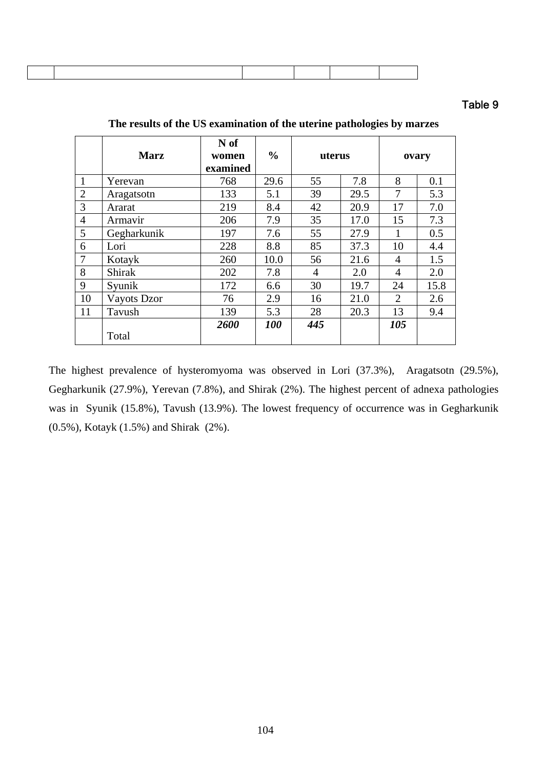## Table 9

|                |                   | N of     |               |        |      |                |      |
|----------------|-------------------|----------|---------------|--------|------|----------------|------|
|                | <b>Marz</b>       | women    | $\frac{6}{9}$ | uterus |      | ovary          |      |
|                |                   | examined |               |        |      |                |      |
| 1              | Yerevan           | 768      | 29.6          | 55     | 7.8  | 8              | 0.1  |
| $\overline{2}$ | Aragatsotn        | 133      | 5.1           | 39     | 29.5 | 7              | 5.3  |
| 3              | Ararat            | 219      | 8.4           | 42     | 20.9 | 17             | 7.0  |
| $\overline{4}$ | Armavir           | 206      | 7.9           | 35     | 17.0 | 15             | 7.3  |
| 5              | Gegharkunik       | 197      | 7.6           | 55     | 27.9 | 1              | 0.5  |
| 6              | Lori              | 228      | 8.8           | 85     | 37.3 | 10             | 4.4  |
| 7              | Kotayk            | 260      | 10.0          | 56     | 21.6 | 4              | 1.5  |
| 8              | Shirak            | 202      | 7.8           | 4      | 2.0  | $\overline{4}$ | 2.0  |
| 9              | Syunik            | 172      | 6.6           | 30     | 19.7 | 24             | 15.8 |
| 10             | Vayots Dzor<br>76 |          | 2.9           | 16     | 21.0 | $\overline{2}$ | 2.6  |
| 11             | Tavush            | 139      | 5.3           | 28     | 20.3 | 13             | 9.4  |
|                |                   | 2600     | <b>100</b>    | 445    |      | 105            |      |
|                | Total             |          |               |        |      |                |      |

**The results of the US examination of the uterine pathologies by marzes** 

The highest prevalence of hysteromyoma was observed in Lori (37.3%), Aragatsotn (29.5%), Gegharkunik (27.9%), Yerevan (7.8%), and Shirak (2%). The highest percent of adnexa pathologies was in Syunik (15.8%), Tavush (13.9%). The lowest frequency of occurrence was in Gegharkunik (0.5%), Kotayk (1.5%) and Shirak (2%).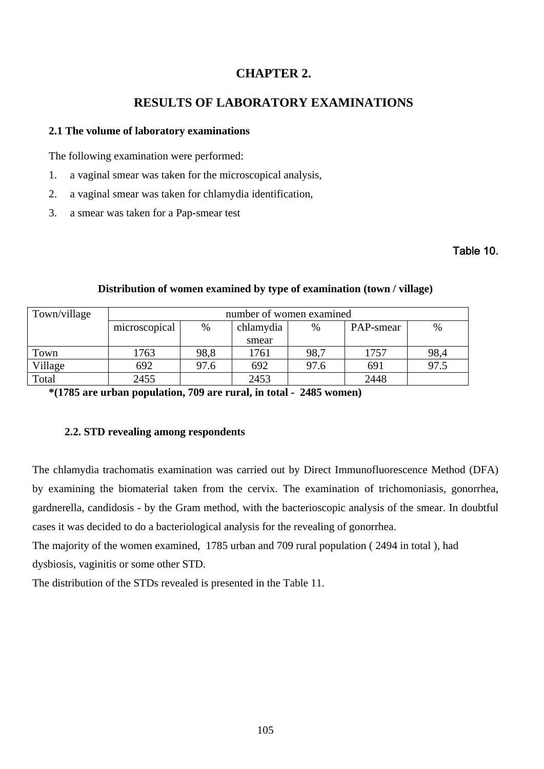# **CHAPTER 2.**

# **RESULTS OF LABORATORY EXAMINATIONS**

#### **2.1 The volume of laboratory examinations**

The following examination were performed:

- 1. a vaginal smear was taken for the microscopical analysis,
- 2. a vaginal smear was taken for chlamydia identification,
- 3. a smear was taken for a Pap-smear test

## Table 10.

| Town/village | number of women examined |      |           |      |           |      |  |  |  |
|--------------|--------------------------|------|-----------|------|-----------|------|--|--|--|
|              | microscopical            | $\%$ | chlamydia | $\%$ | PAP-smear | $\%$ |  |  |  |
|              |                          |      | smear     |      |           |      |  |  |  |
| Town         | 1763                     | 98.8 | 1761      | 98,7 | 1757      | 98,4 |  |  |  |
| Village      | 692                      | 97.6 | 692       | 97.6 | 691       | 97.5 |  |  |  |
| Total        | 2455                     |      | 2453      |      | 2448      |      |  |  |  |

### **Distribution of women examined by type of examination (town / village)**

**\*(1785 are urban population, 709 are rural, in total - 2485 women)** 

#### **2.2. STD revealing among respondents**

The chlamydia trachomatis examination was carried out by Direct Immunofluorescence Method (DFA) by examining the biomaterial taken from the cervix. The examination of trichomoniasis, gonorrhea, gardnerella, candidosis - by the Gram method, with the bacterioscopic analysis of the smear. In doubtful cases it was decided to do a bacteriological analysis for the revealing of gonorrhea.

The majority of the women examined, 1785 urban and 709 rural population ( 2494 in total ), had dysbiosis, vaginitis or some other STD.

The distribution of the STDs revealed is presented in the Table 11.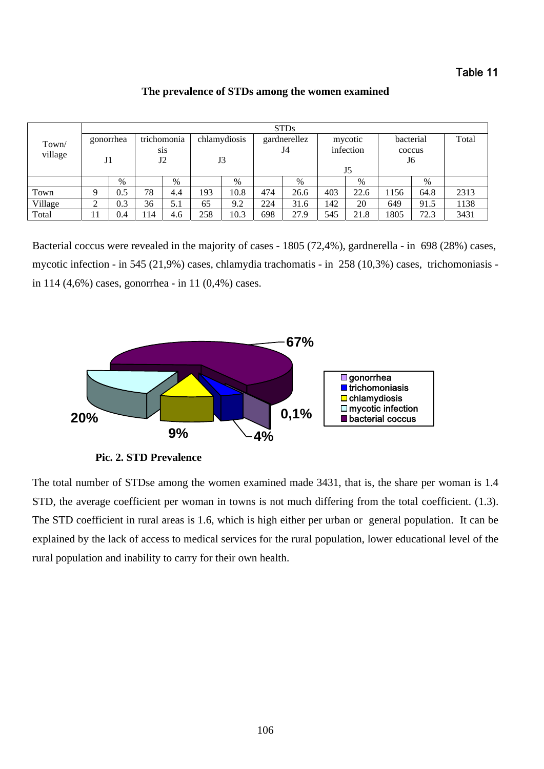## Table 11

|                  |                             | <b>STDs</b> |                                       |     |                    |      |                    |      |                            |      |                           |      |       |  |  |
|------------------|-----------------------------|-------------|---------------------------------------|-----|--------------------|------|--------------------|------|----------------------------|------|---------------------------|------|-------|--|--|
| Town/<br>village | gonorrhea<br>J <sub>1</sub> |             | trichomonia<br>S <sub>1</sub> S<br>J2 |     | chlamydiosis<br>J3 |      | gardnerellez<br>J4 |      | mycotic<br>infection<br>J5 |      | bacterial<br>coccus<br>J6 |      | Total |  |  |
|                  |                             | $\%$        |                                       | %   |                    | $\%$ |                    | %    |                            | %    |                           | $\%$ |       |  |  |
| Town             | Q                           | 0.5         | 78                                    | 4.4 | 193                | 10.8 | 474                | 26.6 | 403                        | 22.6 | .156                      | 64.8 | 2313  |  |  |
| Village          | ◠<br>∠                      | 0.3         | 36                                    | 5.1 | 65                 | 9.2  | 224                | 31.6 | 142                        | 20   | 649                       | 91.5 | 1138  |  |  |
| Total            |                             | 0.4         | 114                                   | 4.6 | 258                | 10.3 | 698                | 27.9 | 545                        | 21.8 | 1805                      | 72.3 | 3431  |  |  |

**The prevalence of STDs among the women examined** 

Bacterial coccus were revealed in the majority of cases - 1805 (72,4%), gardnerella - in 698 (28%) cases, mycotic infection - in 545 (21,9%) cases, chlamydia trachomatis - in 258 (10,3%) cases, trichomoniasis in 114 (4,6%) cases, gonorrhea - in 11 (0,4%) cases.



**Pic. 2. STD Prevalence**

The total number of STDse among the women examined made 3431, that is, the share per woman is 1.4 STD, the average coefficient per woman in towns is not much differing from the total coefficient. (1.3). The STD coefficient in rural areas is 1.6, which is high either per urban or general population. It can be explained by the lack of access to medical services for the rural population, lower educational level of the rural population and inability to carry for their own health.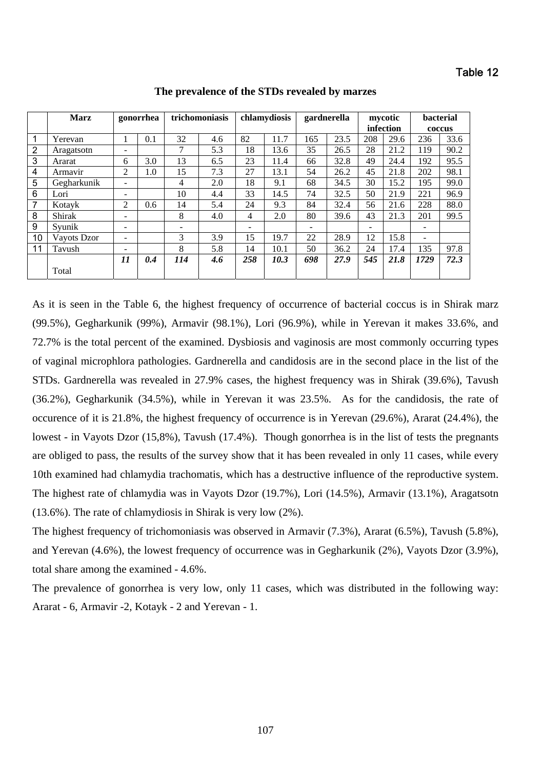|                | <b>Marz</b> | gonorrhea                |     |     | trichomoniasis |                | chlamydiosis |     | gardnerella | mycotic |           | <b>bacterial</b>         |      |
|----------------|-------------|--------------------------|-----|-----|----------------|----------------|--------------|-----|-------------|---------|-----------|--------------------------|------|
|                |             |                          |     |     |                |                |              |     |             |         | infection | coccus                   |      |
| $\mathbf 1$    | Yerevan     |                          | 0.1 | 32  | 4.6            | 82             | 11.7         | 165 | 23.5        | 208     | 29.6      | 236                      | 33.6 |
| $\overline{2}$ | Aragatsotn  | $\overline{\phantom{0}}$ |     | 7   | 5.3            | 18             | 13.6         | 35  | 26.5        | 28      | 21.2      | 119                      | 90.2 |
| 3              | Ararat      | 6                        | 3.0 | 13  | 6.5            | 23             | 11.4         | 66  | 32.8        | 49      | 24.4      | 192                      | 95.5 |
| 4              | Armavir     | 2                        | 1.0 | 15  | 7.3            | 27             | 13.1         | 54  | 26.2        | 45      | 21.8      | 202                      | 98.1 |
| 5              | Gegharkunik | $\overline{\phantom{0}}$ |     | 4   | 2.0            | 18             | 9.1          | 68  | 34.5        | 30      | 15.2      | 195                      | 99.0 |
| 6              | Lori        | $\overline{\phantom{0}}$ |     | 10  | 4.4            | 33             | 14.5         | 74  | 32.5        | 50      | 21.9      | 221                      | 96.9 |
| $\overline{7}$ | Kotavk      | $\overline{2}$           | 0.6 | 14  | 5.4            | 24             | 9.3          | 84  | 32.4        | 56      | 21.6      | 228                      | 88.0 |
| 8              | Shirak      | -                        |     | 8   | 4.0            | $\overline{4}$ | 2.0          | 80  | 39.6        | 43      | 21.3      | 201                      | 99.5 |
| 9              | Svunik      | $\overline{\phantom{a}}$ |     |     |                | ۰              |              |     |             | -       |           | $\overline{\phantom{0}}$ |      |
| 10             | Vayots Dzor | $\overline{\phantom{0}}$ |     | 3   | 3.9            | 15             | 19.7         | 22  | 28.9        | 12      | 15.8      | ۰                        |      |
| 11             | Tavush      | ۰                        |     | 8   | 5.8            | 14             | 10.1         | 50  | 36.2        | 24      | 17.4      | 135                      | 97.8 |
|                |             | 11                       | 0.4 | 114 | 4.6            | 258            | 10.3         | 698 | 27.9        | 545     | 21.8      | 1729                     | 72.3 |
|                | Total       |                          |     |     |                |                |              |     |             |         |           |                          |      |

**The prevalence of the STDs revealed by marzes** 

As it is seen in the Table 6, the highest frequency of occurrence of bacterial coccus is in Shirak marz (99.5%), Gegharkunik (99%), Armavir (98.1%), Lori (96.9%), while in Yerevan it makes 33.6%, and 72.7% is the total percent of the examined. Dysbiosis and vaginosis are most commonly occurring types of vaginal microphlora pathologies. Gardnerella and candidosis are in the second place in the list of the STDs. Gardnerella was revealed in 27.9% cases, the highest frequency was in Shirak (39.6%), Tavush (36.2%), Gegharkunik (34.5%), while in Yerevan it was 23.5%. As for the candidosis, the rate of occurence of it is 21.8%, the highest frequency of occurrence is in Yerevan (29.6%), Ararat (24.4%), the lowest - in Vayots Dzor (15,8%), Tavush (17.4%). Though gonorrhea is in the list of tests the pregnants are obliged to pass, the results of the survey show that it has been revealed in only 11 cases, while every 10th examined had chlamydia trachomatis, which has a destructive influence of the reproductive system. The highest rate of chlamydia was in Vayots Dzor (19.7%), Lori (14.5%), Armavir (13.1%), Aragatsotn (13.6%). The rate of chlamydiosis in Shirak is very low (2%).

The highest frequency of trichomoniasis was observed in Armavir (7.3%), Ararat (6.5%), Tavush (5.8%), and Yerevan (4.6%), the lowest frequency of occurrence was in Gegharkunik (2%), Vayots Dzor (3.9%), total share among the examined - 4.6%.

The prevalence of gonorrhea is very low, only 11 cases, which was distributed in the following way: Ararat - 6, Armavir -2, Kotayk - 2 and Yerevan - 1.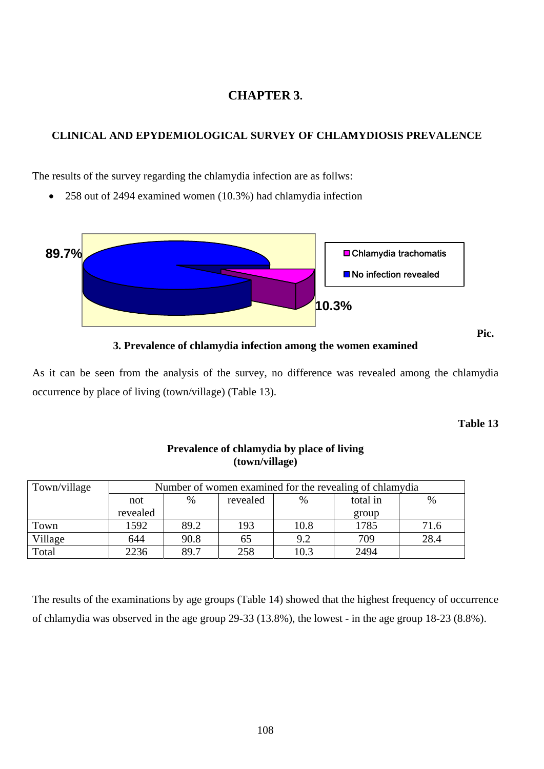# **CHAPTER 3.**

## **CLINICAL AND EPYDEMIOLOGICAL SURVEY OF CHLAMYDIOSIS PREVALENCE**

The results of the survey regarding the chlamydia infection are as follws:

• 258 out of 2494 examined women (10.3%) had chlamydia infection



**3. Prevalence of chlamydia infection among the women examined** 

As it can be seen from the analysis of the survey, no difference was revealed among the chlamydia occurrence by place of living (town/village) (Table 13).

**Table 13** 

| Town/village | Number of women examined for the revealing of chlamydia |          |      |      |       |      |  |  |
|--------------|---------------------------------------------------------|----------|------|------|-------|------|--|--|
|              | not                                                     | total in | $\%$ |      |       |      |  |  |
|              | revealed                                                |          |      |      | group |      |  |  |
| Town         | 1592                                                    | 89.2     | 193  | 10.8 | 1785  | 71.6 |  |  |
| Village      | 644                                                     | 90.8     | 65   | 9.2  | 709   | 28.4 |  |  |
| Total        | 2236                                                    | 89.7     | 258  | 10.3 | 2494  |      |  |  |

## **Prevalence of chlamydia by place of living (town/village)**

The results of the examinations by age groups (Table 14) showed that the highest frequency of occurrence of chlamydia was observed in the age group 29-33 (13.8%), the lowest - in the age group 18-23 (8.8%).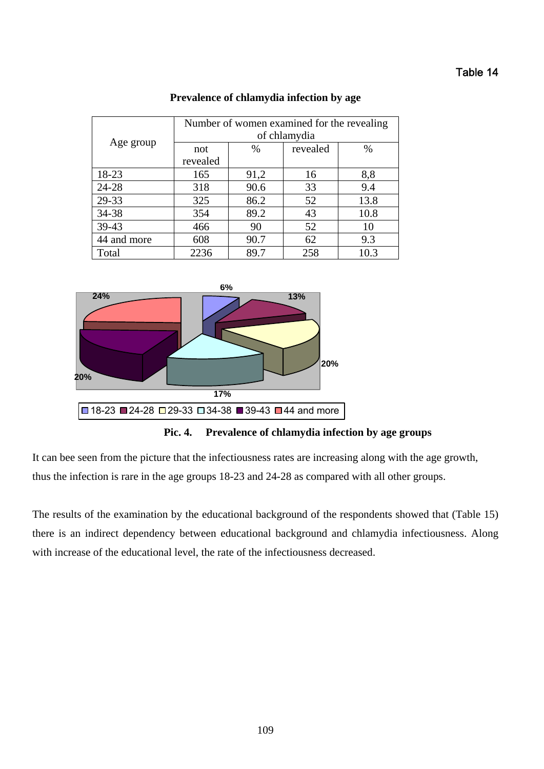## Table 14

|             | Number of women examined for the revealing |      |          |      |  |  |  |
|-------------|--------------------------------------------|------|----------|------|--|--|--|
|             | of chlamydia                               |      |          |      |  |  |  |
| Age group   | not                                        | $\%$ | revealed | $\%$ |  |  |  |
|             | revealed                                   |      |          |      |  |  |  |
| 18-23       | 165                                        | 91,2 | 16       | 8,8  |  |  |  |
| 24-28       | 318                                        | 90.6 | 33       | 9.4  |  |  |  |
| 29-33       | 325                                        | 86.2 | 52       | 13.8 |  |  |  |
| 34-38       | 354                                        | 89.2 | 43       | 10.8 |  |  |  |
| 39-43       | 466                                        | 90   | 52       | 10   |  |  |  |
| 44 and more | 608                                        | 90.7 | 62       | 9.3  |  |  |  |
| Total       | 2236                                       | 89.7 | 258      | 10.3 |  |  |  |

#### **Prevalence of chlamydia infection by age**





It can bee seen from the picture that the infectiousness rates are increasing along with the age growth, thus the infection is rare in the age groups 18-23 and 24-28 as compared with all other groups.

The results of the examination by the educational background of the respondents showed that (Table 15) there is an indirect dependency between educational background and chlamydia infectiousness. Along with increase of the educational level, the rate of the infectiousness decreased.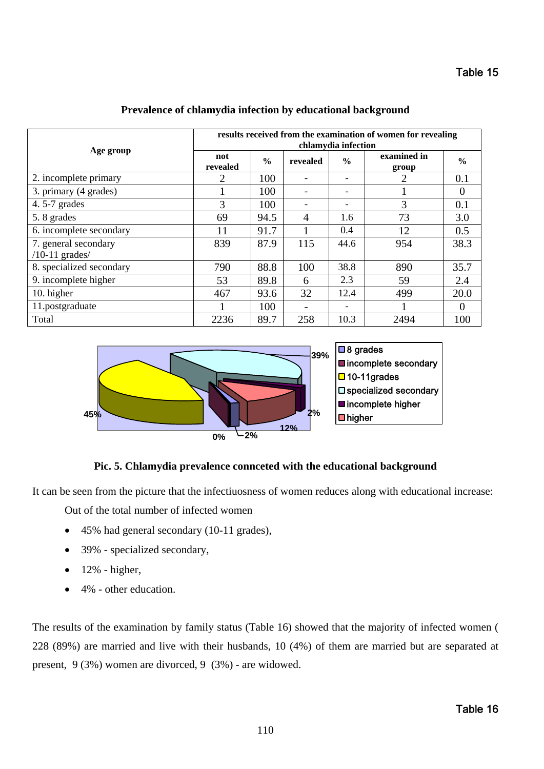|                                          | results received from the examination of women for revealing<br>chlamydia infection |               |                |               |                      |               |  |  |
|------------------------------------------|-------------------------------------------------------------------------------------|---------------|----------------|---------------|----------------------|---------------|--|--|
| Age group                                | not<br>revealed                                                                     | $\frac{6}{6}$ | revealed       | $\frac{6}{9}$ | examined in<br>group | $\frac{6}{6}$ |  |  |
| 2. incomplete primary                    | $\overline{2}$                                                                      | 100           |                |               | 2                    | 0.1           |  |  |
| 3. primary (4 grades)                    |                                                                                     | 100           |                |               |                      | $\theta$      |  |  |
| 4.5-7 grades                             | 3                                                                                   | 100           |                |               | 3                    | 0.1           |  |  |
| 5.8 grades                               | 69                                                                                  | 94.5          | $\overline{4}$ | 1.6           | 73                   | 3.0           |  |  |
| 6. incomplete secondary                  | 11                                                                                  | 91.7          |                | 0.4           | 12                   | 0.5           |  |  |
| 7. general secondary<br>$/10-11$ grades/ | 839                                                                                 | 87.9          | 115            | 44.6          | 954                  | 38.3          |  |  |
| 8. specialized secondary                 | 790                                                                                 | 88.8          | 100            | 38.8          | 890                  | 35.7          |  |  |
| 9. incomplete higher                     | 53                                                                                  | 89.8          | 6              | 2.3           | 59                   | 2.4           |  |  |
| 10. higher                               | 467                                                                                 | 93.6          | 32             | 12.4          | 499                  | 20.0          |  |  |
| 11.postgraduate                          |                                                                                     | 100           |                |               |                      | $\theta$      |  |  |
| Total                                    | 2236                                                                                | 89.7          | 258            | 10.3          | 2494                 | 100           |  |  |

#### **Prevalence of chlamydia infection by educational background**



### **Pic. 5. Chlamydia prevalence connceted with the educational background**

It can be seen from the picture that the infectiuosness of women reduces along with educational increase:

Out of the total number of infected women

- 45% had general secondary (10-11 grades),
- 39% specialized secondary,
- $\bullet$  12% higher,
- 4% other education.

The results of the examination by family status (Table 16) showed that the majority of infected women ( 228 (89%) are married and live with their husbands, 10 (4%) of them are married but are separated at present, 9 (3%) women are divorced, 9 (3%) - are widowed.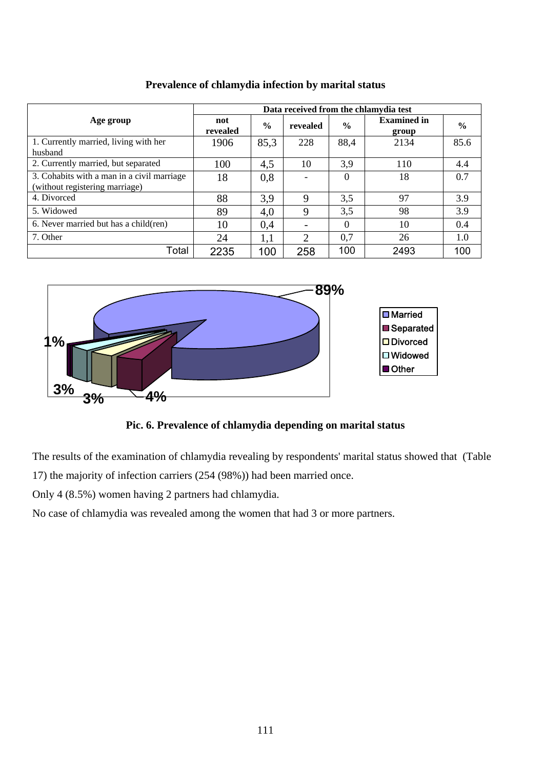|                                                                              | Data received from the chlamydia test |      |                |               |                             |               |  |  |
|------------------------------------------------------------------------------|---------------------------------------|------|----------------|---------------|-----------------------------|---------------|--|--|
| Age group                                                                    | not<br>revealed                       | $\%$ | revealed       | $\frac{0}{0}$ | <b>Examined in</b><br>group | $\frac{0}{0}$ |  |  |
| 1. Currently married, living with her                                        | 1906                                  | 85,3 | 228            | 88,4          | 2134                        | 85.6          |  |  |
| husband                                                                      |                                       |      |                |               |                             |               |  |  |
| 2. Currently married, but separated                                          | 100                                   | 4,5  | 10             | 3,9           | 110                         | 4.4           |  |  |
| 3. Cohabits with a man in a civil marriage<br>(without registering marriage) | 18                                    | 0,8  |                | $\Omega$      | 18                          | 0.7           |  |  |
| 4. Divorced                                                                  | 88                                    | 3,9  | $\mathbf Q$    | 3,5           | 97                          | 3.9           |  |  |
| 5. Widowed                                                                   | 89                                    | 4,0  | 9              | 3,5           | 98                          | 3.9           |  |  |
| 6. Never married but has a child(ren)                                        | 10                                    | 0.4  |                | $\Omega$      | 10                          | 0.4           |  |  |
| 7. Other                                                                     | 24                                    | 1,1  | $\overline{2}$ | 0.7           | 26                          | 1.0           |  |  |
| Total                                                                        | 2235                                  | 100  | 258            | 100           | 2493                        | 100           |  |  |

**Prevalence of chlamydia infection by marital status** 



# **Pic. 6. Prevalence of chlamydia depending on marital status**

The results of the examination of chlamydia revealing by respondents' marital status showed that (Table

17) the majority of infection carriers (254 (98%)) had been married once.

Only 4 (8.5%) women having 2 partners had chlamydia.

No case of chlamydia was revealed among the women that had 3 or more partners.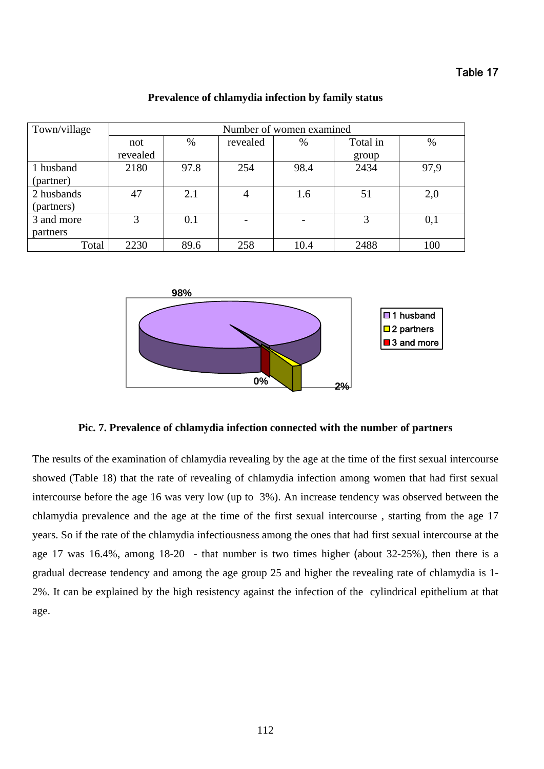| Town/village             | Number of women examined |      |          |      |                   |      |  |  |
|--------------------------|--------------------------|------|----------|------|-------------------|------|--|--|
|                          | not<br>revealed          | %    | revealed | $\%$ | Total in<br>group | $\%$ |  |  |
| 1 husband<br>(partner)   | 2180                     | 97.8 | 254      | 98.4 | 2434              | 97,9 |  |  |
| 2 husbands<br>(partners) | 47                       | 2.1  | 4        | 1.6  | 51                | 2,0  |  |  |
| 3 and more<br>partners   | 3                        | 0.1  |          |      | 3                 | 0,1  |  |  |
| Total                    | 2230                     | 89.6 | 258      | 10.4 | 2488              | 100  |  |  |

## **Prevalence of chlamydia infection by family status**



## **Pic. 7. Prevalence of chlamydia infection connected with the number of partners**

The results of the examination of chlamydia revealing by the age at the time of the first sexual intercourse showed (Table 18) that the rate of revealing of chlamydia infection among women that had first sexual intercourse before the age 16 was very low (up to 3%). An increase tendency was observed between the chlamydia prevalence and the age at the time of the first sexual intercourse , starting from the age 17 years. So if the rate of the chlamydia infectiousness among the ones that had first sexual intercourse at the age 17 was  $16.4\%$ , among  $18-20$  - that number is two times higher (about  $32-25\%$ ), then there is a gradual decrease tendency and among the age group 25 and higher the revealing rate of chlamydia is 1- 2%. It can be explained by the high resistency against the infection of the cylindrical epithelium at that age.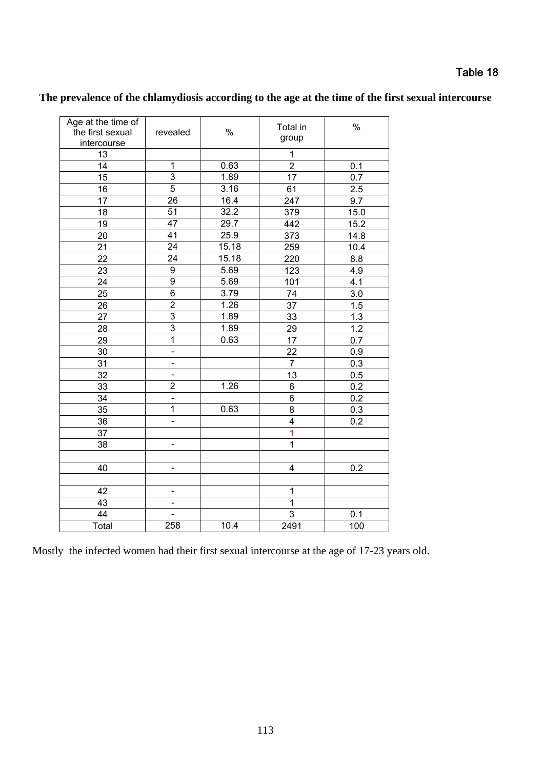| Age at the time of<br>the first sexual<br>intercourse | revealed                     | $\%$  | Total in<br>group       | $\%$             |
|-------------------------------------------------------|------------------------------|-------|-------------------------|------------------|
| 13                                                    |                              |       | 1                       |                  |
| 14                                                    | 1                            | 0.63  | $\overline{c}$          | 0.1              |
| 15                                                    | $\overline{3}$               | 1.89  | 17                      | 0.7              |
| 16                                                    | 5                            | 3.16  | 61                      | 2.5              |
| 17                                                    | 26                           | 16.4  | 247                     | 9.7              |
| 18                                                    | 51                           | 32.2  | 379                     | 15.0             |
| 19                                                    | 47                           | 29.7  | 442                     | 15.2             |
| 20                                                    | $\overline{41}$              | 25.9  | 373                     | 14.8             |
| 21                                                    | $\overline{24}$              | 15.18 | 259                     | 10.4             |
| 22                                                    | 24                           | 15.18 | 220                     | 8.8              |
| 23                                                    | $\overline{9}$               | 5.69  | 123                     | 4.9              |
| 24                                                    | 9                            | 5.69  | 101                     | 4.1              |
| 25                                                    | $\overline{6}$               | 3.79  | 74                      | 3.0              |
| 26                                                    | $\overline{2}$               | 1.26  | 37                      | 1.5              |
| 27                                                    | $\overline{3}$               | 1.89  | 33                      | 1.3              |
| 28                                                    | $\overline{3}$               | 1.89  | 29                      | 1.2              |
| 29                                                    | $\overline{1}$               | 0.63  | 17                      | 0.7              |
| 30                                                    | $\frac{1}{2}$                |       | 22                      | 0.9              |
| 31                                                    | $\blacksquare$               |       | $\overline{7}$          | 0.3              |
| 32                                                    | $\frac{1}{2}$                |       | 13                      | 0.5              |
| 33                                                    | $\overline{2}$               | 1.26  | 6                       | $\overline{0.2}$ |
| 34                                                    | $\overline{a}$               |       | 6                       | 0.2              |
| 35                                                    | $\overline{1}$               | 0.63  | 8                       | $0.\overline{3}$ |
| 36                                                    | $\overline{a}$               |       | $\overline{\mathbf{4}}$ | 0.2              |
| 37                                                    |                              |       | 1                       |                  |
| 38                                                    |                              |       | $\mathbf 1$             |                  |
|                                                       |                              |       |                         |                  |
| 40                                                    | $\frac{1}{2}$                |       | 4                       | 0.2              |
|                                                       |                              |       |                         |                  |
| 42                                                    | $\qquad \qquad \blacksquare$ |       | 1                       |                  |
| 43                                                    | $\blacksquare$               |       | 1                       |                  |
| 44                                                    |                              |       | 3                       | 0.1              |
| Total                                                 | 258                          | 10.4  | 2491                    | 100              |

# **The prevalence of the chlamydiosis according to the age at the time of the first sexual intercourse**

Mostly the infected women had their first sexual intercourse at the age of 17-23 years old.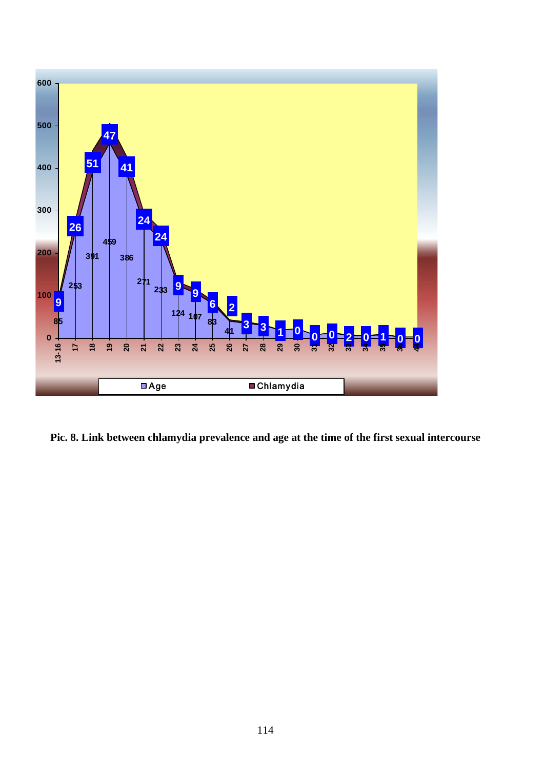

**Pic. 8. Link between chlamydia prevalence and age at the time of the first sexual intercourse**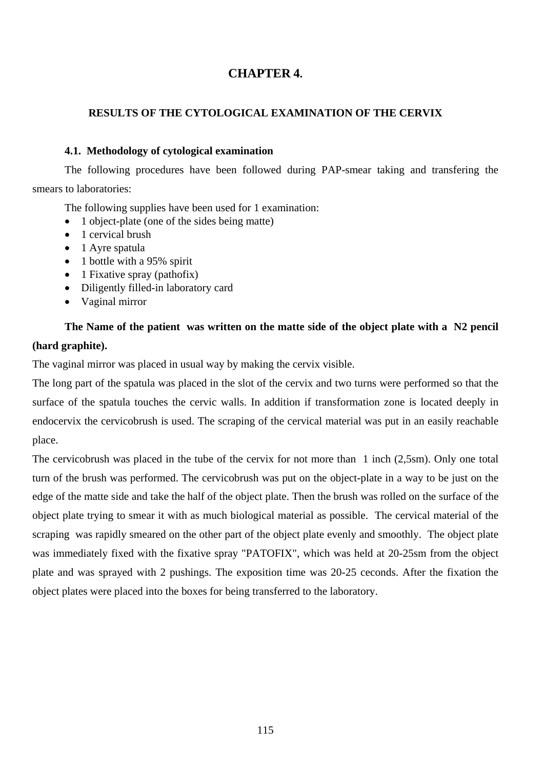## **CHAPTER 4.**

## **RESULTS OF THE CYTOLOGICAL EXAMINATION OF THE CERVIX**

## **4.1. Methodology of cytological examination**

The following procedures have been followed during PAP-smear taking and transfering the smears to laboratories:

The following supplies have been used for 1 examination:

- 1 object-plate (one of the sides being matte)
- 1 cervical brush
- 1 Ayre spatula
- 1 bottle with a 95% spirit
- 1 Fixative spray (pathofix)
- Diligently filled-in laboratory card
- Vaginal mirror

## **The Name of the patient was written on the matte side of the object plate with a N2 pencil (hard graphite).**

The vaginal mirror was placed in usual way by making the cervix visible.

The long part of the spatula was placed in the slot of the cervix and two turns were performed so that the surface of the spatula touches the cervic walls. In addition if transformation zone is located deeply in endocervix the cervicobrush is used. The scraping of the cervical material was put in an easily reachable place.

The cervicobrush was placed in the tube of the cervix for not more than 1 inch (2,5sm). Only one total turn of the brush was performed. The cervicobrush was put on the object-plate in a way to be just on the edge of the matte side and take the half of the object plate. Then the brush was rolled on the surface of the object plate trying to smear it with as much biological material as possible. The cervical material of the scraping was rapidly smeared on the other part of the object plate evenly and smoothly. The object plate was immediately fixed with the fixative spray "PATOFIX", which was held at 20-25sm from the object plate and was sprayed with 2 pushings. The exposition time was 20-25 ceconds. After the fixation the object plates were placed into the boxes for being transferred to the laboratory.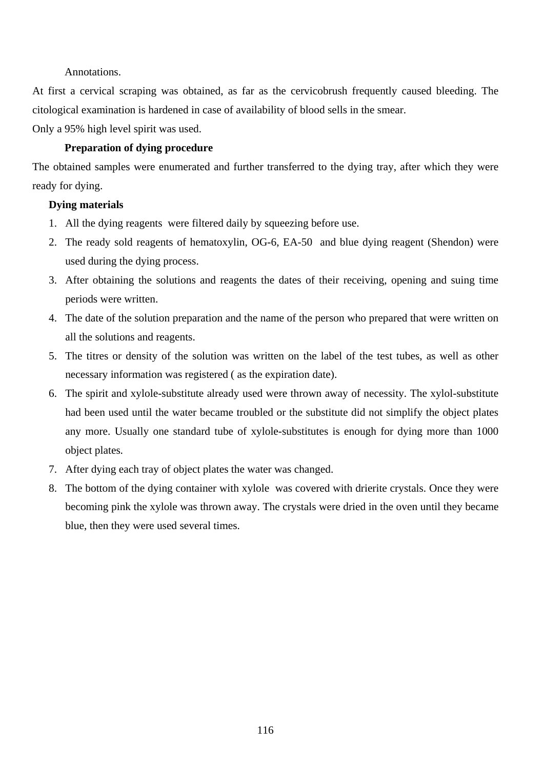## Annotations.

At first a cervical scraping was obtained, as far as the cervicobrush frequently caused bleeding. The citological examination is hardened in case of availability of blood sells in the smear.

Only a 95% high level spirit was used.

## **Preparation of dying procedure**

The obtained samples were enumerated and further transferred to the dying tray, after which they were ready for dying.

## **Dying materials**

- 1. All the dying reagents were filtered daily by squeezing before use.
- 2. The ready sold reagents of hematoxylin, OG-6, EA-50 and blue dying reagent (Shendon) were used during the dying process.
- 3. After obtaining the solutions and reagents the dates of their receiving, opening and suing time periods were written.
- 4. The date of the solution preparation and the name of the person who prepared that were written on all the solutions and reagents.
- 5. The titres or density of the solution was written on the label of the test tubes, as well as other necessary information was registered ( as the expiration date).
- 6. The spirit and xylole-substitute already used were thrown away of necessity. The xylol-substitute had been used until the water became troubled or the substitute did not simplify the object plates any more. Usually one standard tube of xylole-substitutes is enough for dying more than 1000 object plates.
- 7. After dying each tray of object plates the water was changed.
- 8. The bottom of the dying container with xylole was covered with drierite crystals. Once they were becoming pink the xylole was thrown away. The crystals were dried in the oven until they became blue, then they were used several times.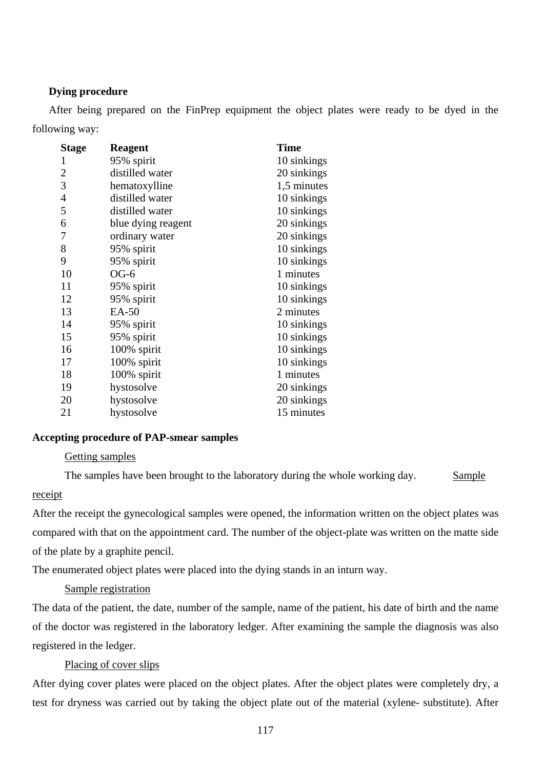## **Dying procedure**

After being prepared on the FinPrep equipment the object plates were ready to be dyed in the following way:

| <b>Stage</b> | <b>Reagent</b>     | <b>Time</b> |
|--------------|--------------------|-------------|
| 1            | 95% spirit         | 10 sinkings |
| 2            | distilled water    | 20 sinkings |
| 3            | hematoxylline      | 1,5 minutes |
| 4            | distilled water    | 10 sinkings |
| 5            | distilled water    | 10 sinkings |
| 6            | blue dying reagent | 20 sinkings |
| 7            | ordinary water     | 20 sinkings |
| 8            | 95% spirit         | 10 sinkings |
| 9            | 95% spirit         | 10 sinkings |
| 10           | $OG-6$             | 1 minutes   |
| 11           | 95% spirit         | 10 sinkings |
| 12           | 95% spirit         | 10 sinkings |
| 13           | EA-50              | 2 minutes   |
| 14           | 95% spirit         | 10 sinkings |
| 15           | 95% spirit         | 10 sinkings |
| 16           | 100% spirit        | 10 sinkings |
| 17           | 100% spirit        | 10 sinkings |
| 18           | 100% spirit        | 1 minutes   |
| 19           | hystosolve         | 20 sinkings |
| 20           | hystosolve         | 20 sinkings |
| 21           | hystosolve         | 15 minutes  |

## **Accepting procedure of PAP-smear samples**

## Getting samples

The samples have been brought to the laboratory during the whole working day. Sample

## receipt

After the receipt the gynecological samples were opened, the information written on the object plates was compared with that on the appointment card. The number of the object-plate was written on the matte side of the plate by a graphite pencil.

The enumerated object plates were placed into the dying stands in an inturn way.

## Sample registration

The data of the patient, the date, number of the sample, name of the patient, his date of birth and the name of the doctor was registered in the laboratory ledger. After examining the sample the diagnosis was also registered in the ledger.

## Placing of cover slips

After dying cover plates were placed on the object plates. After the object plates were completely dry, a test for dryness was carried out by taking the object plate out of the material (xylene- substitute). After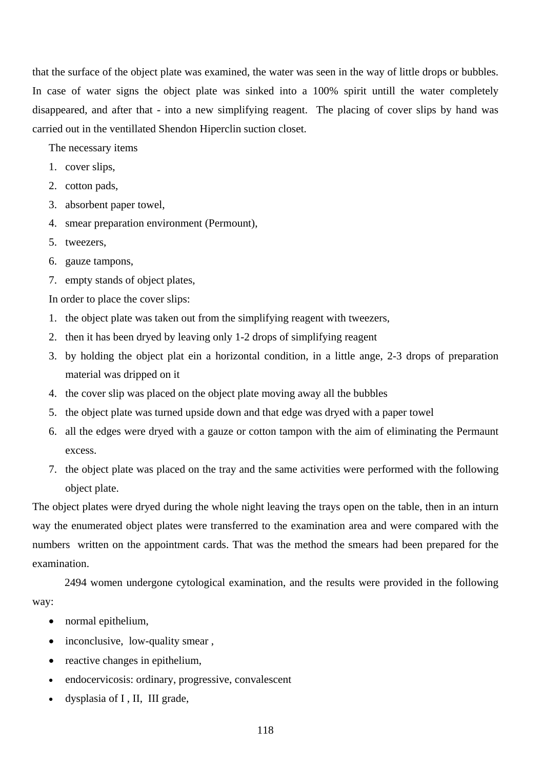that the surface of the object plate was examined, the water was seen in the way of little drops or bubbles. In case of water signs the object plate was sinked into a 100% spirit untill the water completely disappeared, and after that - into a new simplifying reagent. The placing of cover slips by hand was carried out in the ventillated Shendon Hiperclin suction closet.

The necessary items

- 1. cover slips,
- 2. cotton pads,
- 3. absorbent paper towel,
- 4. smear preparation environment (Permount),
- 5. tweezers,
- 6. gauze tampons,
- 7. empty stands of object plates,

In order to place the cover slips:

- 1. the object plate was taken out from the simplifying reagent with tweezers,
- 2. then it has been dryed by leaving only 1-2 drops of simplifying reagent
- 3. by holding the object plat ein a horizontal condition, in a little ange, 2-3 drops of preparation material was dripped on it
- 4. the cover slip was placed on the object plate moving away all the bubbles
- 5. the object plate was turned upside down and that edge was dryed with a paper towel
- 6. all the edges were dryed with a gauze or cotton tampon with the aim of eliminating the Permaunt excess.
- 7. the object plate was placed on the tray and the same activities were performed with the following object plate.

The object plates were dryed during the whole night leaving the trays open on the table, then in an inturn way the enumerated object plates were transferred to the examination area and were compared with the numbers written on the appointment cards. That was the method the smears had been prepared for the examination.

 2494 women undergone cytological examination, and the results were provided in the following way:

- normal epithelium,
- inconclusive, low-quality smear,
- reactive changes in epithelium,
- endocervicosis: ordinary, progressive, convalescent
- dysplasia of I , II, III grade,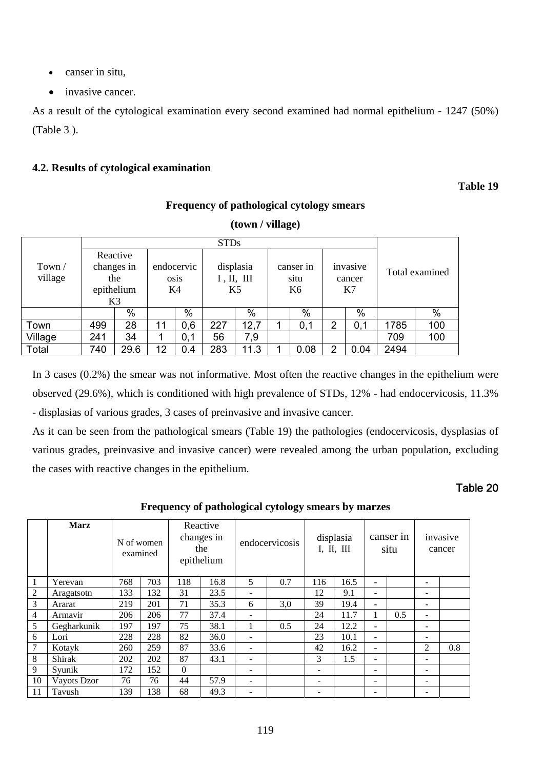- canser in situ,
- invasive cancer.

As a result of the cytological examination every second examined had normal epithelium - 1247 (50%) (Table 3 ).

## **4.2. Results of cytological examination**

## **Table 19**

## **Frequency of pathological cytology smears**

|         |            |      |            |      | <b>STDs</b> |      |           |      |          |        |                |     |  |
|---------|------------|------|------------|------|-------------|------|-----------|------|----------|--------|----------------|-----|--|
|         | Reactive   |      |            |      |             |      |           |      |          |        |                |     |  |
| Town/   | changes in |      | endocervic |      | displasia   |      | canser in |      | invasive |        | Total examined |     |  |
| village | the        |      |            | osis | I, II, III  |      |           | situ |          | cancer |                |     |  |
|         | epithelium |      | K4         |      | K5          |      | K6        |      | K7       |        |                |     |  |
|         | K3         |      |            |      |             |      |           |      |          |        |                |     |  |
|         |            | $\%$ |            | %    |             | %    |           | %    |          | %      |                | %   |  |
| Town    | 499        | 28   | 11         | 0,6  | 227         | 12,7 |           | 0,1  | 2        | 0,1    | 1785           | 100 |  |
| Village | 241        | 34   |            | 0,1  | 56          | 7,9  |           |      |          |        | 709            | 100 |  |
| Total   | 740        | 29.6 | 12         | 0.4  | 283         | 11.3 |           | 0.08 | っ        | 0.04   | 2494           |     |  |

**(town / village)** 

In 3 cases (0.2%) the smear was not informative. Most often the reactive changes in the epithelium were observed (29.6%), which is conditioned with high prevalence of STDs, 12% - had endocervicosis, 11.3% - displasias of various grades, 3 cases of preinvasive and invasive cancer.

As it can be seen from the pathological smears (Table 19) the pathologies (endocervicosis, dysplasias of various grades, preinvasive and invasive cancer) were revealed among the urban population, excluding the cases with reactive changes in the epithelium.

## Table 20

**Frequency of pathological cytology smears by marzes** 

|                | <b>Marz</b> | N of women | examined |          | Reactive<br>changes in<br>the<br>epithelium |                          | endocervicosis |     | displasia<br>I, II, III |                          | canser in<br>situ |                          | invasive<br>cancer |
|----------------|-------------|------------|----------|----------|---------------------------------------------|--------------------------|----------------|-----|-------------------------|--------------------------|-------------------|--------------------------|--------------------|
| 1              | Yerevan     | 768        | 703      | 118      | 16.8                                        | 5                        | 0.7            | 116 | 16.5                    |                          |                   | $\blacksquare$           |                    |
| $\overline{c}$ | Aragatsotn  | 133        | 132      | 31       | 23.5                                        |                          |                | 12  | 9.1                     | $\overline{\phantom{0}}$ |                   | $\overline{\phantom{a}}$ |                    |
| 3              | Ararat      | 219        | 201      | 71       | 35.3                                        | 6                        | 3,0            | 39  | 19.4                    | Ξ.                       |                   | $\overline{\phantom{0}}$ |                    |
| 4              | Armavir     | 206        | 206      | 77       | 37.4                                        |                          |                | 24  | 11.7                    |                          | 0.5               | $\overline{\phantom{0}}$ |                    |
| 5              | Gegharkunik | 197        | 197      | 75       | 38.1                                        | 1                        | 0.5            | 24  | 12.2                    | -                        |                   | $\overline{\phantom{a}}$ |                    |
| 6              | Lori        | 228        | 228      | 82       | 36.0                                        | -                        |                | 23  | 10.1                    | $\sim$                   |                   | $\overline{\phantom{0}}$ |                    |
| 7              | Kotayk      | 260        | 259      | 87       | 33.6                                        | $\overline{\phantom{0}}$ |                | 42  | 16.2                    | Ξ.                       |                   | 2                        | 0.8                |
| 8              | Shirak      | 202        | 202      | 87       | 43.1                                        |                          |                | 3   | 1.5                     |                          |                   | $\overline{\phantom{0}}$ |                    |
| 9              | Syunik      | 172        | 152      | $\Omega$ |                                             |                          |                | -   |                         |                          |                   | $\overline{\phantom{a}}$ |                    |
| 10             | Vayots Dzor | 76         | 76       | 44       | 57.9                                        | ۰                        |                | -   |                         | $\overline{\phantom{0}}$ |                   | ۰                        |                    |
| 11             | Tavush      | 139        | 138      | 68       | 49.3                                        |                          |                |     |                         |                          |                   | $\overline{\phantom{0}}$ |                    |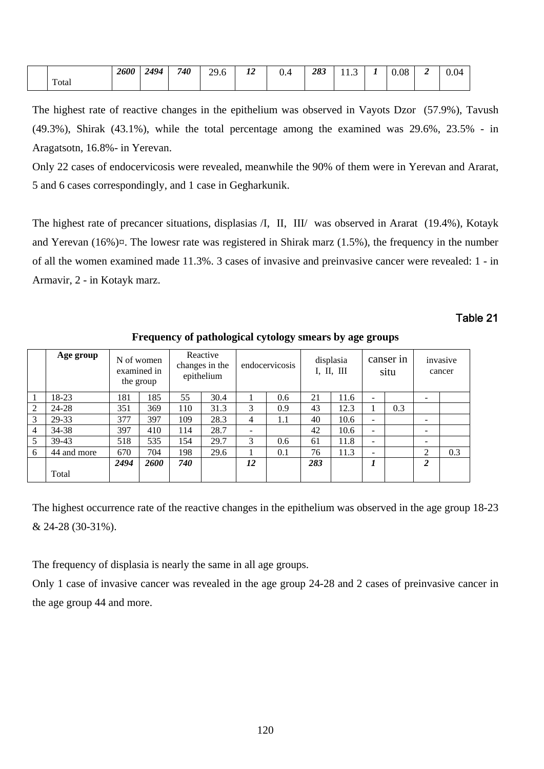|       | <b>2600</b> | 2494 | 740 | $20^{\circ}$<br>h<br>27.0 | $\overline{1}$<br>- 12<br>-- | U.4 | 283 | 11.J | - | 0.08 | 0.04 |
|-------|-------------|------|-----|---------------------------|------------------------------|-----|-----|------|---|------|------|
| Total |             |      |     |                           |                              |     |     |      |   |      |      |

The highest rate of reactive changes in the epithelium was observed in Vayots Dzor (57.9%), Tavush (49.3%), Shirak (43.1%), while the total percentage among the examined was 29.6%, 23.5% - in Aragatsotn, 16.8%- in Yerevan.

Only 22 cases of endocervicosis were revealed, meanwhile the 90% of them were in Yerevan and Ararat, 5 and 6 cases correspondingly, and 1 case in Gegharkunik.

The highest rate of precancer situations, displasias /I, II, III/ was observed in Ararat (19.4%), Kotayk and Yerevan  $(16%)$  $\alpha$ . The lowesr rate was registered in Shirak marz  $(1.5%)$ , the frequency in the number of all the women examined made 11.3%. 3 cases of invasive and preinvasive cancer were revealed: 1 - in Armavir, 2 - in Kotayk marz.

## Table 21

|                | Age group   |      | N of women<br>examined in<br>the group |     | Reactive<br>changes in the<br>epithelium |                              | endocervicosis |     | displasia<br>I, II, III |                              | canser in<br>situ |                | invasive<br>cancer |
|----------------|-------------|------|----------------------------------------|-----|------------------------------------------|------------------------------|----------------|-----|-------------------------|------------------------------|-------------------|----------------|--------------------|
|                | 18-23       | 181  | 185                                    | 55  | 30.4                                     |                              | 0.6            | 21  | 11.6                    | $\overline{\phantom{a}}$     |                   |                |                    |
| 2              | 24-28       | 351  | 369                                    | 110 | 31.3                                     | 3                            | 0.9            | 43  | 12.3                    |                              | 0.3               |                |                    |
| 3              | 29-33       | 377  | 397                                    | 109 | 28.3                                     | 4                            | 1.1            | 40  | 10.6                    | $\overline{\phantom{0}}$     |                   |                |                    |
| $\overline{4}$ | 34-38       | 397  | 410                                    | 114 | 28.7                                     | $\qquad \qquad \blacksquare$ |                | 42  | 10.6                    | $\overline{\phantom{0}}$     |                   |                |                    |
| 5              | 39-43       | 518  | 535                                    | 154 | 29.7                                     | 3                            | 0.6            | 61  | 11.8                    | $\qquad \qquad \blacksquare$ |                   |                |                    |
| 6              | 44 and more | 670  | 704                                    | 198 | 29.6                                     |                              | 0.1            | 76  | 11.3                    | $\overline{\phantom{a}}$     |                   | ↑              | 0.3                |
|                |             | 2494 | <b>2600</b>                            | 740 |                                          | 12                           |                | 283 |                         | 1                            |                   | $\overline{c}$ |                    |
|                | Total       |      |                                        |     |                                          |                              |                |     |                         |                              |                   |                |                    |

**Frequency of pathological cytology smears by age groups** 

The highest occurrence rate of the reactive changes in the epithelium was observed in the age group 18-23 & 24-28 (30-31%).

The frequency of displasia is nearly the same in all age groups.

Only 1 case of invasive cancer was revealed in the age group 24-28 and 2 cases of preinvasive cancer in the age group 44 and more.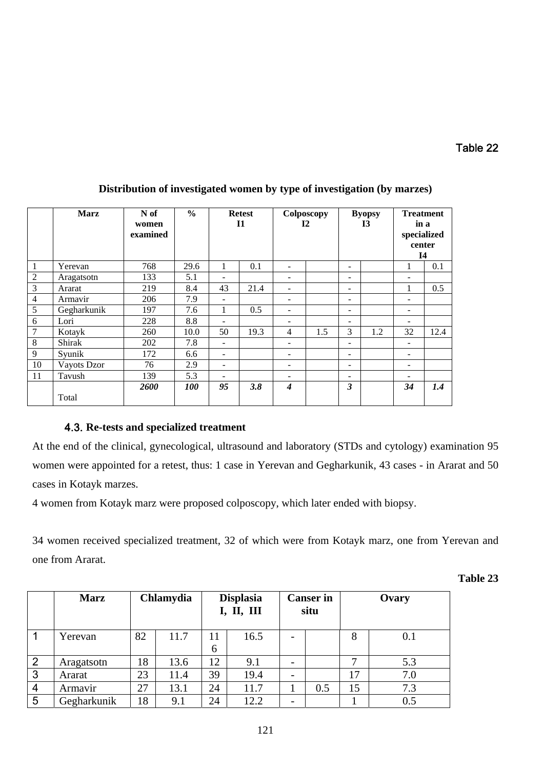|                | <b>Marz</b> | N of<br>women<br>examined | $\frac{0}{0}$     |                          | <b>Retest</b><br>$\mathbf{I}$ |                              | Colposcopy<br><b>I2</b> | <b>Byopsy</b><br>$\mathbf{I}3$ |     | <b>Treatment</b><br>in a<br>specialized<br>center<br><b>I4</b> |      |
|----------------|-------------|---------------------------|-------------------|--------------------------|-------------------------------|------------------------------|-------------------------|--------------------------------|-----|----------------------------------------------------------------|------|
|                | Yerevan     | 768                       | 29.6              | 1                        | 0.1                           | $\overline{\phantom{a}}$     |                         | $\overline{\phantom{a}}$       |     |                                                                | 0.1  |
| $\overline{2}$ | Aragatsotn  | 133                       | 5.1               |                          |                               |                              |                         | $\overline{\phantom{a}}$       |     |                                                                |      |
| $\overline{3}$ | Ararat      | 219                       | 8.4               | 43                       | 21.4                          | $\overline{\phantom{a}}$     |                         | $\qquad \qquad \blacksquare$   |     |                                                                | 0.5  |
| $\overline{4}$ | Armavir     | 206                       | 7.9               |                          |                               |                              |                         | -                              |     | $\qquad \qquad -$                                              |      |
| 5              | Gegharkunik | 197                       | 7.6               | 1                        | 0.5                           | $\overline{\phantom{a}}$     |                         | $\overline{\phantom{0}}$       |     | $\overline{\phantom{a}}$                                       |      |
| 6              | Lori        | 228                       | 8.8               | ۰                        |                               | $\overline{\phantom{0}}$     |                         | $\overline{\phantom{0}}$       |     | $\overline{\phantom{0}}$                                       |      |
| $\tau$         | Kotayk      | 260                       | 10.0              | 50                       | 19.3                          | $\overline{4}$               | 1.5                     | 3                              | 1.2 | 32                                                             | 12.4 |
| 8              | Shirak      | 202                       | 7.8               | $\overline{\phantom{0}}$ |                               | $\overline{\phantom{a}}$     |                         | $\overline{\phantom{0}}$       |     | $\overline{\phantom{a}}$                                       |      |
| 9              | Syunik      | 172                       | 6.6               | $\overline{\phantom{0}}$ |                               | $\overline{\phantom{a}}$     |                         | $\overline{\phantom{0}}$       |     | $\overline{\phantom{a}}$                                       |      |
| 10             | Vayots Dzor | 76                        | 2.9               | $\overline{\phantom{0}}$ |                               | $\qquad \qquad \blacksquare$ |                         | $\overline{\phantom{0}}$       |     | $\qquad \qquad \blacksquare$                                   |      |
| 11             | Tavush      | 139                       | 5.3               | -                        |                               | $\overline{\phantom{a}}$     |                         | -                              |     | $\overline{\phantom{a}}$                                       |      |
|                | Total       | <b>2600</b>               | <i><b>100</b></i> | 95                       | 3.8                           | $\boldsymbol{4}$             |                         | 3                              |     | 34                                                             | 1.4  |

## **Distribution of investigated women by type of investigation (by marzes)**

## 4.3. **Re-tests and specialized treatment**

At the end of the clinical, gynecological, ultrasound and laboratory (STDs and cytology) examination 95 women were appointed for a retest, thus: 1 case in Yerevan and Gegharkunik, 43 cases - in Ararat and 50 cases in Kotayk marzes.

4 women from Kotayk marz were proposed colposcopy, which later ended with biopsy.

34 women received specialized treatment, 32 of which were from Kotayk marz, one from Yerevan and one from Ararat.

**Table 23** 

|                | <b>Marz</b> | Chlamydia |      | <b>Displasia</b><br>I, II, III |      | <b>Canser</b> in<br>situ |     | Ovary |     |  |
|----------------|-------------|-----------|------|--------------------------------|------|--------------------------|-----|-------|-----|--|
|                | Yerevan     | 82        | 11.7 | 11<br>6                        | 16.5 | $\overline{\phantom{0}}$ |     | 8     | 0.1 |  |
| $\overline{2}$ | Aragatsotn  | 18        | 13.6 | 12                             | 9.1  | $\overline{\phantom{a}}$ |     | −     | 5.3 |  |
| 3              | Ararat      | 23        | 11.4 | 39                             | 19.4 | $\overline{\phantom{a}}$ |     | 17    | 7.0 |  |
| 4              | Armavir     | 27        | 13.1 | 24                             | 11.7 |                          | 0.5 | 15    | 7.3 |  |
| 5              | Gegharkunik | 18        | 9.1  | 24                             | 12.2 | $\overline{\phantom{a}}$ |     |       | 0.5 |  |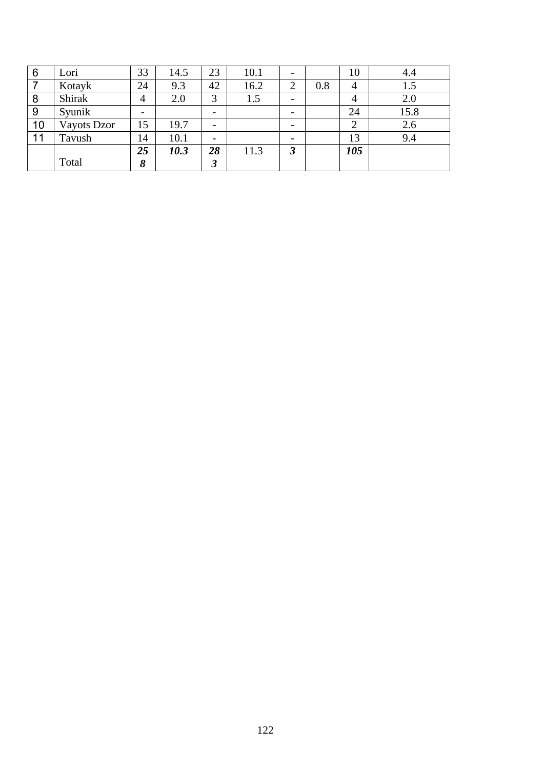| 6  | Lori        | 33 | 14.5 | 23                       | 10.1 |          |     | 10  | 4.4  |
|----|-------------|----|------|--------------------------|------|----------|-----|-----|------|
|    | Kotayk      | 24 | 9.3  | 42                       | 16.2 | ◠        | 0.8 | 4   | 1.5  |
| 8  | Shirak      | 4  | 2.0  | 3                        | 1.5  | -        |     | 4   | 2.0  |
| 9  | Syunik      | -  |      | $\overline{\phantom{0}}$ |      | -        |     | 24  | 15.8 |
| 10 | Vayots Dzor | 15 | 19.7 | $\overline{\phantom{0}}$ |      | -        |     | ∠   | 2.6  |
| 11 | Tavush      | 14 | 10.1 | $\overline{\phantom{0}}$ |      |          |     | 13  | 9.4  |
|    |             | 25 | 10.3 | 28                       | 11.3 | <u>_</u> |     | 105 |      |
|    | Total       | 8  |      | J.                       |      |          |     |     |      |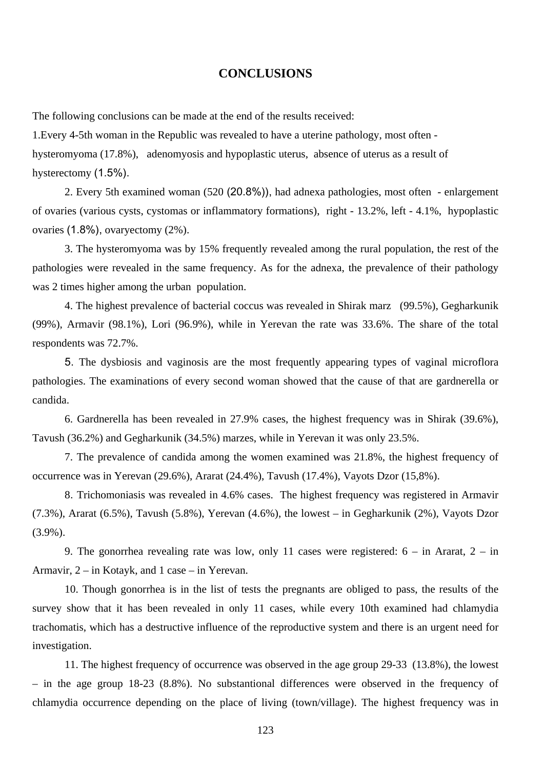## **CONCLUSIONS**

The following conclusions can be made at the end of the results received:

1.Every 4-5th woman in the Republic was revealed to have a uterine pathology, most often hysteromyoma (17.8%), adenomyosis and hypoplastic uterus, absence of uterus as a result of hysterectomy  $(1.5\%)$ .

2. Every 5th examined woman (520 (20.8%)), had adnexa pathologies, most often - enlargement of ovaries (various cysts, cystomas or inflammatory formations), right - 13.2%, left - 4.1%, hypoplastic ovaries  $(1.8\%)$ , ovaryectomy  $(2\%)$ .

 3. The hysteromyoma was by 15% frequently revealed among the rural population, the rest of the pathologies were revealed in the same frequency. As for the adnexa, the prevalence of their pathology was 2 times higher among the urban population.

 4. The highest prevalence of bacterial coccus was revealed in Shirak marz (99.5%), Gegharkunik (99%), Armavir (98.1%), Lori (96.9%), while in Yerevan the rate was 33.6%. The share of the total respondents was 72.7%.

 5. The dysbiosis and vaginosis are the most frequently appearing types of vaginal microflora pathologies. The examinations of every second woman showed that the cause of that are gardnerella or candida.

6. Gardnerella has been revealed in 27.9% cases, the highest frequency was in Shirak (39.6%), Tavush (36.2%) and Gegharkunik (34.5%) marzes, while in Yerevan it was only 23.5%.

 7. The prevalence of candida among the women examined was 21.8%, the highest frequency of occurrence was in Yerevan (29.6%), Ararat (24.4%), Tavush (17.4%), Vayots Dzor (15,8%).

 8. Trichomoniasis was revealed in 4.6% cases. The highest frequency was registered in Armavir (7.3%), Ararat (6.5%), Tavush (5.8%), Yerevan (4.6%), the lowest – in Gegharkunik (2%), Vayots Dzor (3.9%).

9. The gonorrhea revealing rate was low, only 11 cases were registered:  $6 - in$  Ararat,  $2 - in$ Armavir, 2 – in Kotayk, and 1 case – in Yerevan.

10. Though gonorrhea is in the list of tests the pregnants are obliged to pass, the results of the survey show that it has been revealed in only 11 cases, while every 10th examined had chlamydia trachomatis, which has a destructive influence of the reproductive system and there is an urgent need for investigation.

11. The highest frequency of occurrence was observed in the age group 29-33 (13.8%), the lowest – in the age group 18-23 (8.8%). No substantional differences were observed in the frequency of chlamydia occurrence depending on the place of living (town/village). The highest frequency was in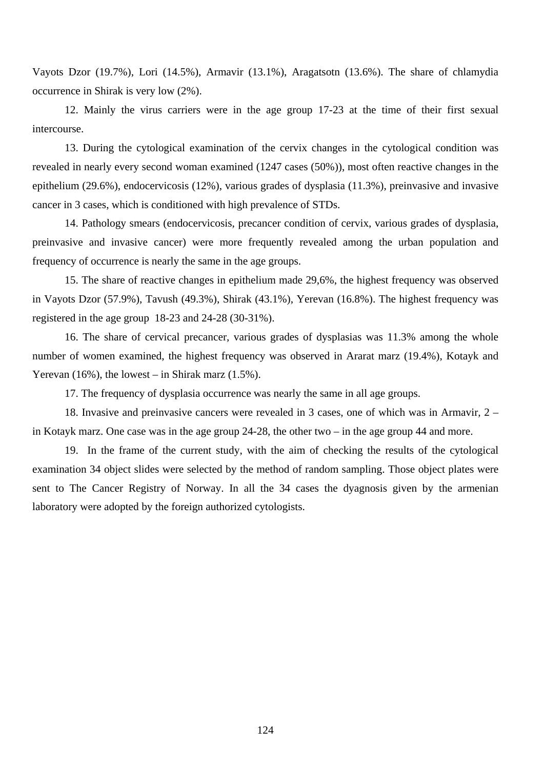Vayots Dzor (19.7%), Lori (14.5%), Armavir (13.1%), Aragatsotn (13.6%). The share of chlamydia occurrence in Shirak is very low (2%).

 12. Mainly the virus carriers were in the age group 17-23 at the time of their first sexual intercourse.

13. During the cytological examination of the cervix changes in the cytological condition was revealed in nearly every second woman examined (1247 cases (50%)), most often reactive changes in the epithelium (29.6%), endocervicosis (12%), various grades of dysplasia (11.3%), preinvasive and invasive cancer in 3 cases, which is conditioned with high prevalence of STDs.

14. Pathology smears (endocervicosis, precancer condition of cervix, various grades of dysplasia, preinvasive and invasive cancer) were more frequently revealed among the urban population and frequency of occurrence is nearly the same in the age groups.

15. The share of reactive changes in epithelium made 29,6%, the highest frequency was observed in Vayots Dzor (57.9%), Tavush (49.3%), Shirak (43.1%), Yerevan (16.8%). The highest frequency was registered in the age group 18-23 and 24-28 (30-31%).

16. The share of cervical precancer, various grades of dysplasias was 11.3% among the whole number of women examined, the highest frequency was observed in Ararat marz (19.4%), Kotayk and Yerevan  $(16\%)$ , the lowest – in Shirak marz  $(1.5\%)$ .

17. The frequency of dysplasia occurrence was nearly the same in all age groups.

18. Invasive and preinvasive cancers were revealed in 3 cases, one of which was in Armavir, 2 – in Kotayk marz. One case was in the age group 24-28, the other two – in the age group 44 and more.

 19. In the frame of the current study, with the aim of checking the results of the cytological examination 34 object slides were selected by the method of random sampling. Those object plates were sent to The Cancer Registry of Norway. In all the 34 cases the dyagnosis given by the armenian laboratory were adopted by the foreign authorized cytologists.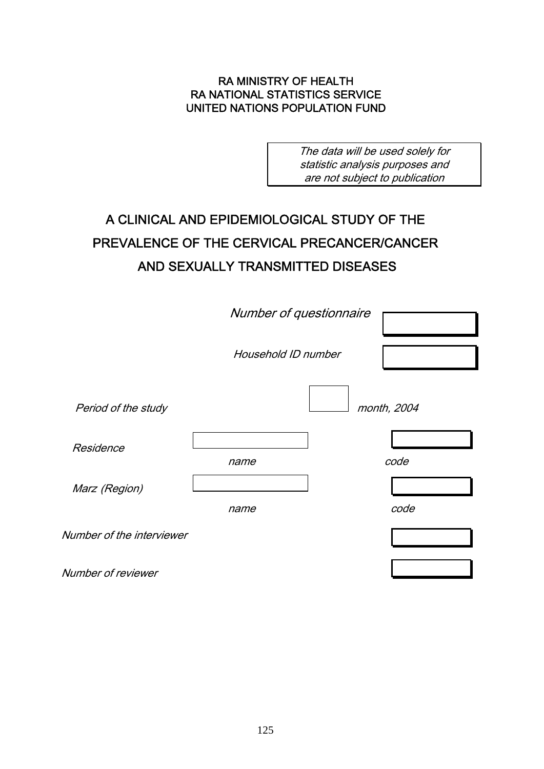## RA MINISTRY OF HEALTH RA NATIONAL STATISTICS SERVICE UNITED NATIONS POPULATION FUND

The data will be used solely for statistic analysis purposes and are not subject to publication

## A CLINICAL AND EPIDEMIOLOGICAL STUDY OF THE PREVALENCE OF THE CERVICAL PRECANCER/CANCER AND SEXUALLY TRANSMITTED DISEASES

|                           | Number of questionnaire |             |
|---------------------------|-------------------------|-------------|
|                           | Household ID number     |             |
| Period of the study       |                         | month, 2004 |
| Residence                 | name                    | code        |
| Marz (Region)             | name                    | code        |
| Number of the interviewer |                         |             |
| Number of reviewer        |                         |             |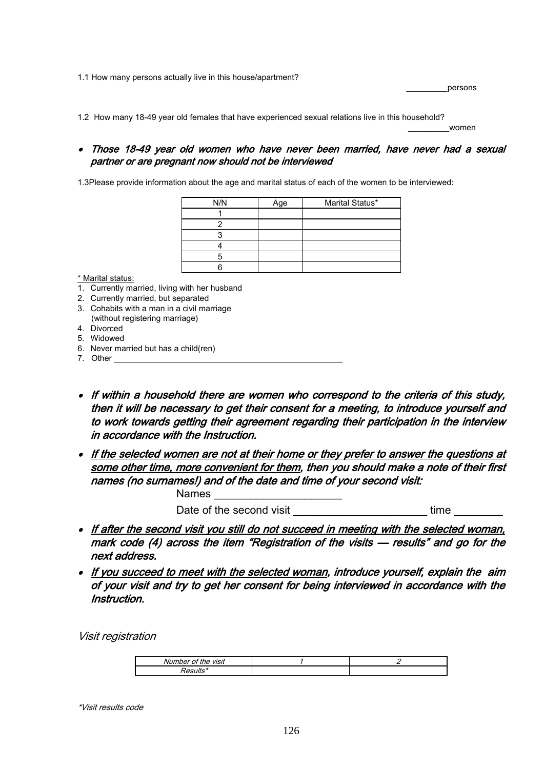1.1 How many persons actually live in this house/apartment?

 $\rule{1em}{0.5em} \begin{picture}(180,170) \put(0,0){\line(1,0){1}} \put(10,0){\line(1,0){1}} \put(10,0){\line(1,0){1}} \put(10,0){\line(1,0){1}} \put(10,0){\line(1,0){1}} \put(10,0){\line(1,0){1}} \put(10,0){\line(1,0){1}} \put(10,0){\line(1,0){1}} \put(10,0){\line(1,0){1}} \put(10,0){\line(1,0){1}} \put(10,0){\line(1,0){1}} \put(10,0){\line$ 

1.2 How many 18-49 year old females that have experienced sexual relations live in this household?

 $\overline{\phantom{a}}$  women and  $\overline{\phantom{a}}$  women and  $\overline{\phantom{a}}$ 

### • Those 18-49 year old women who have never been married, have never had a sexual partner or are pregnant now should not be interviewed

1.3Please provide information about the age and marital status of each of the women to be interviewed:

| N/N | Age | Marital Status* |
|-----|-----|-----------------|
|     |     |                 |
|     |     |                 |
|     |     |                 |
|     |     |                 |
| 5   |     |                 |
|     |     |                 |
|     |     |                 |

\* Marital status:

- 1. Currently married, living with her husband
- 2. Currently married, but separated
- 3. Cohabits with a man in a civil marriage (without registering marriage)
- 4. Divorced
- 5. Widowed
- 6. Never married but has a child(ren)
- 7. Other
- If within a household there are women who correspond to the criteria of this study, then it will be necessary to get their consent for a meeting, to introduce yourself and to work towards getting their agreement regarding their participation in the interview in accordance with the Instruction.
- If the selected women are not at their home or they prefer to answer the questions at some other time, more convenient for them, then you should make a note of their first names (no surnames!) and of the date and time of your second visit:

Names **and the Second Structure** Date of the second visit example of the second visit

- If after the second visit you still do not succeed in meeting with the selected woman, mark code (4) across the item "Registration of the visits — results" and go for the next address.
- If you succeed to meet with the selected woman, introduce yourself, explain the aim of your visit and try to get her consent for being interviewed in accordance with the Instruction.

Visit registration

| <br>$\overline{\phantom{a}}$<br>the visit<br>Numbel |  |
|-----------------------------------------------------|--|
|                                                     |  |

\*Visit results code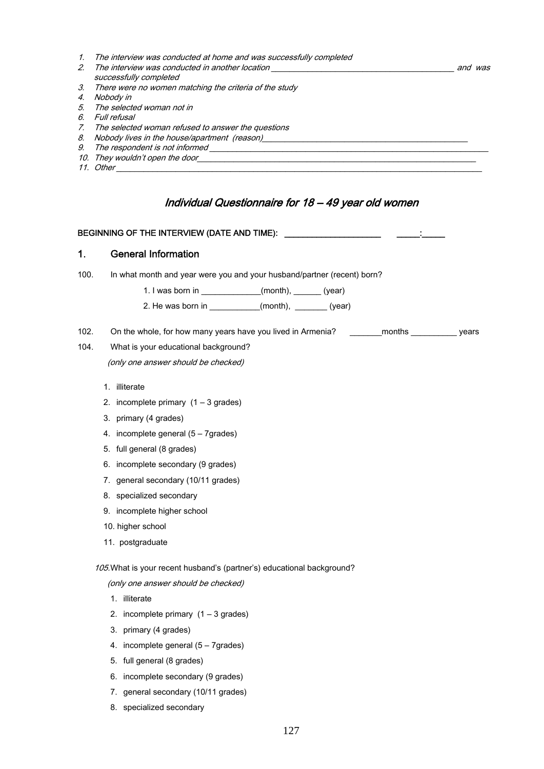- 1. The interview was conducted at home and was successfully completed 2. The interview was conducted in another location \_\_\_\_\_\_\_\_\_\_\_\_\_\_\_\_\_\_\_\_\_\_\_\_\_\_\_\_\_\_\_\_\_\_\_\_\_\_\_\_ and was successfully completed 3. There were no women matching the criteria of the study 4. Nobody in 5. The selected woman not in 6. Full refusal 7. The selected woman refused to answer the questions and the selected measure of the house/apartment (reason)
- 9. The respondent is not informed \_\_\_\_\_\_\_\_\_\_\_\_\_\_\_\_\_\_\_\_\_\_\_\_\_\_\_\_\_\_\_\_\_\_\_\_\_\_\_\_\_\_\_\_\_\_\_\_\_\_\_\_\_\_\_\_\_\_\_\_\_
- 10. They wouldn't open the door
- 11. Other

## Individual Questionnaire for 18 – 49 year old women

## BEGINNING OF THE INTERVIEW (DATE AND TIME): \_\_\_\_\_\_\_\_\_\_\_\_\_\_\_\_\_\_\_\_\_ \_\_\_\_\_:\_\_\_\_\_

## 1. General Information

100. In what month and year were you and your husband/partner (recent) born?

1. I was born in  $\qquad (month), \qquad (year)$ 

- 2. He was born in  $(month)$ ,  $(year)$
- 102. On the whole, for how many years have you lived in Armenia? \_\_\_\_\_\_\_\_months \_\_\_\_\_\_\_\_\_\_\_ years

## 104. What is your educational background? (only one answer should be checked)

- 1. illiterate
- 2. incomplete primary  $(1 3$  grades)
- 3. primary (4 grades)
- 4. incomplete general (5 7grades)
- 5. full general (8 grades)
- 6. incomplete secondary (9 grades)
- 7. general secondary (10/11 grades)
- 8. specialized secondary
- 9. incomplete higher school
- 10. higher school
- 11. postgraduate

#### 105.What is your recent husband's (partner's) educational background?

(only one answer should be checked)

- 1. illiterate
- 2. incomplete primary  $(1 3$  grades)
- 3. primary (4 grades)
- 4. incomplete general (5 7grades)
- 5. full general (8 grades)
- 6. incomplete secondary (9 grades)
- 7. general secondary (10/11 grades)
- 8. specialized secondary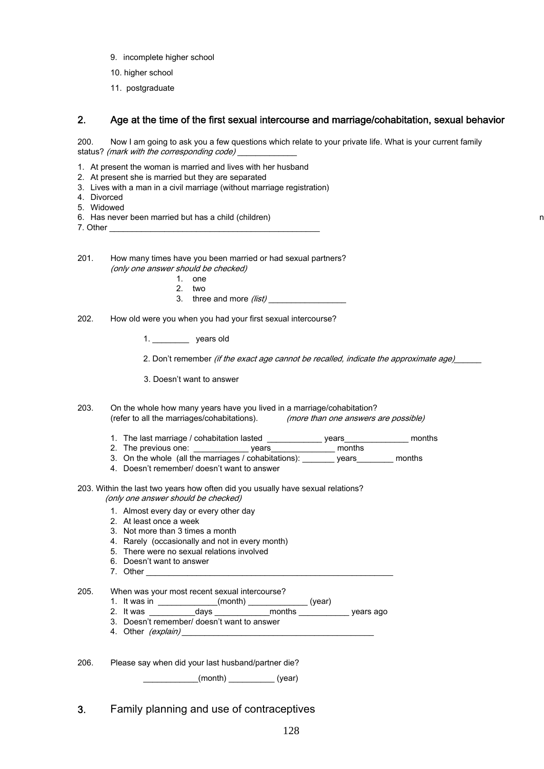- 9. incomplete higher school
- 10. higher school
- 11. postgraduate

## 2. Age at the time of the first sexual intercourse and marriage/cohabitation, sexual behavior

200. Now I am going to ask you a few questions which relate to your private life. What is your current family status? (mark with the corresponding code)

- 1. At present the woman is married and lives with her husband
- 2. At present she is married but they are separated
- 3. Lives with a man in a civil marriage (without marriage registration)
- 4. Divorced
- 5. Widowed
- 6. Has never been married but has a child (children)
- 7. Other \_\_\_\_\_\_\_\_\_\_\_\_\_\_\_\_\_\_\_\_\_\_\_\_\_\_\_\_\_\_\_\_\_\_\_\_\_\_\_\_\_\_\_\_\_\_

- 201. How many times have you been married or had sexual partners? (only one answer should be checked)
	- 1. one
	- 2. two
	- 3. three and more *(list)*
- 202. How old were you when you had your first sexual intercourse?

1. years old

2. Don't remember *(if the exact age cannot be recalled, indicate the approximate age)* 

3. Doesn't want to answer

- 203. On the whole how many years have you lived in a marriage/cohabitation? (refer to all the marriages/cohabitations). (more than one answers are possible)
	- 1. The last marriage / cohabitation lasted \_\_\_\_\_\_\_\_\_\_\_\_\_ years\_\_\_\_\_\_\_\_\_\_\_\_\_\_\_ months
	- 2. The previous one: \_\_\_\_\_\_\_\_\_\_\_\_ years\_\_\_\_\_\_\_\_\_\_\_\_\_\_ months
	- 3. On the whole (all the marriages / cohabitations): \_\_\_\_\_\_\_\_ years\_\_\_\_\_\_\_\_\_ months
	- 4. Doesn't remember/ doesn't want to answer
- 203. Within the last two years how often did you usually have sexual relations? (only one answer should be checked)
	- 1. Almost every day or every other day
	- 2. At least once a week
	- 3. Not more than 3 times a month
	- 4. Rarely (occasionally and not in every month)
	- 5. There were no sexual relations involved
	- 6. Doesn't want to answer
	- 7. Other

205. When was your most recent sexual intercourse?

- 1. It was in \_\_\_\_\_\_\_\_\_\_\_\_(month) \_\_\_\_\_\_\_\_\_\_\_\_(year)
- 2. It was \_\_\_\_\_\_\_\_\_\_days \_\_\_\_\_\_\_\_\_\_\_\_months \_\_\_\_\_\_\_\_\_\_\_ years ago
- 3. Doesn't remember/ doesn't want to answer
- 4. Other (explain) **Example 1**
- 206. Please say when did your last husband/partner die?

 $(month)$  (year)

3. Family planning and use of contraceptives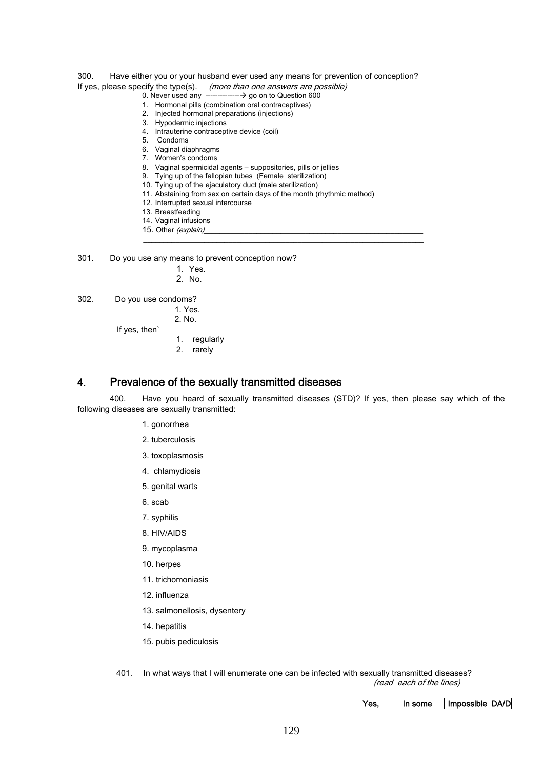#### 300. Have either you or your husband ever used any means for prevention of conception? If yes, please specify the type(s). (more than one answers are possible)

#### 0. Never used any --------------Æ go on to Question 600

- 1. Hormonal pills (combination oral contraceptives)
- 2. Injected hormonal preparations (injections)
- 3. Hypodermic injections
- 4. Intrauterine contraceptive device (coil)
- 5. Condoms
- 6. Vaginal diaphragms
- 7. Women's condoms
- 8. Vaginal spermicidal agents suppositories, pills or jellies
- 9. Tying up of the fallopian tubes (Female sterilization)
- 10. Tying up of the ejaculatory duct (male sterilization)
- 11. Abstaining from sex on certain days of the month (rhythmic method)

 $\mathcal{L}_\mathcal{L} = \{ \mathcal{L}_\mathcal{L} = \{ \mathcal{L}_\mathcal{L} = \{ \mathcal{L}_\mathcal{L} = \{ \mathcal{L}_\mathcal{L} = \{ \mathcal{L}_\mathcal{L} = \{ \mathcal{L}_\mathcal{L} = \{ \mathcal{L}_\mathcal{L} = \{ \mathcal{L}_\mathcal{L} = \{ \mathcal{L}_\mathcal{L} = \{ \mathcal{L}_\mathcal{L} = \{ \mathcal{L}_\mathcal{L} = \{ \mathcal{L}_\mathcal{L} = \{ \mathcal{L}_\mathcal{L} = \{ \mathcal{L}_\mathcal{$ 

- 12. Interrupted sexual intercourse
- 13. Breastfeeding
- 14. Vaginal infusions
- 15. Other (explain)

301. Do you use any means to prevent conception now?

- 1. Yes.
- 2. No.

302. Do you use condoms?

 1. Yes. 2. No.

If yes, then`

- 1. regularly
	- 2. rarely

### 4. Prevalence of the sexually transmitted diseases

 400. Have you heard of sexually transmitted diseases (STD)? If yes, then please say which of the following diseases are sexually transmitted:

- 1. gonorrhea
- 2. tuberculosis
- 3. toxoplasmosis
- 4. chlamydiosis
- 5. genital warts
- 6. scab
- 7. syphilis
- 8. HIV/AIDS
- 9. mycoplasma
- 10. herpes
- 11. trichomoniasis
- 12. influenza
- 13. salmonellosis, dysentery
- 14. hepatitis
- 15. pubis pediculosis

 401. In what ways that I will enumerate one can be infected with sexually transmitted diseases? (read each of the lines)

Yes, In some Impossible DA/D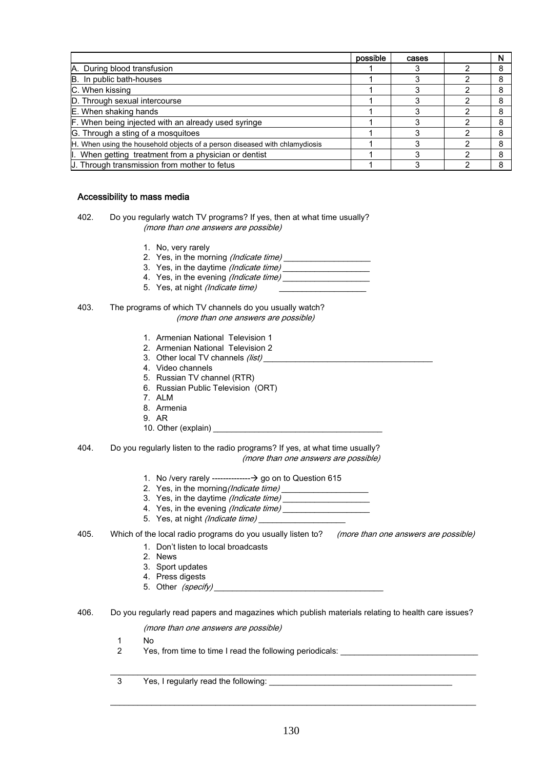|                                                                            | possible | cases | N |
|----------------------------------------------------------------------------|----------|-------|---|
| A. During blood transfusion                                                |          |       |   |
| B. In public bath-houses                                                   |          |       |   |
| C. When kissing                                                            |          |       |   |
| D. Through sexual intercourse                                              |          |       |   |
| E. When shaking hands                                                      |          |       |   |
| F. When being injected with an already used syringe                        |          |       |   |
| G. Through a sting of a mosquitoes                                         |          |       |   |
| H. When using the household objects of a person diseased with chlamydiosis |          |       |   |
| I. When getting treatment from a physician or dentist                      |          |       |   |
| U. Through transmission from mother to fetus                               |          |       |   |

#### Accessibility to mass media

- 402. Do you regularly watch TV programs? If yes, then at what time usually? (more than one answers are possible)
	- 1. No, very rarely
	- 2. Yes, in the morning *(Indicate time)*
	- 3. Yes, in the daytime (Indicate time) \_\_\_\_\_\_\_\_\_\_\_\_\_\_\_\_\_\_\_
	- 4. Yes, in the evening (Indicate time)
	- 5. Yes, at night (Indicate time)
- 403. The programs of which TV channels do you usually watch? (more than one answers are possible)
	- 1. Armenian National Television 1
	- 2. Armenian National Television 2
	- 3. Other local TV channels (list)
	- 4. Video channels
	- 5. Russian TV channel (RTR)
	- 6. Russian Public Television (ORT)
	- 7. ALM
	- 8. Armenia
	- 9. AR
	- 10. Other (explain)
- 404. Do you regularly listen to the radio programs? If yes, at what time usually? (more than one answers are possible)
	- 1. No /very rarely --------------Æ go on to Question 615
	- 2. Yes, in the morning (Indicate time)
	- 3. Yes, in the daytime (Indicate time) \_\_\_\_\_\_\_\_\_\_\_\_\_\_\_\_\_\_\_
	- 4. Yes, in the evening (Indicate time)
	- 5. Yes, at night (Indicate time)
- 405. Which of the local radio programs do you usually listen to? (more than one answers are possible)
	- 1. Don't listen to local broadcasts
	- 2. News
	- 3. Sport updates
	- 4. Press digests
	- 5. Other *(specify)*
- 406. Do you regularly read papers and magazines which publish materials relating to health care issues?

 $\mathcal{L}_\mathcal{L} = \mathcal{L}_\mathcal{L} = \mathcal{L}_\mathcal{L} = \mathcal{L}_\mathcal{L} = \mathcal{L}_\mathcal{L} = \mathcal{L}_\mathcal{L} = \mathcal{L}_\mathcal{L} = \mathcal{L}_\mathcal{L} = \mathcal{L}_\mathcal{L} = \mathcal{L}_\mathcal{L} = \mathcal{L}_\mathcal{L} = \mathcal{L}_\mathcal{L} = \mathcal{L}_\mathcal{L} = \mathcal{L}_\mathcal{L} = \mathcal{L}_\mathcal{L} = \mathcal{L}_\mathcal{L} = \mathcal{L}_\mathcal{L}$ 

 $\mathcal{L}_\mathcal{L} = \mathcal{L}_\mathcal{L} = \mathcal{L}_\mathcal{L} = \mathcal{L}_\mathcal{L} = \mathcal{L}_\mathcal{L} = \mathcal{L}_\mathcal{L} = \mathcal{L}_\mathcal{L} = \mathcal{L}_\mathcal{L} = \mathcal{L}_\mathcal{L} = \mathcal{L}_\mathcal{L} = \mathcal{L}_\mathcal{L} = \mathcal{L}_\mathcal{L} = \mathcal{L}_\mathcal{L} = \mathcal{L}_\mathcal{L} = \mathcal{L}_\mathcal{L} = \mathcal{L}_\mathcal{L} = \mathcal{L}_\mathcal{L}$ 

(more than one answers are possible)

- 1 No
- 2 Yes, from time to time I read the following periodicals:
- 3 Yes, I regularly read the following: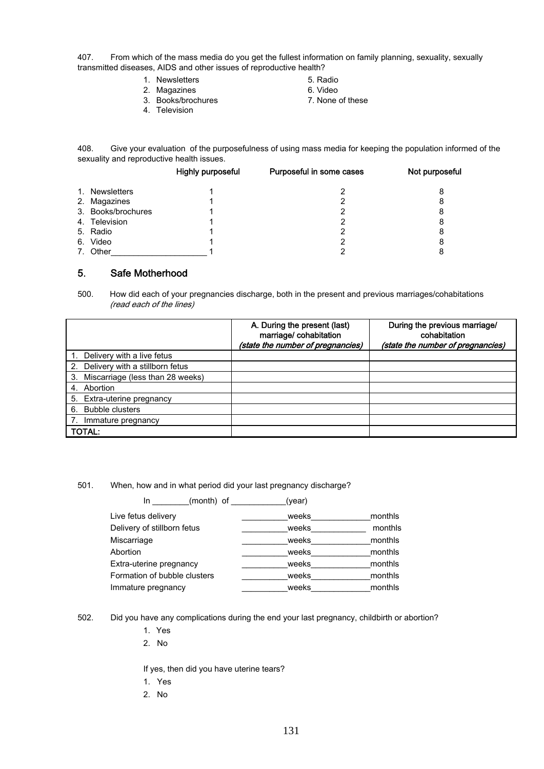407. From which of the mass media do you get the fullest information on family planning, sexuality, sexually transmitted diseases, AIDS and other issues of reproductive health?

- 1. Newsletters 5. Radio
- 2. Magazines 6. Video
- 3. Books/brochures 7. None of these
	-
- 
- 
- 
- 4. Television

408. Give your evaluation of the purposefulness of using mass media for keeping the population informed of the sexuality and reproductive health issues.

|                    | Highly purposeful | Purposeful in some cases | Not purposeful |
|--------------------|-------------------|--------------------------|----------------|
| 1. Newsletters     |                   |                          | 8              |
| 2. Magazines       |                   |                          | 8              |
| 3. Books/brochures |                   |                          | 8              |
| 4. Television      |                   |                          | 8              |
| 5. Radio           |                   |                          | 8              |
| 6. Video           |                   |                          | 8              |
| 7. Other           |                   |                          | 8              |

## 5. Safe Motherhood

500. How did each of your pregnancies discharge, both in the present and previous marriages/cohabitations (read each of the lines)

|                                     | A. During the present (last)<br>marriage/cohabitation<br>(state the number of pregnancies) | During the previous marriage/<br>cohabitation<br>(state the number of pregnancies) |
|-------------------------------------|--------------------------------------------------------------------------------------------|------------------------------------------------------------------------------------|
| 1. Delivery with a live fetus       |                                                                                            |                                                                                    |
| 2. Delivery with a stillborn fetus  |                                                                                            |                                                                                    |
| 3. Miscarriage (less than 28 weeks) |                                                                                            |                                                                                    |
| 4. Abortion                         |                                                                                            |                                                                                    |
| 5. Extra-uterine pregnancy          |                                                                                            |                                                                                    |
| 6. Bubble clusters                  |                                                                                            |                                                                                    |
| 7.<br>Immature pregnancy            |                                                                                            |                                                                                    |
| <b>TOTAL:</b>                       |                                                                                            |                                                                                    |

501. When, how and in what period did your last pregnancy discharge?

| (month) of<br>In.            | (year) |         |
|------------------------------|--------|---------|
| Live fetus delivery          | weeks  | monthls |
| Delivery of stillborn fetus  | weeks  | monthls |
| Miscarriage                  | weeks  | monthls |
| Abortion                     | weeks  | monthls |
| Extra-uterine pregnancy      | weeks  | monthls |
| Formation of bubble clusters | weeks  | monthls |
| Immature pregnancy           | weeks  | monthls |

502. Did you have any complications during the end your last pregnancy, childbirth or abortion?

- 1. Yes
- 2. No

If yes, then did you have uterine tears?

- 1. Yes
- 2. No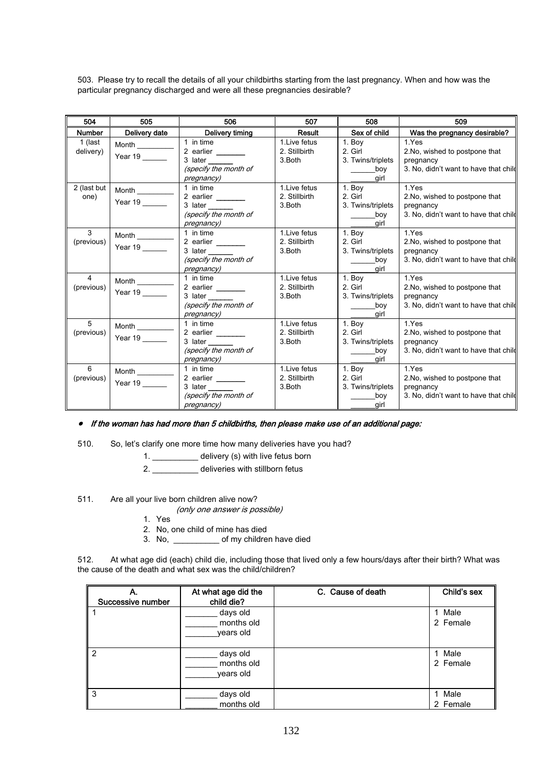503. Please try to recall the details of all your childbirths starting from the last pregnancy. When and how was the particular pregnancy discharged and were all these pregnancies desirable?

| 504                  | 505                              | 506                                                                                           | 507                                       | 508                                                   | 509                                                                                           |
|----------------------|----------------------------------|-----------------------------------------------------------------------------------------------|-------------------------------------------|-------------------------------------------------------|-----------------------------------------------------------------------------------------------|
| <b>Number</b>        | Delivery date                    | Delivery timing                                                                               | Result                                    | Sex of child                                          | Was the pregnancy desirable?                                                                  |
| 1 (last<br>delivery) | Month $\qquad \qquad$<br>Year 19 | 1 in time<br>2 earlier<br>3 later<br>(specify the month of<br>pregnancy)                      | 1. Live fetus<br>2. Stillbirth<br>3.Both  | 1. Boy<br>2. Girl<br>3. Twins/triplets<br>boy<br>girl | 1.Yes<br>2. No, wished to postpone that<br>pregnancy<br>3. No, didn't want to have that child |
| 2 (last but<br>one)  | Month<br>Year 19                 | 1 in time<br>2 earlier _____<br>3 later<br>(specify the month of<br>pregnancy)                | 1. Live fetus<br>2. Stillbirth<br>3.Both  | 1. Boy<br>2. Girl<br>3. Twins/triplets<br>boy<br>girl | 1.Yes<br>2. No, wished to postpone that<br>pregnancy<br>3. No, didn't want to have that child |
| 3<br>(previous)      | Month $\_\_$<br>Year 19          | 1 in time<br>2 earlier $\frac{1}{2}$<br>3 later<br>(specify the month of<br><i>pregnancy)</i> | 1. Live fetus<br>2. Stillbirth<br>3. Both | 1. Bov<br>2. Girl<br>3. Twins/triplets<br>boy<br>girl | 1.Yes<br>2. No, wished to postpone that<br>pregnancy<br>3. No, didn't want to have that child |
| 4<br>(previous)      | <b>Month</b><br>Year 19          | 1 in time<br>2 earlier<br>3 later<br>(specify the month of<br>pregnancy)                      | 1. Live fetus<br>2. Stillbirth<br>3. Both | 1. Boy<br>2. Girl<br>3. Twins/triplets<br>boy<br>girl | 1.Yes<br>2. No, wished to postpone that<br>pregnancy<br>3. No, didn't want to have that child |
| 5<br>(previous)      | Year 19                          | 1 in time<br>2 earlier ______<br>3 later<br>(specify the month of<br><i>pregnancy)</i>        | 1. Live fetus<br>2. Stillbirth<br>3. Both | 1. Boy<br>2. Girl<br>3. Twins/triplets<br>boy<br>girl | 1.Yes<br>2. No, wished to postpone that<br>pregnancy<br>3. No, didn't want to have that child |
| 6<br>(previous)      | Month _______<br>Year 19         | 1 in time<br>2 earlier ______<br>(specify the month of<br>pregnancy)                          | 1. Live fetus<br>2. Stillbirth<br>3.Both  | 1. Boy<br>2. Girl<br>3. Twins/triplets<br>boy<br>girl | 1.Yes<br>2.No, wished to postpone that<br>pregnancy<br>3. No, didn't want to have that child  |

#### • If the woman has had more than 5 childbirths, then please make use of an additional page:

510. So, let's clarify one more time how many deliveries have you had?

1. \_\_\_\_\_\_\_\_\_\_ delivery (s) with live fetus born

2. \_\_\_\_\_\_\_\_\_\_ deliveries with stillborn fetus

511. Are all your live born children alive now?

(only one answer is possible)

- 1. Yes
- 2. No, one child of mine has died
- 3. No, \_\_\_\_\_\_\_\_\_\_ of my children have died

512. At what age did (each) child die, including those that lived only a few hours/days after their birth? What was the cause of the death and what sex was the child/children?

| А.<br>Successive number | At what age did the<br>child die?   | C. Cause of death | Child's sex        |
|-------------------------|-------------------------------------|-------------------|--------------------|
|                         | days old<br>months old<br>years old |                   | 1 Male<br>2 Female |
| $\mathcal{P}$           | days old<br>months old<br>years old |                   | 1 Male<br>2 Female |
| 3                       | days old<br>months old              |                   | 1 Male<br>2 Female |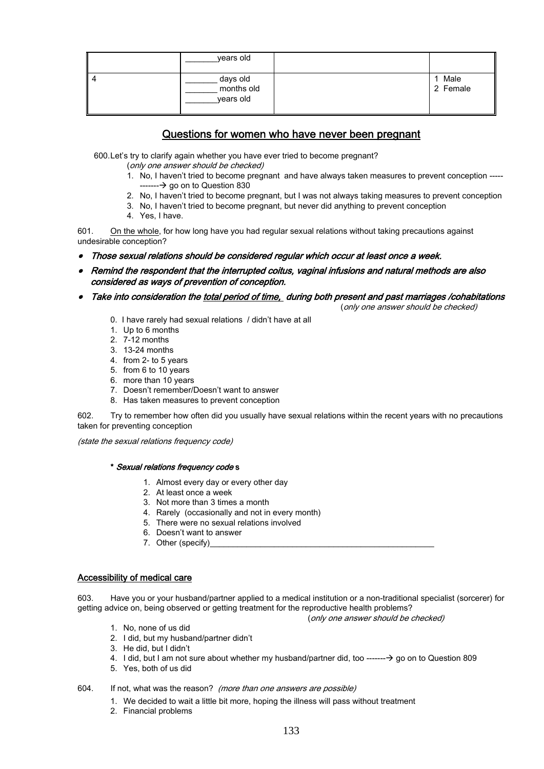|      | years old                           |                  |
|------|-------------------------------------|------------------|
| ll 4 | days old<br>months old<br>years old | Male<br>2 Female |

## Questions for women who have never been pregnant

600.Let's try to clarify again whether you have ever tried to become pregnant?

(only one answer should be checked)

- 1. No, I haven't tried to become pregnant and have always taken measures to prevent conception -----  $\rightarrow$  go on to Question 830
- 2. No, I haven't tried to become pregnant, but I was not always taking measures to prevent conception
- 3. No, I haven't tried to become pregnant, but never did anything to prevent conception
- 4. Yes, I have.

601. On the whole, for how long have you had regular sexual relations without taking precautions against undesirable conception?

- •Those sexual relations should be considered regular which occur at least once a week.
- Remind the respondent that the interrupted coitus, vaginal infusions and natural methods are also considered as ways of prevention of conception.

#### •Take into consideration the total period of time, during both present and past marriages /cohabitations

(only one answer should be checked)

- 0. I have rarely had sexual relations / didn't have at all
- 1. Up to 6 months
- 2. 7-12 months
- 3. 13-24 months
- 4. from 2- to 5 years
- 5. from 6 to 10 years
- 6. more than 10 years
- 7. Doesn't remember/Doesn't want to answer
- 8. Has taken measures to prevent conception

602. Try to remember how often did you usually have sexual relations within the recent years with no precautions taken for preventing conception

(state the sexual relations frequency code)

#### \* Sexual relations frequency code s

- 1. Almost every day or every other day
- 2. At least once a week
- 3. Not more than 3 times a month
- 4. Rarely (occasionally and not in every month)
- 5. There were no sexual relations involved
- 6. Doesn't want to answer
- 7. Other (specify)

#### Accessibility of medical care

603. Have you or your husband/partner applied to a medical institution or a non-traditional specialist (sorcerer) for getting advice on, being observed or getting treatment for the reproductive health problems?

(only one answer should be checked)

- 1. No, none of us did
- 2. I did, but my husband/partner didn't
- 3. He did, but I didn't
- 4. I did, but I am not sure about whether my husband/partner did, too -------  $\rightarrow$  go on to Question 809
- 5. Yes, both of us did
- 604. If not, what was the reason? (more than one answers are possible)
	- 1. We decided to wait a little bit more, hoping the illness will pass without treatment
	- 2. Financial problems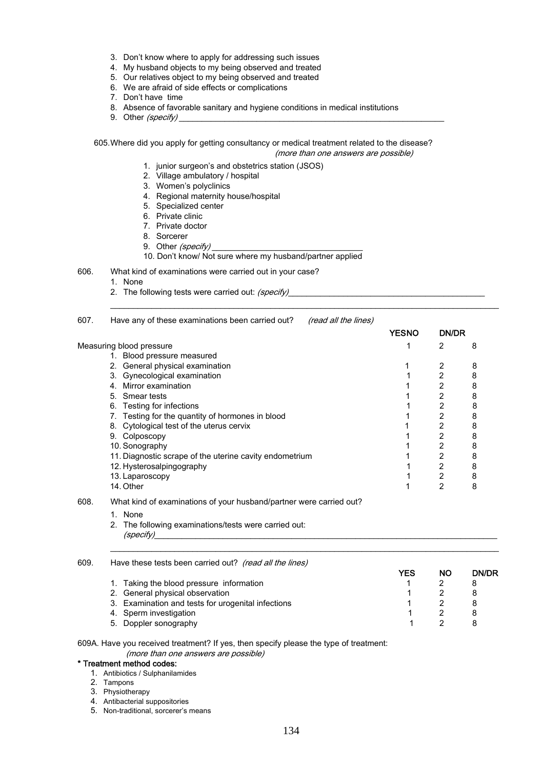- 3. Don't know where to apply for addressing such issues
- 4. My husband objects to my being observed and treated
- 5. Our relatives object to my being observed and treated
- 6. We are afraid of side effects or complications
- 7. Don't have time
- 8. Absence of favorable sanitary and hygiene conditions in medical institutions
- 9. Other (specify)

605.Where did you apply for getting consultancy or medical treatment related to the disease? (more than one answers are possible)

- 1. junior surgeon's and obstetrics station (JSOS)
- 2. Village ambulatory / hospital
- 3. Women's polyclinics
- 4. Regional maternity house/hospital
- 5. Specialized center
- 6. Private clinic
- 7. Private doctor
- 8. Sorcerer
- 9. Other (specify)
- 10. Don't know/ Not sure where my husband/partner applied
- 606. What kind of examinations were carried out in your case?
	- 1. None
	- 2. The following tests were carried out: (specify)

| 607. | Have any of these examinations been carried out?<br><i>(read all the lines)</i> |              |              |   |
|------|---------------------------------------------------------------------------------|--------------|--------------|---|
|      |                                                                                 | <b>YESNO</b> | <b>DN/DR</b> |   |
|      | Measuring blood pressure                                                        |              | 2            | 8 |
|      | Blood pressure measured                                                         |              |              |   |
|      | General physical examination<br>2.                                              |              | 2            | 8 |
|      | 3. Gynecological examination                                                    |              | 2            | 8 |
|      | Mirror examination                                                              |              | 2            | 8 |
|      | 5. Smear tests                                                                  |              | 2            | 8 |
|      | Testing for infections<br>6.                                                    |              | 2            | 8 |
|      | Testing for the quantity of hormones in blood                                   |              | 2            | 8 |
|      | Cytological test of the uterus cervix<br>8.                                     |              | 2            | 8 |
|      | 9.<br>Colposcopy                                                                |              | 2            | 8 |
|      | 10. Sonography                                                                  |              | 2            | 8 |
|      | 11. Diagnostic scrape of the uterine cavity endometrium                         |              | 2            | 8 |
|      | 12. Hysterosalpingography                                                       |              | 2            | 8 |
|      | 13. Laparoscopy                                                                 |              | 2            | 8 |
|      | 14. Other                                                                       |              | 2            | 8 |

- 608. What kind of examinations of your husband/partner were carried out?
	- 1. None
	- 2. The following examinations/tests were carried out:  $\it (specific)$

| 609. | Have these tests been carried out? (read all the lines) |     |    |              |  |  |  |
|------|---------------------------------------------------------|-----|----|--------------|--|--|--|
|      |                                                         | YES | NΟ | <b>DN/DR</b> |  |  |  |
|      | 1. Taking the blood pressure information                |     |    |              |  |  |  |
|      | 2. General physical observation                         |     |    | 8            |  |  |  |
|      | 3. Examination and tests for urogenital infections      |     |    | 8            |  |  |  |
|      | 4. Sperm investigation                                  |     |    | 8            |  |  |  |
|      | 5. Doppler sonography                                   |     |    |              |  |  |  |

 $\mathcal{L}_\text{max}$ 

609A. Have you received treatment? If yes, then specify please the type of treatment: (more than one answers are possible)

#### \* Treatment method codes:

- 1. Antibiotics / Sulphanilamides
- 2. Tampons
- 3. Physiotherapy
- 4. Antibacterial suppositories
- 5. Non-traditional, sorcerer's means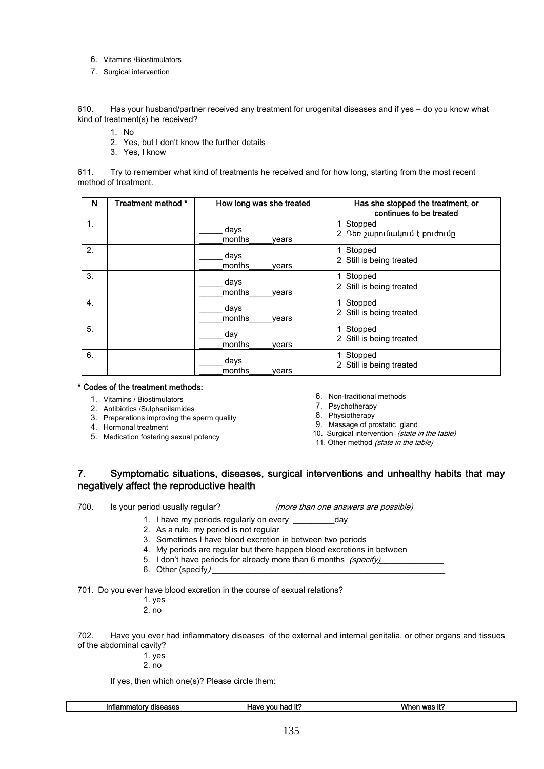- 6. Vitamins /Biostimulators
- 7. Surgical intervention

610. Has your husband/partner received any treatment for urogenital diseases and if yes – do you know what kind of treatment(s) he received?

- 1. No
- 2. Yes, but I don't know the further details
- 3. Yes, I know

611. Try to remember what kind of treatments he received and for how long, starting from the most recent method of treatment.

| N  | Treatment method * | How long was she treated | Has she stopped the treatment, or<br>continues to be treated |
|----|--------------------|--------------------------|--------------------------------------------------------------|
| 1. |                    | days<br>months<br>vears  | 1 Stopped<br>2 Դեռ շարունակում է բուժումը                    |
| 2. |                    | days<br>months<br>years  | Stopped<br>2 Still is being treated                          |
| 3. |                    | days<br>months<br>vears  | Stopped<br>2 Still is being treated                          |
| 4. |                    | days<br>months<br>vears  | 1 Stopped<br>2 Still is being treated                        |
| 5. |                    | day<br>months<br>years   | Stopped<br>2 Still is being treated                          |
| 6. |                    | days<br>months<br>vears  | Stopped<br>2 Still is being treated                          |

#### \* Codes of the treatment methods:

- 1. Vitamins / Biostimulators
- 2. Antibiotics /Sulphanilamides
- 3. Preparations improving the sperm quality
- 4. Hormonal treatment
- 5. Medication fostering sexual potency
- 6. Non-traditional methods
- 7. Psychotherapy
- 8. Physiotherapy
- 9. Massage of prostatic gland
- 10. Surgical intervention (state in the table)
- 11. Other method (state in the table)

## 7. Symptomatic situations, diseases, surgical interventions and unhealthy habits that may negatively affect the reproductive health

700. Is your period usually regular? (*more than one answers are possible*)

- 
- 1. I have my periods regularly on every example and day
- 2. As a rule, my period is not regular
- 3. Sometimes I have blood excretion in between two periods
- 4. My periods are regular but there happen blood excretions in between
- 5. I don't have periods for already more than 6 months (specify)
- 6. Other (specify)

701. Do you ever have blood excretion in the course of sexual relations?

- 1. yes
- 2. no

702. Have you ever had inflammatory diseases of the external and internal genitalia, or other organs and tissues of the abdominal cavity?

- 1. yes
- 2. no

If yes, then which one(s)? Please circle them:

| ----<br>diseases<br>ınnar<br>.omr<br>nı<br>-30363<br>так | .<br>vη<br>'av-<br>nar<br>-14 | Wł<br>iť?<br><b>MOC</b> |
|----------------------------------------------------------|-------------------------------|-------------------------|
|                                                          |                               |                         |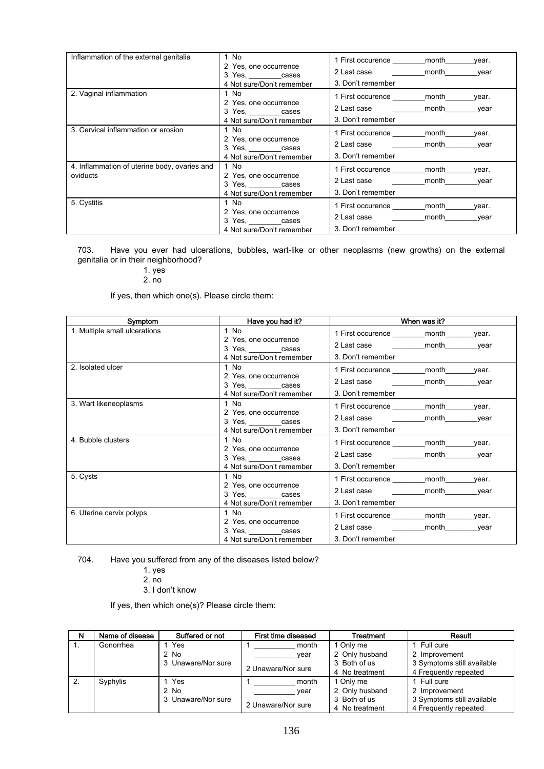| Inflammation of the external genitalia                   | 1 No<br>2 Yes, one occurrence<br>3 Yes, cases<br>4 Not sure/Don't remember | 1 First occurence _________ month<br>year.<br>2 Last case month<br>vear<br>3. Don't remember  |
|----------------------------------------------------------|----------------------------------------------------------------------------|-----------------------------------------------------------------------------------------------|
| 2. Vaginal inflammation                                  | 1 No<br>2 Yes, one occurrence<br>3 Yes, cases<br>4 Not sure/Don't remember | 1 First occurence __________ month<br>year.<br>2 Last case month<br>year<br>3. Don't remember |
| 3. Cervical inflammation or erosion                      | 1 No<br>2 Yes, one occurrence<br>3 Yes, cases<br>4 Not sure/Don't remember | 1 First occurence _________ month<br>year.<br>2 Last case month<br>vear<br>3. Don't remember  |
| 4. Inflammation of uterine body, ovaries and<br>oviducts | 1 No<br>2 Yes, one occurrence<br>3 Yes, cases<br>4 Not sure/Don't remember | 1 First occurence month<br>vear.<br>2 Last case month<br>year<br>3. Don't remember            |
| 5. Cystitis                                              | 1 No<br>2 Yes, one occurrence<br>3 Yes, cases<br>4 Not sure/Don't remember | 1 First occurence _________ month<br>year.<br>2 Last case month<br>year<br>3. Don't remember  |

703. Have you ever had ulcerations, bubbles, wart-like or other neoplasms (new growths) on the external genitalia or in their neighborhood?

1. yes

2. no

If yes, then which one(s). Please circle them:

| Symptom                       | Have you had it?                                                             | When was it?                                                                                  |
|-------------------------------|------------------------------------------------------------------------------|-----------------------------------------------------------------------------------------------|
| 1. Multiple small ulcerations | 1 No<br>2 Yes, one occurrence<br>3 Yes, cases                                | 1 First occurence month<br>year.<br>2 Last case month<br>vear                                 |
|                               | 4 Not sure/Don't remember                                                    | 3. Don't remember                                                                             |
| 2. Isolated ulcer             | 1 No<br>2 Yes, one occurrence<br>3 Yes, cases<br>4 Not sure/Don't remember   | 1 First occurence month<br>year.<br>2 Last case month<br>vear<br>3. Don't remember            |
| 3. Wart likeneoplasms         | 1 $No$<br>2 Yes, one occurrence<br>3 Yes, cases<br>4 Not sure/Don't remember | 1 First occurence month<br>vear.<br>2 Last case <b>the month</b><br>vear<br>3. Don't remember |
| 4. Bubble clusters            | 1 No<br>2 Yes, one occurrence<br>3 Yes, cases<br>4 Not sure/Don't remember   | 1 First occurence month<br>vear.<br>2 Last case month<br>vear<br>3. Don't remember            |
| 5. Cysts                      | 1 No<br>2 Yes, one occurrence<br>3 Yes, cases<br>4 Not sure/Don't remember   | 1 First occurence _________ month<br>year.<br>2 Last case month<br>vear<br>3. Don't remember  |
| 6. Uterine cervix polyps      | 1 No<br>2 Yes, one occurrence<br>3 Yes, cases<br>4 Not sure/Don't remember   | 1 First occurence month<br>vear.<br>2 Last case month<br>vear<br>3. Don't remember            |

704. Have you suffered from any of the diseases listed below?

- 1. yes
	- 2. no

3. I don't know

If yes, then which one(s)? Please circle them:

| N                | Name of disease | Suffered or not    | First time diseased | Treatment      | Result                     |
|------------------|-----------------|--------------------|---------------------|----------------|----------------------------|
|                  | Gonorrhea       | Yes                | month               | 1 Only me      | Full cure                  |
|                  |                 | $2$ No             | vear                | 2 Only husband | 2 Improvement              |
|                  |                 | 3 Unaware/Nor sure |                     | 3 Both of us   | 3 Symptoms still available |
|                  |                 |                    | 2 Unaware/Nor sure  | 4 No treatment | 4 Frequently repeated      |
| $\overline{2}$ . | Syphylis        | Yes                | month               | 1 Only me      | Full cure                  |
|                  |                 | $2$ No             | vear                | 2 Only husband | 2 Improvement              |
|                  |                 | 3 Unaware/Nor sure |                     | 3 Both of us   | 3 Symptoms still available |
|                  |                 |                    | 2 Unaware/Nor sure  | 4 No treatment | 4 Frequently repeated      |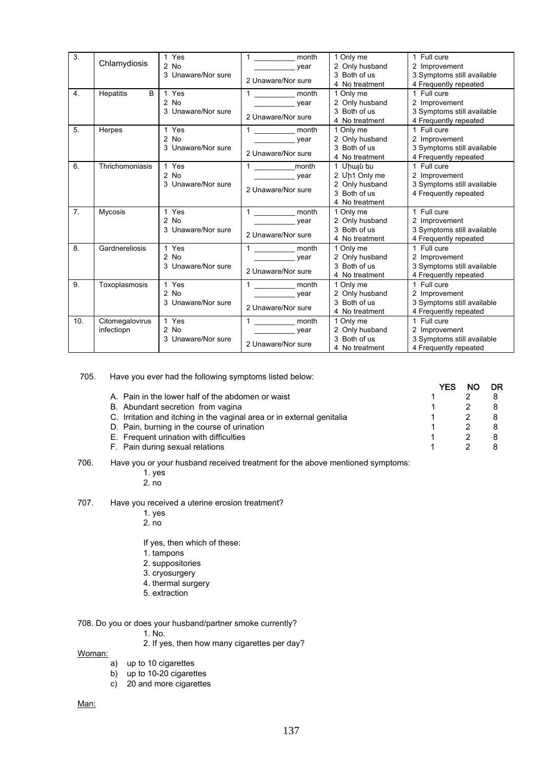| 3.               | Chlamydiosis    | 1 Yes              | $\mathbf{1}$<br>month                     | 1 Only me      | 1 Full cure                |
|------------------|-----------------|--------------------|-------------------------------------------|----------------|----------------------------|
|                  |                 | $2$ No             | year                                      | 2 Only husband | 2 Improvement              |
|                  |                 | 3 Unaware/Nor sure | 2 Unaware/Nor sure                        | 3 Both of us   | 3 Symptoms still available |
|                  |                 |                    |                                           | 4 No treatment | 4 Frequently repeated      |
| 4.               | Hepatitis<br>B  | 1 Yes              | month                                     | 1 Only me      | 1 Full cure                |
|                  |                 | $2$ No             | year                                      | 2 Only husband | 2 Improvement              |
|                  |                 | 3 Unaware/Nor sure |                                           | 3 Both of us   | 3 Symptoms still available |
|                  |                 |                    | 2 Unaware/Nor sure                        | 4 No treatment | 4 Frequently repeated      |
| 5.               | Herpes          | 1 Yes              | month                                     | 1 Only me      | 1 Full cure                |
|                  |                 | $2$ No             | year                                      | 2 Only husband | 2 Improvement              |
|                  |                 | 3 Unaware/Nor sure |                                           | 3 Both of us   | 3 Symptoms still available |
|                  |                 |                    | 2 Unaware/Nor sure                        | 4 No treatment | 4 Frequently repeated      |
| 6.               | Thrichomoniasis | 1 Yes              | 1 __________________month                 | 1 Միայն ես     | 1 Full cure                |
|                  |                 | $2$ No             | year<br><b>Contract Contract Contract</b> | 2 Uh1 Only me  | 2 Improvement              |
|                  |                 | 3 Unaware/Nor sure |                                           | 2 Only husband | 3 Symptoms still available |
|                  |                 |                    | 2 Unaware/Nor sure                        | 3 Both of us   | 4 Frequently repeated      |
|                  |                 |                    |                                           | 4 No treatment |                            |
| $\overline{7}$ . | Mycosis         | 1 Yes              | $1 \quad \qquad$<br>month                 | 1 Only me      | 1 Full cure                |
|                  |                 | $2$ No             | year                                      | 2 Only husband | 2 Improvement              |
|                  |                 | 3 Unaware/Nor sure |                                           | 3 Both of us   | 3 Symptoms still available |
|                  |                 |                    | 2 Unaware/Nor sure                        | 4 No treatment | 4 Frequently repeated      |
| 8.               | Gardnereliosis  | 1 Yes              | 1 ______________ month                    | 1 Only me      | 1 Full cure                |
|                  |                 | $2$ No             | vear                                      | 2 Only husband | 2 Improvement              |
|                  |                 | 3 Unaware/Nor sure |                                           | 3 Both of us   | 3 Symptoms still available |
|                  |                 |                    | 2 Unaware/Nor sure                        | 4 No treatment | 4 Frequently repeated      |
| 9.               | Toxoplasmosis   | 1 Yes              | month                                     | 1 Only me      | 1 Full cure                |
|                  |                 | $2$ No             | year                                      | 2 Only husband | 2 Improvement              |
|                  |                 | 3 Unaware/Nor sure |                                           | 3 Both of us   | 3 Symptoms still available |
|                  |                 |                    | 2 Unaware/Nor sure                        | 4 No treatment | 4 Frequently repeated      |
| 10.              | Citomegalovirus | 1 Yes              | month                                     | 1 Only me      | 1 Full cure                |
|                  | infectiopn      | 2 No               | year                                      | 2 Only husband | 2 Improvement              |
|                  |                 | 3 Unaware/Nor sure |                                           | 3 Both of us   | 3 Symptoms still available |
|                  |                 |                    | 2 Unaware/Nor sure                        | 4 No treatment | 4 Frequently repeated      |

705. Have you ever had the following symptoms listed below:

| A. Pain in the lower half of the abdomen or waist                      |  |  |
|------------------------------------------------------------------------|--|--|
| B. Abundant secretion from vagina                                      |  |  |
| C. Irritation and itching in the vaginal area or in external genitalia |  |  |
| D. Pain, burning in the course of urination                            |  |  |
| E. Frequent urination with difficulties                                |  |  |
| F. Pain during sexual relations                                        |  |  |
|                                                                        |  |  |

706. Have you or your husband received treatment for the above mentioned symptoms:

1. yes

2. no

707. Have you received a uterine erosion treatment?

- 1. yes
- 2. no

If yes, then which of these:

- 1. tampons
- 2. suppositories
- 3. cryosurgery
- 4. thermal surgery
- 5. extraction

708. Do you or does your husband/partner smoke currently?

1. No.

- 2. If yes, then how many cigarettes per day?
- Woman:
	- a) up to 10 cigarettes
	- b) up to 10-20 cigarettes
	- c) 20 and more cigarettes

Man: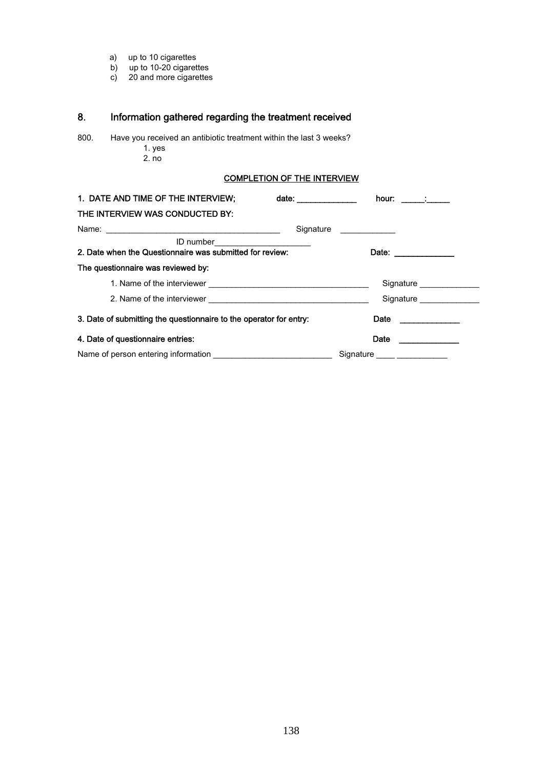- a) up to 10 cigarettes
	- b) up to 10-20 cigarettes
	- c) 20 and more cigarettes

## 8. Information gathered regarding the treatment received

800. Have you received an antibiotic treatment within the last 3 weeks? 1. yes

 $2. no$ 

## COMPLETION OF THE INTERVIEW

| 1. DATE AND TIME OF THE INTERVIEW;                                                           | date:                   | hour: _______; ______         |                          |
|----------------------------------------------------------------------------------------------|-------------------------|-------------------------------|--------------------------|
| THE INTERVIEW WAS CONDUCTED BY:                                                              |                         |                               |                          |
|                                                                                              | Signature _____________ |                               |                          |
| ID number_______________________<br>2. Date when the Questionnaire was submitted for review: |                         | Date: _____________           |                          |
| The questionnaire was reviewed by:                                                           |                         |                               |                          |
|                                                                                              |                         |                               | Signature ______________ |
|                                                                                              |                         |                               | Signature                |
| 3. Date of submitting the questionnaire to the operator for entry:                           |                         | Date <b>Date</b>              |                          |
| 4. Date of questionnaire entries:                                                            |                         | Date                          |                          |
|                                                                                              |                         | Signature _____ _____________ |                          |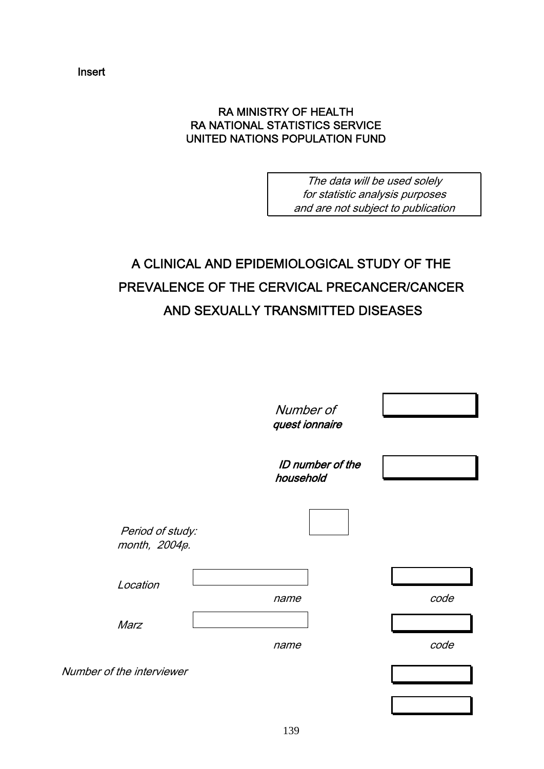Insert

## RA MINISTRY OF HEALTH RA NATIONAL STATISTICS SERVICE UNITED NATIONS POPULATION FUND

The data will be used solely for statistic analysis purposes and are not subject to publication

# A CLINICAL AND EPIDEMIOLOGICAL STUDY OF THE PREVALENCE OF THE CERVICAL PRECANCER/CANCER AND SEXUALLY TRANSMITTED DISEASES

|                                   | Number of<br>quest ionnaire          |      |
|-----------------------------------|--------------------------------------|------|
|                                   | <b>ID</b> number of the<br>household |      |
| Period of study:<br>month, 2004p. |                                      |      |
| Location                          | name                                 | code |
| Marz                              | name                                 | code |
| Number of the interviewer         |                                      |      |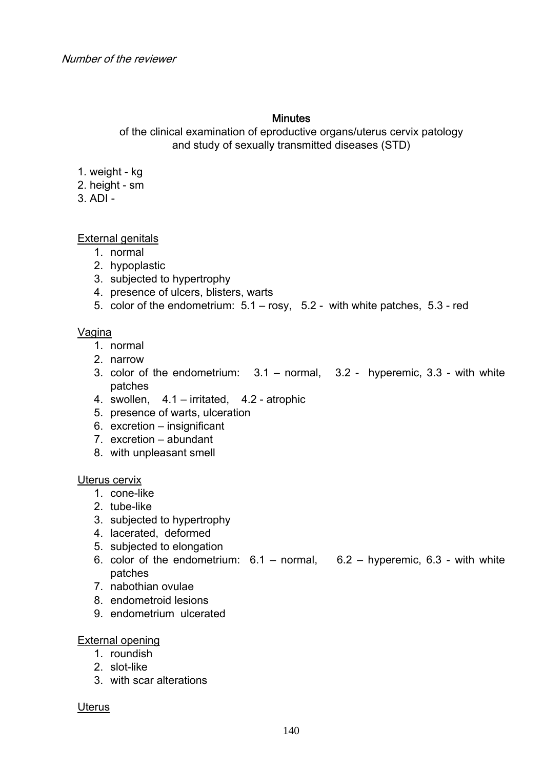## **Minutes**

of the clinical examination of eproductive organs/uterus cervix patology and study of sexually transmitted diseases (STD)

- 1. weight kg
- 2. height sm
- $3$  ADI -

External genitals

- 1. normal
- 2. hypoplastic
- 3. subjected to hypertrophy
- 4. presence of ulcers, blisters, warts
- 5. color of the endometrium: 5.1 rosy, 5.2 with white patches, 5.3 red

## Vagina

- 1. normal
- 2. narrow
- 3. color of the endometrium: 3.1 normal, 3.2 hyperemic, 3.3 with white patches
- 4. swollen, 4.1 irritated, 4.2 atrophic
- 5. presence of warts, ulceration
- 6. excretion insignificant
- 7. excretion abundant
- 8. with unpleasant smell

Uterus cervix

- 1. cone-like
- 2. tube-like
- 3. subjected to hypertrophy
- 4. lacerated, deformed
- 5. subjected to elongation
- 6. color of the endometrium:  $6.1 -$  normal,  $6.2 -$  hyperemic,  $6.3 -$  with white patches
- 7. nabothian ovulae
- 8. endometroid lesions
- 9. endometrium ulcerated

## External opening

- 1. roundish
- 2. slot-like
- 3. with scar alterations

## **Uterus**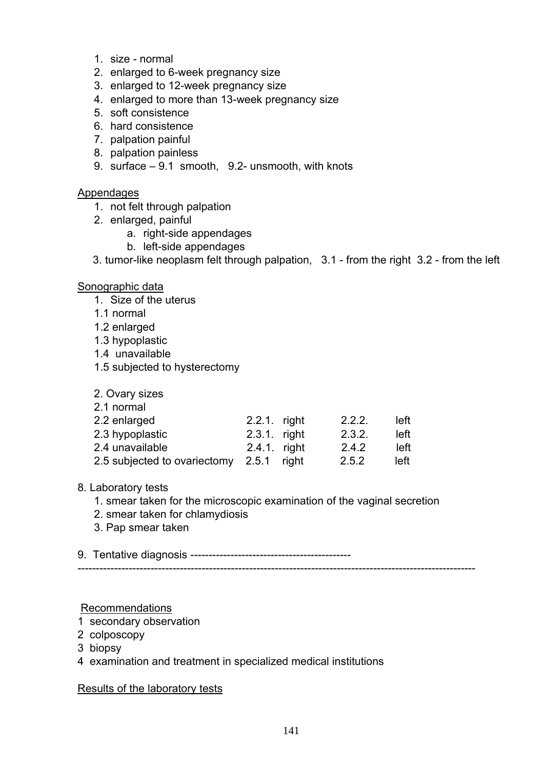- 1. size normal
- 2. enlarged to 6-week pregnancy size
- 3. enlarged to 12-week pregnancy size
- 4. enlarged to more than 13-week pregnancy size
- 5. soft consistence
- 6. hard consistence
- 7. palpation painful
- 8. palpation painless
- 9. surface 9.1 smooth, 9.2- unsmooth, with knots

## Appendages

- 1. not felt through palpation
- 2. enlarged, painful
	- a. right-side appendages
	- b. left-side appendages
- 3. tumor-like neoplasm felt through palpation, 3.1 from the right 3.2 from the left

## Sonographic data

- 1. Size of the uterus
- 1.1 normal
- 1.2 enlarged
- 1.3 hypoplastic
- 1.4 unavailable
- 1.5 subjected to hysterectomy
- 2. Ovary sizes
- 2.1 normal

| 2.2 enlarged                             | 2.2.1. right | 2.2.2. | left |
|------------------------------------------|--------------|--------|------|
| 2.3 hypoplastic                          | 2.3.1. right | 2.3.2. | left |
| 2.4 unavailable                          | 2.4.1 right  | 2.4.2  | left |
| 2.5 subjected to ovariectomy 2.5.1 right |              | 2.5.2  | left |

## 8. Laboratory tests

- 1. smear taken for the microscopic examination of the vaginal secretion
- 2. smear taken for chlamydiosis
- 3. Pap smear taken

9. Tentative diagnosis --------------------------------------------

## -------------------------------------------------------------------------------------------------------------

## Recommendations

- 1 secondary observation
- 2 colposcopy
- 3 biopsy
- 4 examination and treatment in specialized medical institutions

Results of the laboratory tests